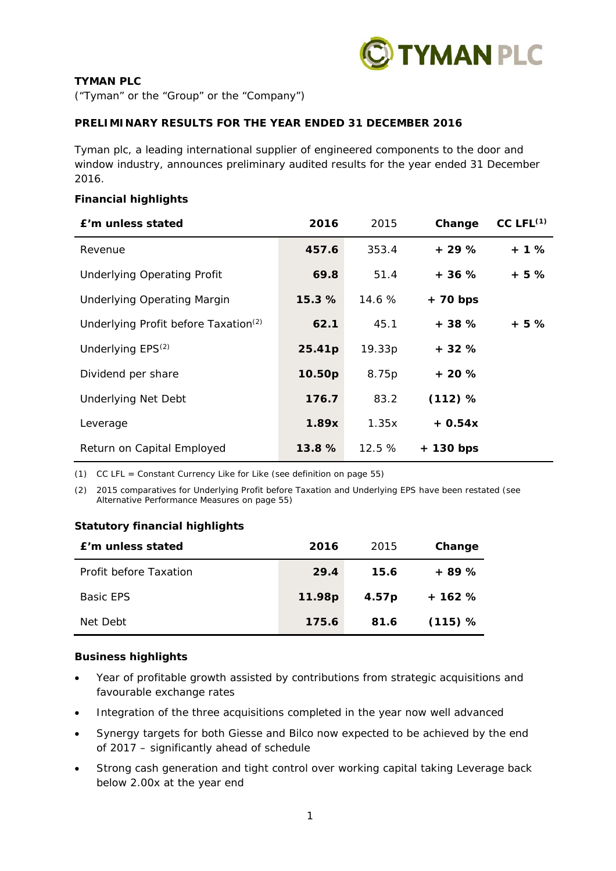

## **TYMAN PLC**

("Tyman" or the "Group" or the "Company")

## **PRELIMINARY RESULTS FOR THE YEAR ENDED 31 DECEMBER 2016**

Tyman plc, a leading international supplier of engineered components to the door and window industry, announces preliminary audited results for the year ended 31 December 2016.

## **Financial highlights**

| £'m unless stated                                | 2016   | 2015   | Change     | $CC$ $LFL^{(1)}$ |
|--------------------------------------------------|--------|--------|------------|------------------|
| Revenue                                          | 457.6  | 353.4  | $+29%$     | $+1%$            |
| <b>Underlying Operating Profit</b>               | 69.8   | 51.4   | $+36%$     | + 5 %            |
| <b>Underlying Operating Margin</b>               | 15.3%  | 14.6%  | $+ 70 bps$ |                  |
| Underlying Profit before Taxation <sup>(2)</sup> | 62.1   | 45.1   | $+38%$     | + 5 %            |
| Underlying EPS <sup>(2)</sup>                    | 25.41p | 19.33p | $+32%$     |                  |
| Dividend per share                               | 10.50p | 8.75p  | $+20%$     |                  |
| <b>Underlying Net Debt</b>                       | 176.7  | 83.2   | (112) %    |                  |
| Leverage                                         | 1.89x  | 1.35x  | $+0.54x$   |                  |
| Return on Capital Employed                       | 13.8 % | 12.5%  | + 130 bps  |                  |

*(1) CC LFL = Constant Currency Like for Like (see definition on page 55)* 

*(2) 2015 comparatives for Underlying Profit before Taxation and Underlying EPS have been restated (see Alternative Performance Measures on page 55)* 

## **Statutory financial highlights**

| f'm unless stated      | 2016   | 2015              | Change  |
|------------------------|--------|-------------------|---------|
| Profit before Taxation | 29.4   | 15.6              | $+89%$  |
| <b>Basic EPS</b>       | 11.98p | 4.57 <sub>p</sub> | $+162%$ |
| Net Debt               | 175.6  | 81.6              | (115) % |

## **Business highlights**

- Year of profitable growth assisted by contributions from strategic acquisitions and favourable exchange rates
- Integration of the three acquisitions completed in the year now well advanced
- Synergy targets for both Giesse and Bilco now expected to be achieved by the end of 2017 – significantly ahead of schedule
- Strong cash generation and tight control over working capital taking Leverage back below 2.00x at the year end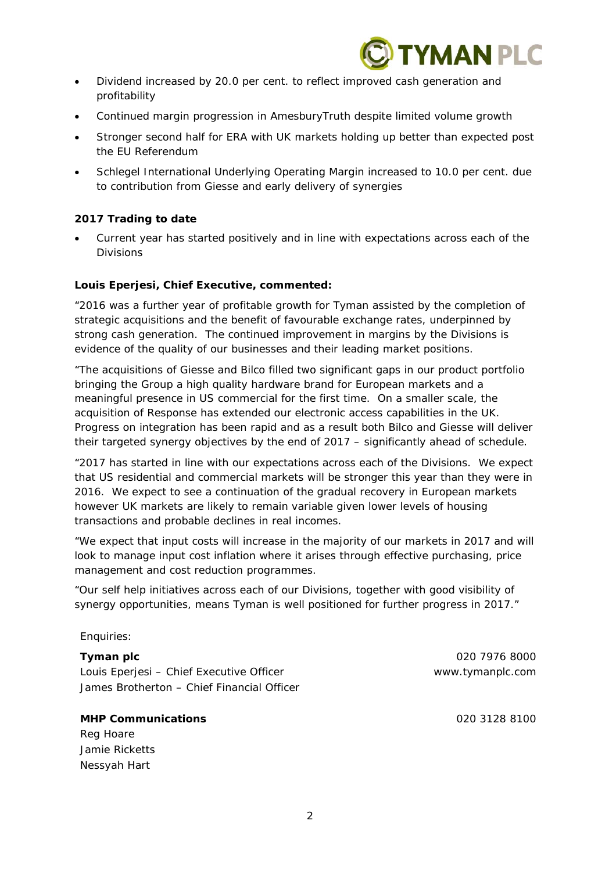

- Dividend increased by 20.0 per cent. to reflect improved cash generation and profitability
- Continued margin progression in AmesburyTruth despite limited volume growth
- Stronger second half for ERA with UK markets holding up better than expected post the EU Referendum
- Schlegel International Underlying Operating Margin increased to 10.0 per cent. due to contribution from Giesse and early delivery of synergies

## **2017 Trading to date**

 Current year has started positively and in line with expectations across each of the Divisions

## **Louis Eperjesi, Chief Executive, commented:**

"2016 was a further year of profitable growth for Tyman assisted by the completion of *strategic acquisitions and the benefit of favourable exchange rates, underpinned by strong cash generation. The continued improvement in margins by the Divisions is evidence of the quality of our businesses and their leading market positions.* 

*"The acquisitions of Giesse and Bilco filled two significant gaps in our product portfolio bringing the Group a high quality hardware brand for European markets and a meaningful presence in US commercial for the first time. On a smaller scale, the acquisition of Response has extended our electronic access capabilities in the UK. Progress on integration has been rapid and as a result both Bilco and Giesse will deliver their targeted synergy objectives by the end of 2017 – significantly ahead of schedule.* 

*"2017 has started in line with our expectations across each of the Divisions. We expect that US residential and commercial markets will be stronger this year than they were in 2016. We expect to see a continuation of the gradual recovery in European markets however UK markets are likely to remain variable given lower levels of housing transactions and probable declines in real incomes.* 

*"We expect that input costs will increase in the majority of our markets in 2017 and will look to manage input cost inflation where it arises through effective purchasing, price management and cost reduction programmes.* 

*"Our self help initiatives across each of our Divisions, together with good visibility of synergy opportunities, means Tyman is well positioned for further progress in 2017."* 

## Enquiries:

Louis Eperjesi – Chief Executive Officer www.tymanplc.com James Brotherton – Chief Financial Officer

#### **MHP Communications** 020 3128 8100

Reg Hoare Jamie Ricketts Nessyah Hart

**Tyman plc** 020 7976 8000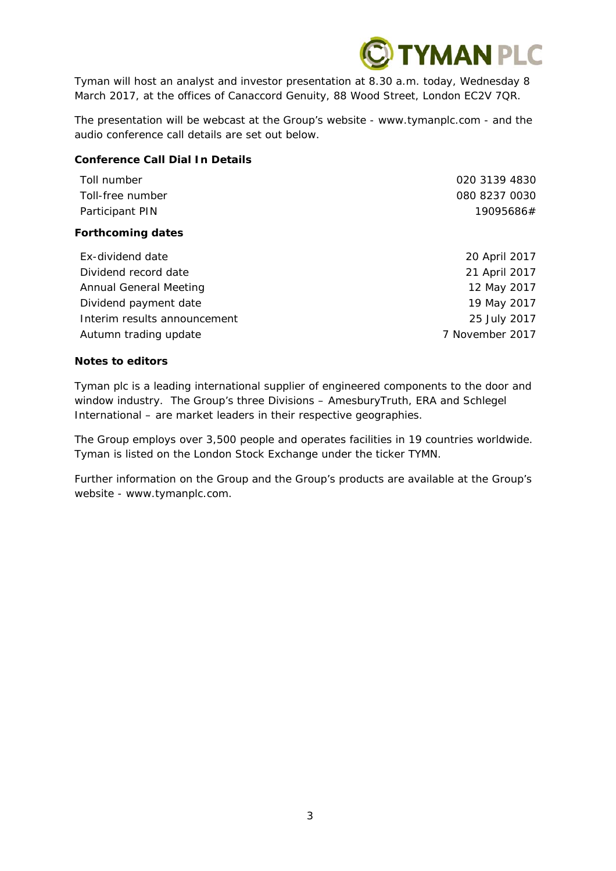

Tyman will host an analyst and investor presentation at 8.30 a.m. today, Wednesday 8 March 2017, at the offices of Canaccord Genuity, 88 Wood Street, London EC2V 7QR.

The presentation will be webcast at the Group's website - www.tymanplc.com - and the audio conference call details are set out below.

## **Conference Call Dial In Details**

| Toll number<br>Toll-free number | 020 3139 4830<br>080 8237 0030 |
|---------------------------------|--------------------------------|
| Participant PIN                 | 19095686#                      |
| <b>Forthcoming dates</b>        |                                |
| Ex-dividend date                | 20 April 2017                  |
| Dividend record date            | 21 April 2017                  |
| Annual General Meeting          | 12 May 2017                    |
| Dividend payment date           | 19 May 2017                    |
|                                 |                                |

Interim results announcement 25 July 2017 Autumn trading update **7** November 2017

**Notes to editors** 

Tyman plc is a leading international supplier of engineered components to the door and window industry. The Group's three Divisions – AmesburyTruth, ERA and Schlegel International – are market leaders in their respective geographies.

The Group employs over 3,500 people and operates facilities in 19 countries worldwide. Tyman is listed on the London Stock Exchange under the ticker TYMN.

Further information on the Group and the Group's products are available at the Group's website - www.tymanplc.com.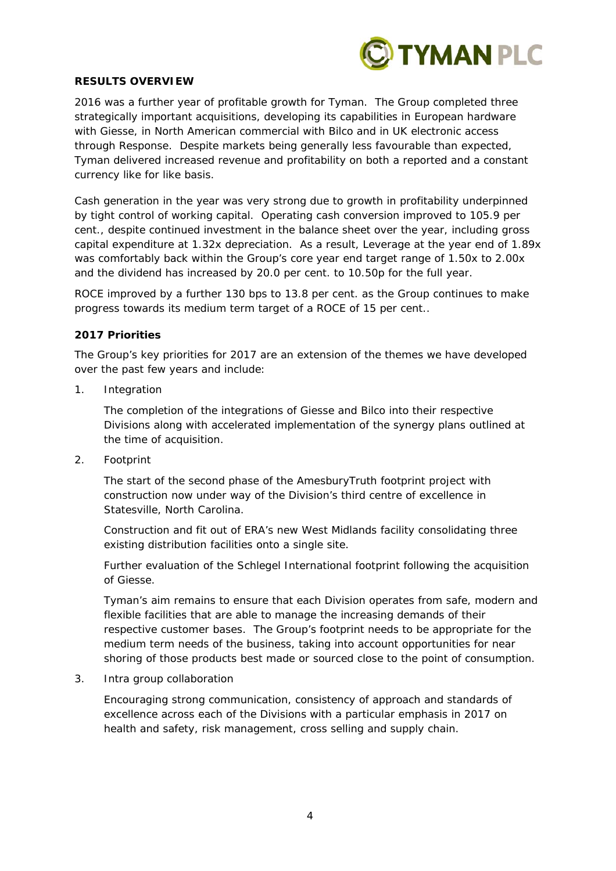

#### **RESULTS OVERVIEW**

2016 was a further year of profitable growth for Tyman. The Group completed three strategically important acquisitions, developing its capabilities in European hardware with Giesse, in North American commercial with Bilco and in UK electronic access through Response. Despite markets being generally less favourable than expected, Tyman delivered increased revenue and profitability on both a reported and a constant currency like for like basis.

Cash generation in the year was very strong due to growth in profitability underpinned by tight control of working capital. Operating cash conversion improved to 105.9 per cent., despite continued investment in the balance sheet over the year, including gross capital expenditure at 1.32x depreciation. As a result, Leverage at the year end of 1.89x was comfortably back within the Group's core year end target range of 1.50x to 2.00x and the dividend has increased by 20.0 per cent. to 10.50p for the full year.

ROCE improved by a further 130 bps to 13.8 per cent. as the Group continues to make progress towards its medium term target of a ROCE of 15 per cent..

#### **2017 Priorities**

The Group's key priorities for 2017 are an extension of the themes we have developed over the past few years and include:

1. Integration

The completion of the integrations of Giesse and Bilco into their respective Divisions along with accelerated implementation of the synergy plans outlined at the time of acquisition.

2. Footprint

The start of the second phase of the AmesburyTruth footprint project with construction now under way of the Division's third centre of excellence in Statesville, North Carolina.

Construction and fit out of ERA's new West Midlands facility consolidating three existing distribution facilities onto a single site.

Further evaluation of the Schlegel International footprint following the acquisition of Giesse.

Tyman's aim remains to ensure that each Division operates from safe, modern and flexible facilities that are able to manage the increasing demands of their respective customer bases. The Group's footprint needs to be appropriate for the medium term needs of the business, taking into account opportunities for near shoring of those products best made or sourced close to the point of consumption.

3. Intra group collaboration

Encouraging strong communication, consistency of approach and standards of excellence across each of the Divisions with a particular emphasis in 2017 on health and safety, risk management, cross selling and supply chain.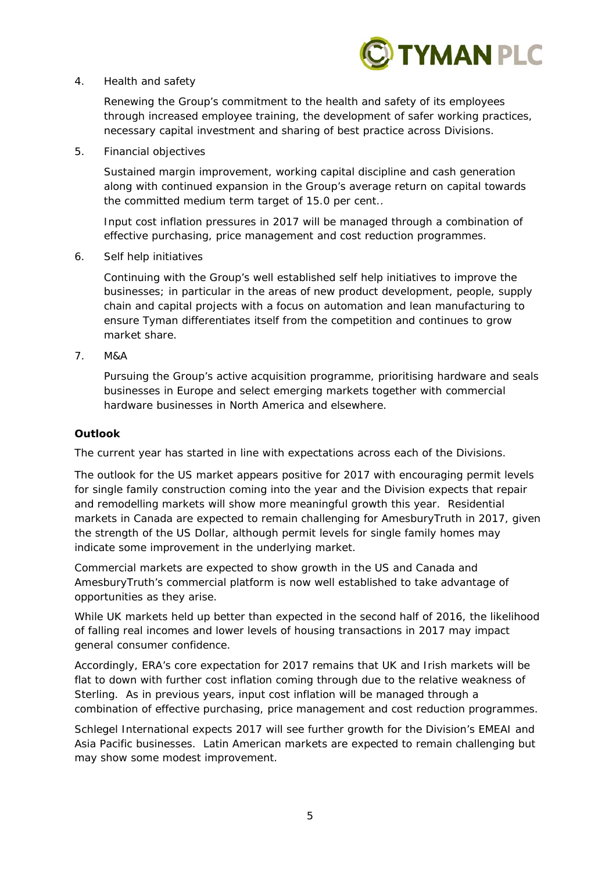

4. Health and safety

Renewing the Group's commitment to the health and safety of its employees through increased employee training, the development of safer working practices, necessary capital investment and sharing of best practice across Divisions.

5. Financial objectives

Sustained margin improvement, working capital discipline and cash generation along with continued expansion in the Group's average return on capital towards the committed medium term target of 15.0 per cent..

Input cost inflation pressures in 2017 will be managed through a combination of effective purchasing, price management and cost reduction programmes.

6. Self help initiatives

Continuing with the Group's well established self help initiatives to improve the businesses; in particular in the areas of new product development, people, supply chain and capital projects with a focus on automation and lean manufacturing to ensure Tyman differentiates itself from the competition and continues to grow market share.

7. M&A

Pursuing the Group's active acquisition programme, prioritising hardware and seals businesses in Europe and select emerging markets together with commercial hardware businesses in North America and elsewhere.

## **Outlook**

The current year has started in line with expectations across each of the Divisions.

The outlook for the US market appears positive for 2017 with encouraging permit levels for single family construction coming into the year and the Division expects that repair and remodelling markets will show more meaningful growth this year. Residential markets in Canada are expected to remain challenging for AmesburyTruth in 2017, given the strength of the US Dollar, although permit levels for single family homes may indicate some improvement in the underlying market.

Commercial markets are expected to show growth in the US and Canada and AmesburyTruth's commercial platform is now well established to take advantage of opportunities as they arise.

While UK markets held up better than expected in the second half of 2016, the likelihood of falling real incomes and lower levels of housing transactions in 2017 may impact general consumer confidence.

Accordingly, ERA's core expectation for 2017 remains that UK and Irish markets will be flat to down with further cost inflation coming through due to the relative weakness of Sterling. As in previous years, input cost inflation will be managed through a combination of effective purchasing, price management and cost reduction programmes.

Schlegel International expects 2017 will see further growth for the Division's EMEAI and Asia Pacific businesses. Latin American markets are expected to remain challenging but may show some modest improvement.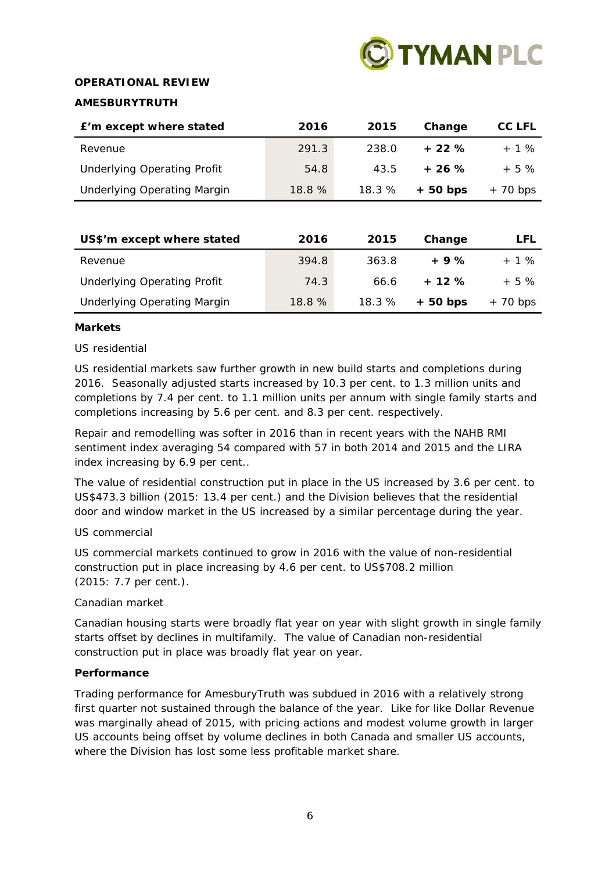

## **OPERATIONAL REVIEW**

## **AMESBURYTRUTH**

| E'm except where stated            | 2016  | 2015  | Change    | CC LFL     |
|------------------------------------|-------|-------|-----------|------------|
| Revenue                            | 291.3 | 238.0 | $+22%$    | $+ 1\%$    |
| <b>Underlying Operating Profit</b> | 54.8  | 43.5  | $+26%$    | $+5\%$     |
| <b>Underlying Operating Margin</b> | 18.8% | 18.3% | $+50$ bps | $+ 70 bps$ |

| US\$'m except where stated         | 2016  | 2015  | Change    | LFL        |
|------------------------------------|-------|-------|-----------|------------|
| Revenue                            | 394.8 | 363.8 | $+9%$     | $+ 1 \%$   |
| <b>Underlying Operating Profit</b> | 74.3  | 66.6  | $+12%$    | $+5%$      |
| <b>Underlying Operating Margin</b> | 18.8% | 18.3% | $+50$ bps | $+ 70 bps$ |

#### **Markets**

## *US residential*

US residential markets saw further growth in new build starts and completions during 2016. Seasonally adjusted starts increased by 10.3 per cent. to 1.3 million units and completions by 7.4 per cent. to 1.1 million units per annum with single family starts and completions increasing by 5.6 per cent. and 8.3 per cent. respectively.

Repair and remodelling was softer in 2016 than in recent years with the NAHB RMI sentiment index averaging 54 compared with 57 in both 2014 and 2015 and the LIRA index increasing by 6.9 per cent..

The value of residential construction put in place in the US increased by 3.6 per cent. to US\$473.3 billion (2015: 13.4 per cent.) and the Division believes that the residential door and window market in the US increased by a similar percentage during the year.

## *US commercial*

US commercial markets continued to grow in 2016 with the value of non-residential construction put in place increasing by 4.6 per cent. to US\$708.2 million (2015: 7.7 per cent.).

## *Canadian market*

Canadian housing starts were broadly flat year on year with slight growth in single family starts offset by declines in multifamily. The value of Canadian non-residential construction put in place was broadly flat year on year.

## **Performance**

Trading performance for AmesburyTruth was subdued in 2016 with a relatively strong first quarter not sustained through the balance of the year. Like for like Dollar Revenue was marginally ahead of 2015, with pricing actions and modest volume growth in larger US accounts being offset by volume declines in both Canada and smaller US accounts, where the Division has lost some less profitable market share.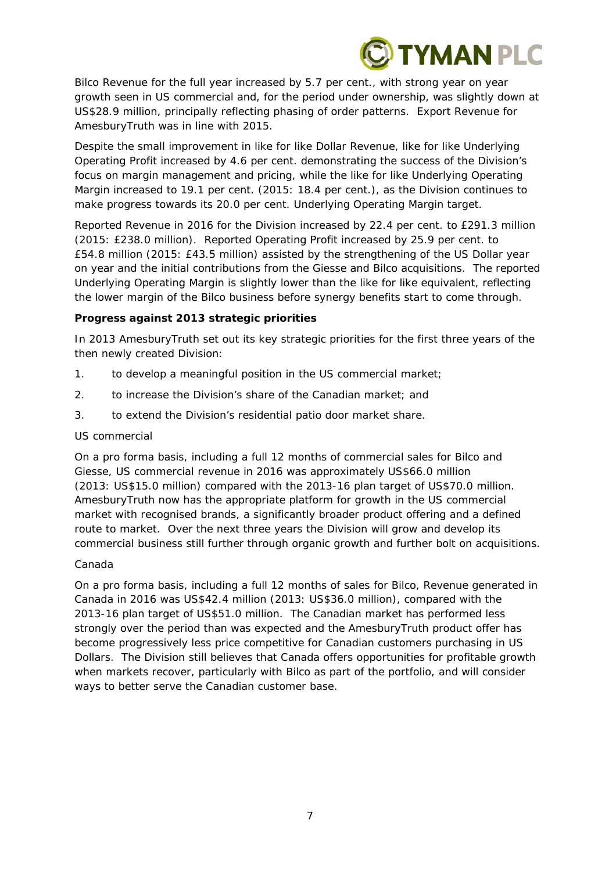

Bilco Revenue for the full year increased by 5.7 per cent., with strong year on year growth seen in US commercial and, for the period under ownership, was slightly down at US\$28.9 million, principally reflecting phasing of order patterns. Export Revenue for AmesburyTruth was in line with 2015.

Despite the small improvement in like for like Dollar Revenue, like for like Underlying Operating Profit increased by 4.6 per cent. demonstrating the success of the Division's focus on margin management and pricing, while the like for like Underlying Operating Margin increased to 19.1 per cent. (2015: 18.4 per cent.), as the Division continues to make progress towards its 20.0 per cent. Underlying Operating Margin target.

Reported Revenue in 2016 for the Division increased by 22.4 per cent. to £291.3 million (2015: £238.0 million). Reported Operating Profit increased by 25.9 per cent. to £54.8 million (2015: £43.5 million) assisted by the strengthening of the US Dollar year on year and the initial contributions from the Giesse and Bilco acquisitions. The reported Underlying Operating Margin is slightly lower than the like for like equivalent, reflecting the lower margin of the Bilco business before synergy benefits start to come through.

## **Progress against 2013 strategic priorities**

In 2013 AmesburyTruth set out its key strategic priorities for the first three years of the then newly created Division:

- 1. to develop a meaningful position in the US commercial market;
- 2. to increase the Division's share of the Canadian market; and
- 3. to extend the Division's residential patio door market share.

## *US commercial*

On a pro forma basis, including a full 12 months of commercial sales for Bilco and Giesse, US commercial revenue in 2016 was approximately US\$66.0 million (2013: US\$15.0 million) compared with the 2013-16 plan target of US\$70.0 million. AmesburyTruth now has the appropriate platform for growth in the US commercial market with recognised brands, a significantly broader product offering and a defined route to market. Over the next three years the Division will grow and develop its commercial business still further through organic growth and further bolt on acquisitions.

## *Canada*

On a pro forma basis, including a full 12 months of sales for Bilco, Revenue generated in Canada in 2016 was US\$42.4 million (2013: US\$36.0 million), compared with the 2013-16 plan target of US\$51.0 million. The Canadian market has performed less strongly over the period than was expected and the AmesburyTruth product offer has become progressively less price competitive for Canadian customers purchasing in US Dollars. The Division still believes that Canada offers opportunities for profitable growth when markets recover, particularly with Bilco as part of the portfolio, and will consider ways to better serve the Canadian customer base.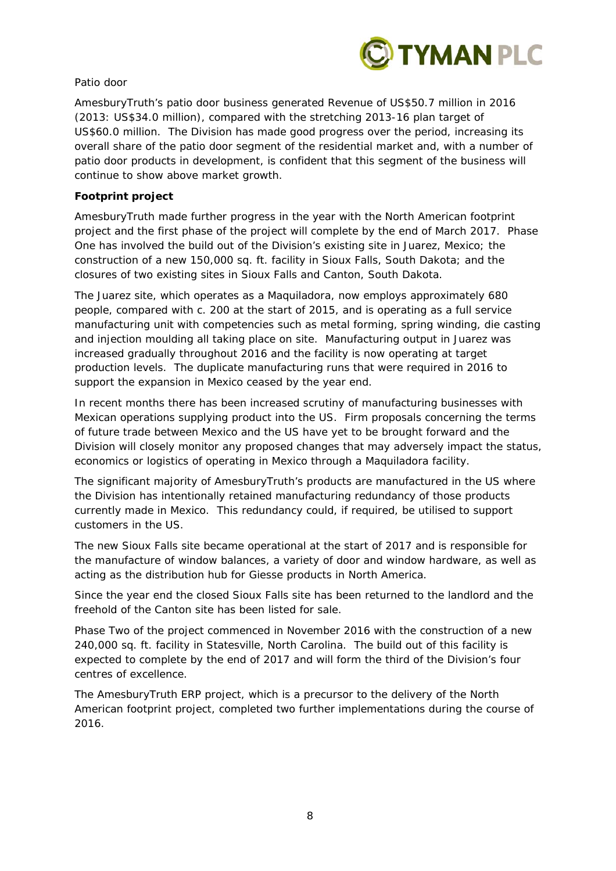

## *Patio door*

AmesburyTruth's patio door business generated Revenue of US\$50.7 million in 2016 (2013: US\$34.0 million), compared with the stretching 2013-16 plan target of US\$60.0 million. The Division has made good progress over the period, increasing its overall share of the patio door segment of the residential market and, with a number of patio door products in development, is confident that this segment of the business will continue to show above market growth.

## **Footprint project**

AmesburyTruth made further progress in the year with the North American footprint project and the first phase of the project will complete by the end of March 2017. Phase One has involved the build out of the Division's existing site in Juarez, Mexico; the construction of a new 150,000 sq. ft. facility in Sioux Falls, South Dakota; and the closures of two existing sites in Sioux Falls and Canton, South Dakota.

The Juarez site, which operates as a Maquiladora, now employs approximately 680 people, compared with c. 200 at the start of 2015, and is operating as a full service manufacturing unit with competencies such as metal forming, spring winding, die casting and injection moulding all taking place on site. Manufacturing output in Juarez was increased gradually throughout 2016 and the facility is now operating at target production levels. The duplicate manufacturing runs that were required in 2016 to support the expansion in Mexico ceased by the year end.

In recent months there has been increased scrutiny of manufacturing businesses with Mexican operations supplying product into the US. Firm proposals concerning the terms of future trade between Mexico and the US have yet to be brought forward and the Division will closely monitor any proposed changes that may adversely impact the status, economics or logistics of operating in Mexico through a Maquiladora facility.

The significant majority of AmesburyTruth's products are manufactured in the US where the Division has intentionally retained manufacturing redundancy of those products currently made in Mexico. This redundancy could, if required, be utilised to support customers in the US.

The new Sioux Falls site became operational at the start of 2017 and is responsible for the manufacture of window balances, a variety of door and window hardware, as well as acting as the distribution hub for Giesse products in North America.

Since the year end the closed Sioux Falls site has been returned to the landlord and the freehold of the Canton site has been listed for sale.

Phase Two of the project commenced in November 2016 with the construction of a new 240,000 sq. ft. facility in Statesville, North Carolina. The build out of this facility is expected to complete by the end of 2017 and will form the third of the Division's four centres of excellence.

The AmesburyTruth ERP project, which is a precursor to the delivery of the North American footprint project, completed two further implementations during the course of 2016.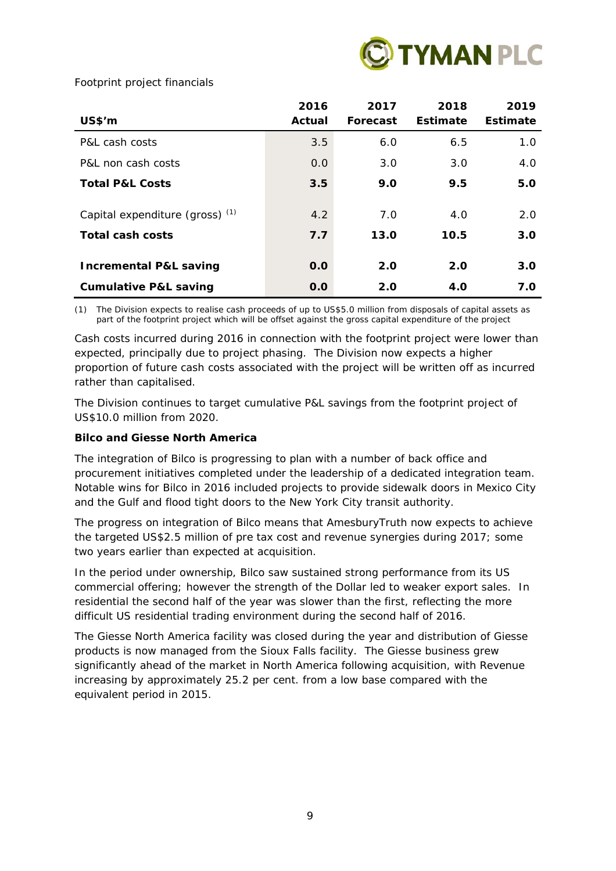

## *Footprint project financials*

| <b>US\$'m</b>                                       | 2016<br>Actual | 2017<br>Forecast | 2018<br><b>Estimate</b> | 2019<br>Estimate |
|-----------------------------------------------------|----------------|------------------|-------------------------|------------------|
| P&L cash costs                                      | 3.5            | 6.0              | 6.5                     | 1.0              |
| P&L non cash costs                                  | 0.0            | 3.0              | 3.0                     | 4.0              |
| <b>Total P&amp;L Costs</b>                          | 3.5            | 9.0              | 9.5                     | 5.0              |
| Capital expenditure (gross) (1)<br>Total cash costs | 4.2<br>7.7     | 7.0<br>13.0      | 4.0<br>10.5             | 2.0<br>3.0       |
| <b>Incremental P&amp;L saving</b>                   | 0.0            | 2.0              | 2.0                     | 3.0              |
| <b>Cumulative P&amp;L saving</b>                    | O.O            | 2.0              | <b>4.0</b>              | 7.0              |

*(1) The Division expects to realise cash proceeds of up to US\$5.0 million from disposals of capital assets as part of the footprint project which will be offset against the gross capital expenditure of the project* 

Cash costs incurred during 2016 in connection with the footprint project were lower than expected, principally due to project phasing. The Division now expects a higher proportion of future cash costs associated with the project will be written off as incurred rather than capitalised.

The Division continues to target cumulative P&L savings from the footprint project of US\$10.0 million from 2020.

## **Bilco and Giesse North America**

The integration of Bilco is progressing to plan with a number of back office and procurement initiatives completed under the leadership of a dedicated integration team. Notable wins for Bilco in 2016 included projects to provide sidewalk doors in Mexico City and the Gulf and flood tight doors to the New York City transit authority.

The progress on integration of Bilco means that AmesburyTruth now expects to achieve the targeted US\$2.5 million of pre tax cost and revenue synergies during 2017; some two years earlier than expected at acquisition.

In the period under ownership, Bilco saw sustained strong performance from its US commercial offering; however the strength of the Dollar led to weaker export sales. In residential the second half of the year was slower than the first, reflecting the more difficult US residential trading environment during the second half of 2016.

The Giesse North America facility was closed during the year and distribution of Giesse products is now managed from the Sioux Falls facility. The Giesse business grew significantly ahead of the market in North America following acquisition, with Revenue increasing by approximately 25.2 per cent. from a low base compared with the equivalent period in 2015.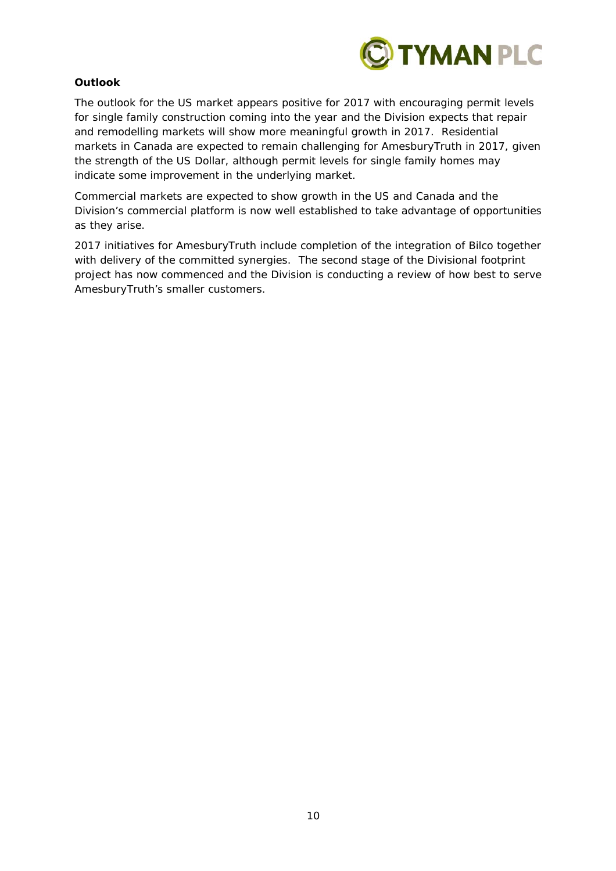

## **Outlook**

The outlook for the US market appears positive for 2017 with encouraging permit levels for single family construction coming into the year and the Division expects that repair and remodelling markets will show more meaningful growth in 2017. Residential markets in Canada are expected to remain challenging for AmesburyTruth in 2017, given the strength of the US Dollar, although permit levels for single family homes may indicate some improvement in the underlying market.

Commercial markets are expected to show growth in the US and Canada and the Division's commercial platform is now well established to take advantage of opportunities as they arise.

2017 initiatives for AmesburyTruth include completion of the integration of Bilco together with delivery of the committed synergies. The second stage of the Divisional footprint project has now commenced and the Division is conducting a review of how best to serve AmesburyTruth's smaller customers.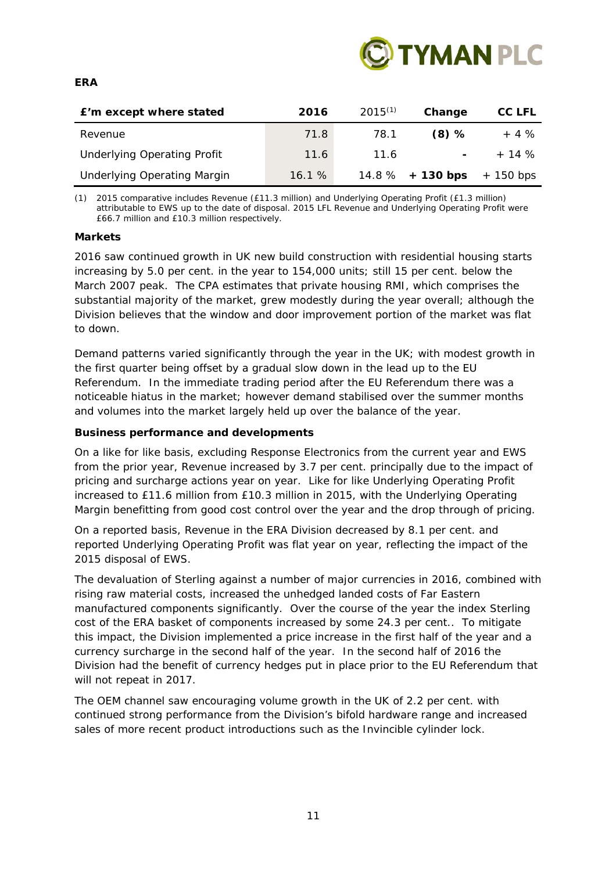

| £'m except where stated            | 2016  | $2015^{(1)}$ | Change                   | CC LFL      |
|------------------------------------|-------|--------------|--------------------------|-------------|
| Revenue                            | 71.8  | 78.1         | $(8)$ %                  | $+4%$       |
| <b>Underlying Operating Profit</b> | 11.6  | 11.6         | $\overline{\phantom{0}}$ | $+ 14 \%$   |
| <b>Underlying Operating Margin</b> | 16.1% |              | $14.8\%$ + 130 bps       | $+$ 150 bps |

*(1) 2015 comparative includes Revenue (£11.3 million) and Underlying Operating Profit (£1.3 million) attributable to EWS up to the date of disposal. 2015 LFL Revenue and Underlying Operating Profit were £66.7 million and £10.3 million respectively.* 

## **Markets**

2016 saw continued growth in UK new build construction with residential housing starts increasing by 5.0 per cent. in the year to 154,000 units; still 15 per cent. below the March 2007 peak. The CPA estimates that private housing RMI, which comprises the substantial majority of the market, grew modestly during the year overall; although the Division believes that the window and door improvement portion of the market was flat to down.

Demand patterns varied significantly through the year in the UK; with modest growth in the first quarter being offset by a gradual slow down in the lead up to the EU Referendum. In the immediate trading period after the EU Referendum there was a noticeable hiatus in the market; however demand stabilised over the summer months and volumes into the market largely held up over the balance of the year.

## **Business performance and developments**

On a like for like basis, excluding Response Electronics from the current year and EWS from the prior year, Revenue increased by 3.7 per cent. principally due to the impact of pricing and surcharge actions year on year. Like for like Underlying Operating Profit increased to £11.6 million from £10.3 million in 2015, with the Underlying Operating Margin benefitting from good cost control over the year and the drop through of pricing.

On a reported basis, Revenue in the ERA Division decreased by 8.1 per cent. and reported Underlying Operating Profit was flat year on year, reflecting the impact of the 2015 disposal of EWS.

The devaluation of Sterling against a number of major currencies in 2016, combined with rising raw material costs, increased the unhedged landed costs of Far Eastern manufactured components significantly. Over the course of the year the index Sterling cost of the ERA basket of components increased by some 24.3 per cent.. To mitigate this impact, the Division implemented a price increase in the first half of the year and a currency surcharge in the second half of the year. In the second half of 2016 the Division had the benefit of currency hedges put in place prior to the EU Referendum that will not repeat in 2017.

The OEM channel saw encouraging volume growth in the UK of 2.2 per cent. with continued strong performance from the Division's bifold hardware range and increased sales of more recent product introductions such as the Invincible cylinder lock.

#### **ERA**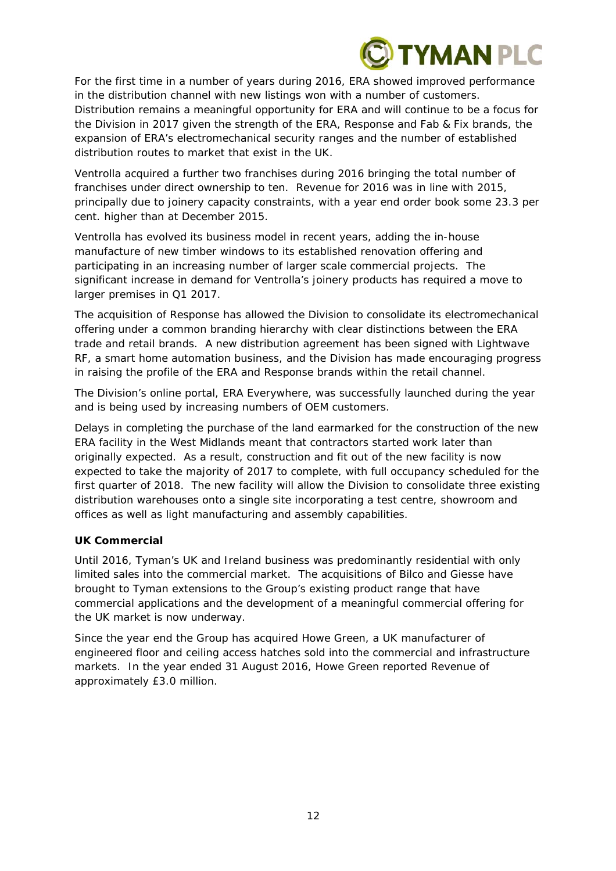

For the first time in a number of years during 2016, ERA showed improved performance in the distribution channel with new listings won with a number of customers. Distribution remains a meaningful opportunity for ERA and will continue to be a focus for the Division in 2017 given the strength of the ERA, Response and Fab & Fix brands, the expansion of ERA's electromechanical security ranges and the number of established distribution routes to market that exist in the UK.

Ventrolla acquired a further two franchises during 2016 bringing the total number of franchises under direct ownership to ten. Revenue for 2016 was in line with 2015, principally due to joinery capacity constraints, with a year end order book some 23.3 per cent. higher than at December 2015.

Ventrolla has evolved its business model in recent years, adding the in-house manufacture of new timber windows to its established renovation offering and participating in an increasing number of larger scale commercial projects. The significant increase in demand for Ventrolla's joinery products has required a move to larger premises in Q1 2017.

The acquisition of Response has allowed the Division to consolidate its electromechanical offering under a common branding hierarchy with clear distinctions between the ERA trade and retail brands. A new distribution agreement has been signed with Lightwave RF, a smart home automation business, and the Division has made encouraging progress in raising the profile of the ERA and Response brands within the retail channel.

The Division's online portal, ERA Everywhere, was successfully launched during the year and is being used by increasing numbers of OEM customers.

Delays in completing the purchase of the land earmarked for the construction of the new ERA facility in the West Midlands meant that contractors started work later than originally expected. As a result, construction and fit out of the new facility is now expected to take the majority of 2017 to complete, with full occupancy scheduled for the first quarter of 2018. The new facility will allow the Division to consolidate three existing distribution warehouses onto a single site incorporating a test centre, showroom and offices as well as light manufacturing and assembly capabilities.

## **UK Commercial**

Until 2016, Tyman's UK and Ireland business was predominantly residential with only limited sales into the commercial market. The acquisitions of Bilco and Giesse have brought to Tyman extensions to the Group's existing product range that have commercial applications and the development of a meaningful commercial offering for the UK market is now underway.

Since the year end the Group has acquired Howe Green, a UK manufacturer of engineered floor and ceiling access hatches sold into the commercial and infrastructure markets. In the year ended 31 August 2016, Howe Green reported Revenue of approximately £3.0 million.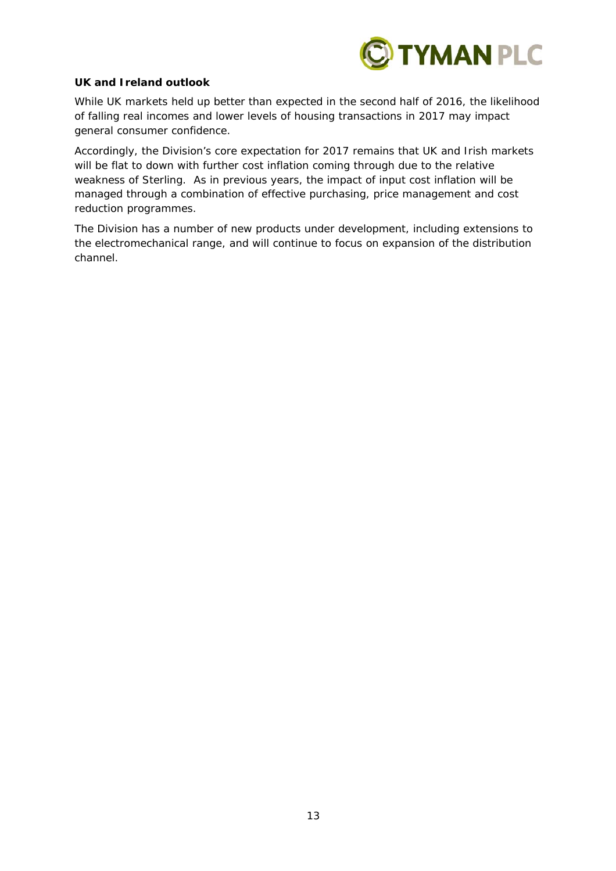

## **UK and Ireland outlook**

While UK markets held up better than expected in the second half of 2016, the likelihood of falling real incomes and lower levels of housing transactions in 2017 may impact general consumer confidence.

Accordingly, the Division's core expectation for 2017 remains that UK and Irish markets will be flat to down with further cost inflation coming through due to the relative weakness of Sterling. As in previous years, the impact of input cost inflation will be managed through a combination of effective purchasing, price management and cost reduction programmes.

The Division has a number of new products under development, including extensions to the electromechanical range, and will continue to focus on expansion of the distribution channel.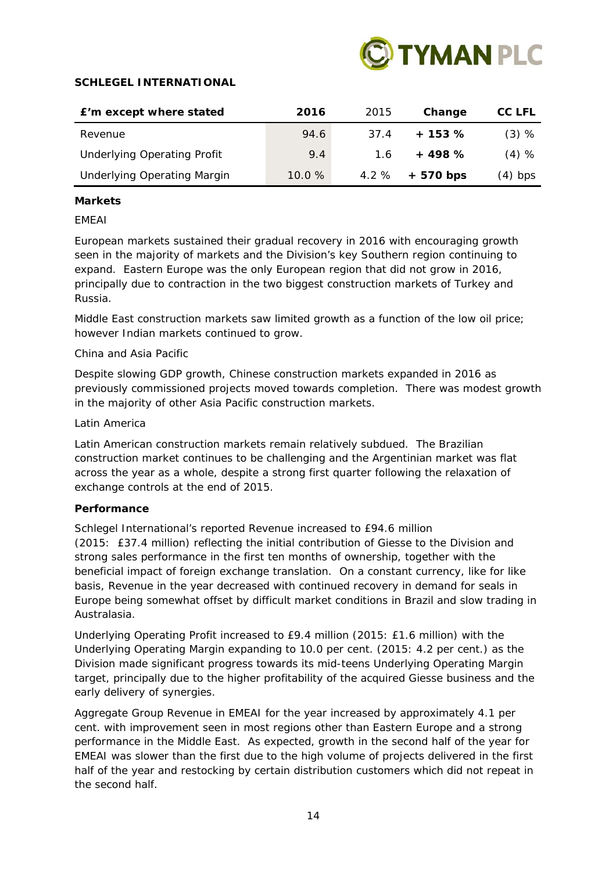

## **SCHLEGEL INTERNATIONAL**

| E'm except where stated            | 2016  | 2015 | Change    | CC LFL  |
|------------------------------------|-------|------|-----------|---------|
| Revenue                            | 94.6  | 37.4 | $+153%$   | $(3)$ % |
| <b>Underlying Operating Profit</b> | 9.4   | 1.6  | $+498%$   | $(4)$ % |
| <b>Underlying Operating Margin</b> | 10.0% | 4.2% | + 570 bps | (4) bps |

## **Markets**

## *EMEAI*

European markets sustained their gradual recovery in 2016 with encouraging growth seen in the majority of markets and the Division's key Southern region continuing to expand. Eastern Europe was the only European region that did not grow in 2016, principally due to contraction in the two biggest construction markets of Turkey and Russia.

Middle East construction markets saw limited growth as a function of the low oil price; however Indian markets continued to grow.

## *China and Asia Pacific*

Despite slowing GDP growth, Chinese construction markets expanded in 2016 as previously commissioned projects moved towards completion. There was modest growth in the majority of other Asia Pacific construction markets.

## *Latin America*

Latin American construction markets remain relatively subdued. The Brazilian construction market continues to be challenging and the Argentinian market was flat across the year as a whole, despite a strong first quarter following the relaxation of exchange controls at the end of 2015.

## **Performance**

Schlegel International's reported Revenue increased to £94.6 million (2015: £37.4 million) reflecting the initial contribution of Giesse to the Division and strong sales performance in the first ten months of ownership, together with the beneficial impact of foreign exchange translation. On a constant currency, like for like basis, Revenue in the year decreased with continued recovery in demand for seals in Europe being somewhat offset by difficult market conditions in Brazil and slow trading in Australasia.

Underlying Operating Profit increased to £9.4 million (2015: £1.6 million) with the Underlying Operating Margin expanding to 10.0 per cent. (2015: 4.2 per cent.) as the Division made significant progress towards its mid-teens Underlying Operating Margin target, principally due to the higher profitability of the acquired Giesse business and the early delivery of synergies.

Aggregate Group Revenue in EMEAI for the year increased by approximately 4.1 per cent. with improvement seen in most regions other than Eastern Europe and a strong performance in the Middle East. As expected, growth in the second half of the year for EMEAI was slower than the first due to the high volume of projects delivered in the first half of the year and restocking by certain distribution customers which did not repeat in the second half.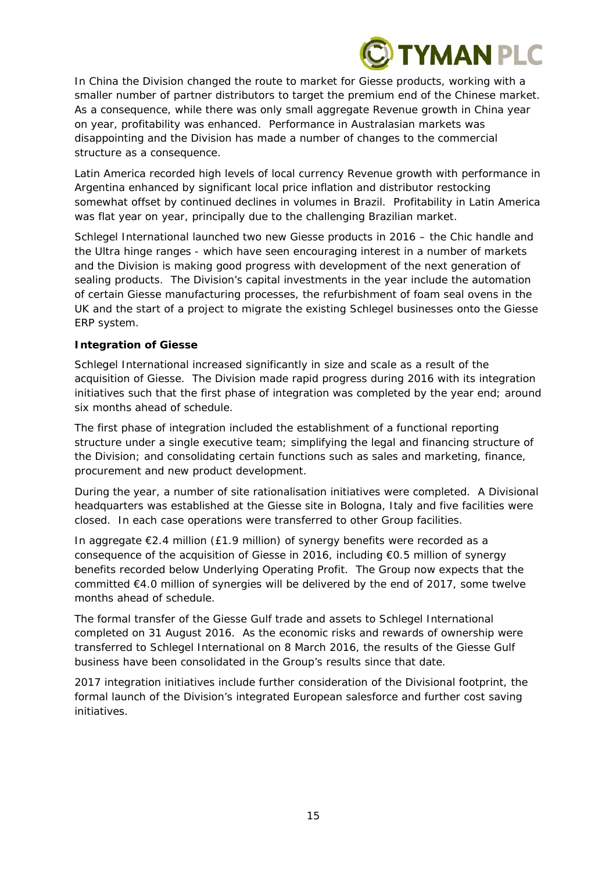

In China the Division changed the route to market for Giesse products, working with a smaller number of partner distributors to target the premium end of the Chinese market. As a consequence, while there was only small aggregate Revenue growth in China year on year, profitability was enhanced. Performance in Australasian markets was disappointing and the Division has made a number of changes to the commercial structure as a consequence.

Latin America recorded high levels of local currency Revenue growth with performance in Argentina enhanced by significant local price inflation and distributor restocking somewhat offset by continued declines in volumes in Brazil. Profitability in Latin America was flat year on year, principally due to the challenging Brazilian market.

Schlegel International launched two new Giesse products in 2016 – the Chic handle and the Ultra hinge ranges - which have seen encouraging interest in a number of markets and the Division is making good progress with development of the next generation of sealing products. The Division's capital investments in the year include the automation of certain Giesse manufacturing processes, the refurbishment of foam seal ovens in the UK and the start of a project to migrate the existing Schlegel businesses onto the Giesse ERP system.

## **Integration of Giesse**

Schlegel International increased significantly in size and scale as a result of the acquisition of Giesse. The Division made rapid progress during 2016 with its integration initiatives such that the first phase of integration was completed by the year end; around six months ahead of schedule.

The first phase of integration included the establishment of a functional reporting structure under a single executive team; simplifying the legal and financing structure of the Division; and consolidating certain functions such as sales and marketing, finance, procurement and new product development.

During the year, a number of site rationalisation initiatives were completed. A Divisional headquarters was established at the Giesse site in Bologna, Italy and five facilities were closed. In each case operations were transferred to other Group facilities.

In aggregate  $\epsilon$ 2.4 million (£1.9 million) of synergy benefits were recorded as a consequence of the acquisition of Giesse in 2016, including  $\epsilon$ 0.5 million of synergy benefits recorded below Underlying Operating Profit. The Group now expects that the committed €4.0 million of synergies will be delivered by the end of 2017, some twelve months ahead of schedule.

The formal transfer of the Giesse Gulf trade and assets to Schlegel International completed on 31 August 2016. As the economic risks and rewards of ownership were transferred to Schlegel International on 8 March 2016, the results of the Giesse Gulf business have been consolidated in the Group's results since that date.

2017 integration initiatives include further consideration of the Divisional footprint, the formal launch of the Division's integrated European salesforce and further cost saving initiatives.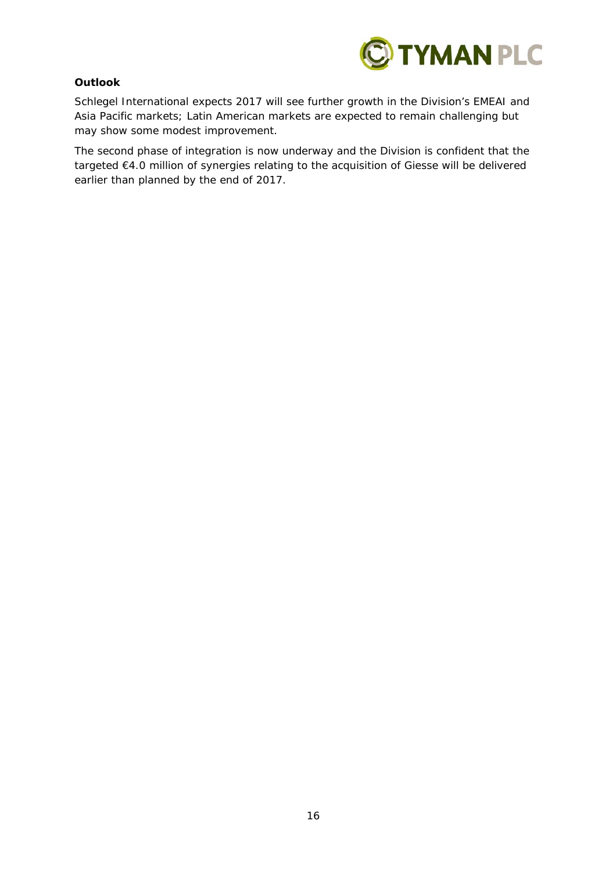

## **Outlook**

Schlegel International expects 2017 will see further growth in the Division's EMEAI and Asia Pacific markets; Latin American markets are expected to remain challenging but may show some modest improvement.

The second phase of integration is now underway and the Division is confident that the targeted €4.0 million of synergies relating to the acquisition of Giesse will be delivered earlier than planned by the end of 2017.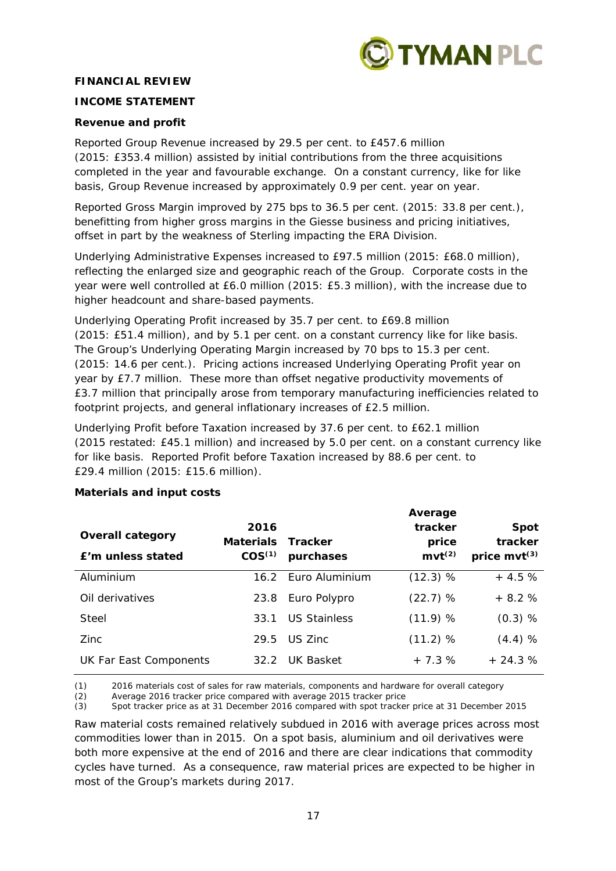

## **FINANCIAL REVIEW**

## **INCOME STATEMENT**

## **Revenue and profit**

Reported Group Revenue increased by 29.5 per cent. to £457.6 million (2015: £353.4 million) assisted by initial contributions from the three acquisitions completed in the year and favourable exchange. On a constant currency, like for like basis, Group Revenue increased by approximately 0.9 per cent. year on year.

Reported Gross Margin improved by 275 bps to 36.5 per cent. (2015: 33.8 per cent.), benefitting from higher gross margins in the Giesse business and pricing initiatives, offset in part by the weakness of Sterling impacting the ERA Division.

Underlying Administrative Expenses increased to £97.5 million (2015: £68.0 million), reflecting the enlarged size and geographic reach of the Group. Corporate costs in the year were well controlled at £6.0 million (2015: £5.3 million), with the increase due to higher headcount and share-based payments.

Underlying Operating Profit increased by 35.7 per cent. to £69.8 million (2015: £51.4 million), and by 5.1 per cent. on a constant currency like for like basis. The Group's Underlying Operating Margin increased by 70 bps to 15.3 per cent. (2015: 14.6 per cent.). Pricing actions increased Underlying Operating Profit year on year by £7.7 million. These more than offset negative productivity movements of £3.7 million that principally arose from temporary manufacturing inefficiencies related to footprint projects, and general inflationary increases of £2.5 million.

Underlying Profit before Taxation increased by 37.6 per cent. to £62.1 million (2015 restated: £45.1 million) and increased by 5.0 per cent. on a constant currency like for like basis. Reported Profit before Taxation increased by 88.6 per cent. to £29.4 million (2015: £15.6 million).

| <b>Overall category</b><br>£'m unless stated | 2016<br>Materials Tracker<br>COS <sup>(1)</sup> | purchases           | Average<br>tracker<br>price<br>$mvt^{(2)}$ | <b>Spot</b><br>tracker<br>price $mvt^{(3)}$ |
|----------------------------------------------|-------------------------------------------------|---------------------|--------------------------------------------|---------------------------------------------|
| Aluminium                                    |                                                 | 16.2 Euro Aluminium | (12.3) %                                   | $+4.5%$                                     |
| Oil derivatives                              | 23.8                                            | Euro Polypro        | (22.7) %                                   | $+8.2%$                                     |
| Steel                                        | 33.1                                            | <b>US Stainless</b> | (11.9) %                                   | $(0.3)$ %                                   |
| Zinc                                         | 29.5                                            | US 7inc             | (11.2) %                                   | $(4.4)$ %                                   |
| UK Far East Components                       | 32.2                                            | UK Basket           | $+7.3%$                                    | $+24.3%$                                    |

## **Materials and input costs**

*(1) 2016 materials cost of sales for raw materials, components and hardware for overall category* 

*(2) Average 2016 tracker price compared with average 2015 tracker price* 

*(3) Spot tracker price as at 31 December 2016 compared with spot tracker price at 31 December 2015* 

Raw material costs remained relatively subdued in 2016 with average prices across most commodities lower than in 2015. On a spot basis, aluminium and oil derivatives were both more expensive at the end of 2016 and there are clear indications that commodity cycles have turned. As a consequence, raw material prices are expected to be higher in most of the Group's markets during 2017.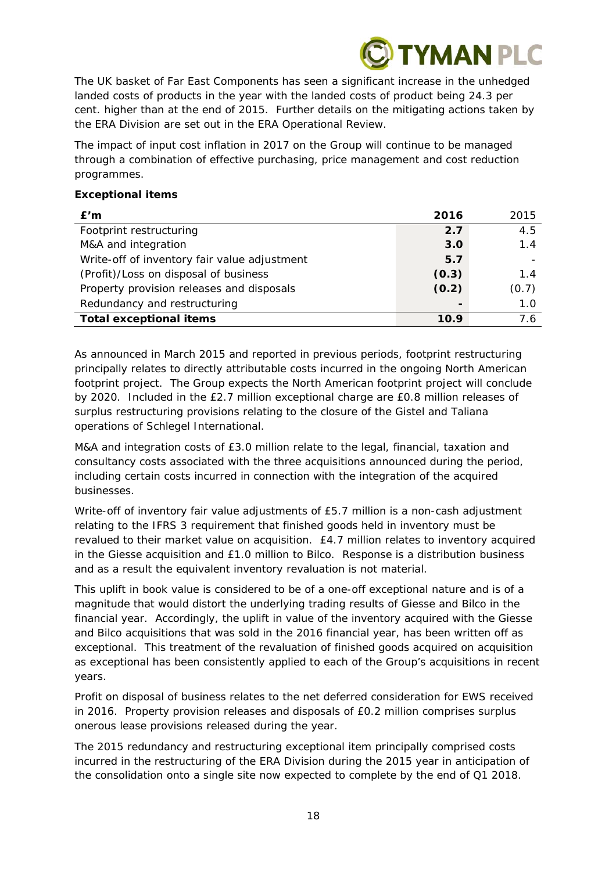

The UK basket of Far East Components has seen a significant increase in the unhedged landed costs of products in the year with the landed costs of product being 24.3 per cent. higher than at the end of 2015. Further details on the mitigating actions taken by the ERA Division are set out in the ERA Operational Review.

The impact of input cost inflation in 2017 on the Group will continue to be managed through a combination of effective purchasing, price management and cost reduction programmes.

## **Exceptional items**

| E'm                                          | 2016  | 2015  |
|----------------------------------------------|-------|-------|
| Footprint restructuring                      | 2.7   | 4.5   |
| M&A and integration                          | 3.0   | 1.4   |
| Write-off of inventory fair value adjustment | 5.7   |       |
| (Profit)/Loss on disposal of business        | (0.3) | 1.4   |
| Property provision releases and disposals    | (0.2) | (0.7) |
| Redundancy and restructuring                 |       | 1.0   |
| <b>Total exceptional items</b>               | 10.9  | 7.6   |

As announced in March 2015 and reported in previous periods, footprint restructuring principally relates to directly attributable costs incurred in the ongoing North American footprint project. The Group expects the North American footprint project will conclude by 2020. Included in the £2.7 million exceptional charge are £0.8 million releases of surplus restructuring provisions relating to the closure of the Gistel and Taliana operations of Schlegel International.

M&A and integration costs of £3.0 million relate to the legal, financial, taxation and consultancy costs associated with the three acquisitions announced during the period, including certain costs incurred in connection with the integration of the acquired businesses.

Write-off of inventory fair value adjustments of £5.7 million is a non-cash adjustment relating to the IFRS 3 requirement that finished goods held in inventory must be revalued to their market value on acquisition. £4.7 million relates to inventory acquired in the Giesse acquisition and £1.0 million to Bilco. Response is a distribution business and as a result the equivalent inventory revaluation is not material.

This uplift in book value is considered to be of a one-off exceptional nature and is of a magnitude that would distort the underlying trading results of Giesse and Bilco in the financial year. Accordingly, the uplift in value of the inventory acquired with the Giesse and Bilco acquisitions that was sold in the 2016 financial year, has been written off as exceptional. This treatment of the revaluation of finished goods acquired on acquisition as exceptional has been consistently applied to each of the Group's acquisitions in recent years.

Profit on disposal of business relates to the net deferred consideration for EWS received in 2016. Property provision releases and disposals of £0.2 million comprises surplus onerous lease provisions released during the year.

The 2015 redundancy and restructuring exceptional item principally comprised costs incurred in the restructuring of the ERA Division during the 2015 year in anticipation of the consolidation onto a single site now expected to complete by the end of Q1 2018.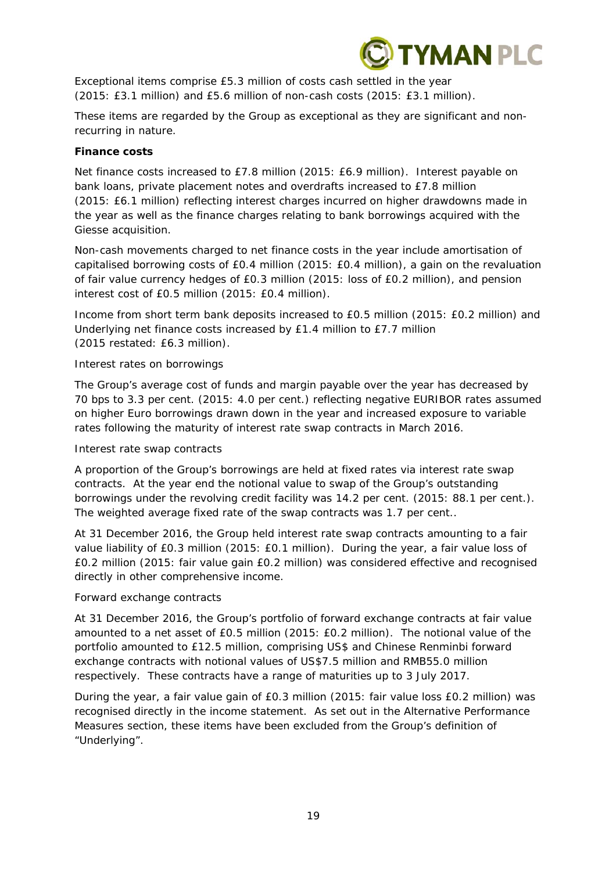

Exceptional items comprise £5.3 million of costs cash settled in the year (2015: £3.1 million) and £5.6 million of non-cash costs (2015: £3.1 million).

These items are regarded by the Group as exceptional as they are significant and nonrecurring in nature.

## **Finance costs**

Net finance costs increased to £7.8 million (2015: £6.9 million). Interest payable on bank loans, private placement notes and overdrafts increased to £7.8 million (2015: £6.1 million) reflecting interest charges incurred on higher drawdowns made in the year as well as the finance charges relating to bank borrowings acquired with the Giesse acquisition.

Non-cash movements charged to net finance costs in the year include amortisation of capitalised borrowing costs of £0.4 million (2015: £0.4 million), a gain on the revaluation of fair value currency hedges of £0.3 million (2015: loss of £0.2 million), and pension interest cost of £0.5 million (2015: £0.4 million).

Income from short term bank deposits increased to £0.5 million (2015: £0.2 million) and Underlying net finance costs increased by £1.4 million to £7.7 million (2015 restated: £6.3 million).

## *Interest rates on borrowings*

The Group's average cost of funds and margin payable over the year has decreased by 70 bps to 3.3 per cent. (2015: 4.0 per cent.) reflecting negative EURIBOR rates assumed on higher Euro borrowings drawn down in the year and increased exposure to variable rates following the maturity of interest rate swap contracts in March 2016.

## *Interest rate swap contracts*

A proportion of the Group's borrowings are held at fixed rates via interest rate swap contracts. At the year end the notional value to swap of the Group's outstanding borrowings under the revolving credit facility was 14.2 per cent. (2015: 88.1 per cent.). The weighted average fixed rate of the swap contracts was 1.7 per cent..

At 31 December 2016, the Group held interest rate swap contracts amounting to a fair value liability of £0.3 million (2015: £0.1 million). During the year, a fair value loss of £0.2 million (2015: fair value gain £0.2 million) was considered effective and recognised directly in other comprehensive income.

## *Forward exchange contracts*

At 31 December 2016, the Group's portfolio of forward exchange contracts at fair value amounted to a net asset of £0.5 million (2015: £0.2 million). The notional value of the portfolio amounted to £12.5 million, comprising US\$ and Chinese Renminbi forward exchange contracts with notional values of US\$7.5 million and RMB55.0 million respectively. These contracts have a range of maturities up to 3 July 2017.

During the year, a fair value gain of £0.3 million (2015: fair value loss £0.2 million) was recognised directly in the income statement. As set out in the Alternative Performance Measures section, these items have been excluded from the Group's definition of "Underlying".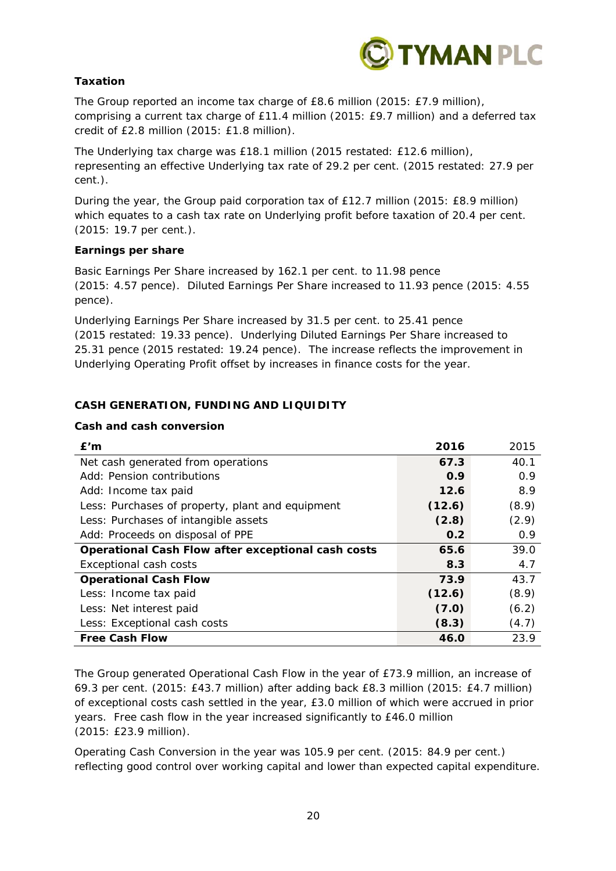

## **Taxation**

The Group reported an income tax charge of £8.6 million (2015: £7.9 million), comprising a current tax charge of £11.4 million (2015: £9.7 million) and a deferred tax credit of £2.8 million (2015: £1.8 million).

The Underlying tax charge was £18.1 million (2015 restated: £12.6 million), representing an effective Underlying tax rate of 29.2 per cent. (2015 restated: 27.9 per cent.).

During the year, the Group paid corporation tax of £12.7 million (2015: £8.9 million) which equates to a cash tax rate on Underlying profit before taxation of 20.4 per cent. (2015: 19.7 per cent.).

## **Earnings per share**

Basic Earnings Per Share increased by 162.1 per cent. to 11.98 pence (2015: 4.57 pence). Diluted Earnings Per Share increased to 11.93 pence (2015: 4.55 pence).

Underlying Earnings Per Share increased by 31.5 per cent. to 25.41 pence (2015 restated: 19.33 pence). Underlying Diluted Earnings Per Share increased to 25.31 pence (2015 restated: 19.24 pence). The increase reflects the improvement in Underlying Operating Profit offset by increases in finance costs for the year.

## **CASH GENERATION, FUNDING AND LIQUIDITY**

## **Cash and cash conversion**

| E'm                                                | 2016   | 2015  |
|----------------------------------------------------|--------|-------|
| Net cash generated from operations                 | 67.3   | 40.1  |
| Add: Pension contributions                         | 0.9    | 0.9   |
| Add: Income tax paid                               | 12.6   | 8.9   |
| Less: Purchases of property, plant and equipment   | (12.6) | (8.9) |
| Less: Purchases of intangible assets               | (2.8)  | (2.9) |
| Add: Proceeds on disposal of PPE                   | 0.2    | 0.9   |
| Operational Cash Flow after exceptional cash costs | 65.6   | 39.0  |
| Exceptional cash costs                             | 8.3    | 4.7   |
| <b>Operational Cash Flow</b>                       | 73.9   | 43.7  |
| Less: Income tax paid                              | (12.6) | (8.9) |
| Less: Net interest paid                            | (7.0)  | (6.2) |
| Less: Exceptional cash costs                       | (8.3)  | (4.7) |
| <b>Free Cash Flow</b>                              | 46.0   | 23.9  |

The Group generated Operational Cash Flow in the year of £73.9 million, an increase of 69.3 per cent. (2015: £43.7 million) after adding back £8.3 million (2015: £4.7 million) of exceptional costs cash settled in the year, £3.0 million of which were accrued in prior years. Free cash flow in the year increased significantly to £46.0 million (2015: £23.9 million).

Operating Cash Conversion in the year was 105.9 per cent. (2015: 84.9 per cent.) reflecting good control over working capital and lower than expected capital expenditure.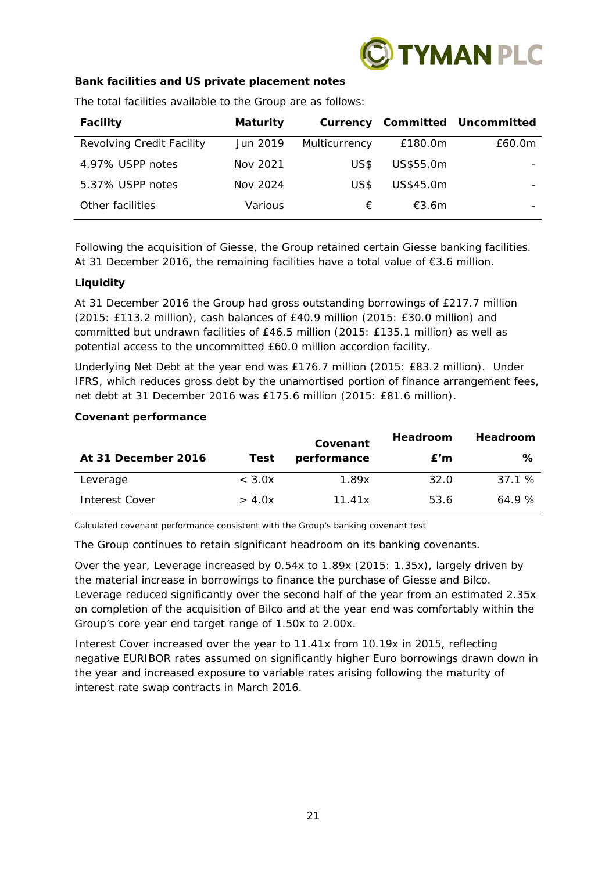

## **Bank facilities and US private placement notes**

| <b>Facility</b>           | <b>Maturity</b> |               |           | <b>Currency Committed Uncommitted</b> |
|---------------------------|-----------------|---------------|-----------|---------------------------------------|
| Revolving Credit Facility | Jun 2019        | Multicurrency | £180.0m   | £60.0m                                |
| 4.97% USPP notes          | Nov 2021        | US\$          | US\$55.0m |                                       |
| 5.37% USPP notes          | Nov 2024        | US\$          | US\$45.0m |                                       |
| Other facilities          | Various         | €             | £3.6m     |                                       |

The total facilities available to the Group are as follows:

Following the acquisition of Giesse, the Group retained certain Giesse banking facilities. At 31 December 2016, the remaining facilities have a total value of €3.6 million.

## **Liquidity**

At 31 December 2016 the Group had gross outstanding borrowings of £217.7 million (2015: £113.2 million), cash balances of £40.9 million (2015: £30.0 million) and committed but undrawn facilities of £46.5 million (2015: £135.1 million) as well as potential access to the uncommitted £60.0 million accordion facility.

Underlying Net Debt at the year end was £176.7 million (2015: £83.2 million). Under IFRS, which reduces gross debt by the unamortised portion of finance arrangement fees, net debt at 31 December 2016 was £175.6 million (2015: £81.6 million).

## **Covenant performance**

|                       |                  | Covenant    | <b>Headroom</b> | <b>Headroom</b> |
|-----------------------|------------------|-------------|-----------------|-----------------|
| At 31 December 2016   | Test             | performance | E'm             | ℅               |
| Leverage              | $<$ 3.0 $\times$ | 1.89x       | 32.0            | 37.1%           |
| <b>Interest Cover</b> | > 4.0x           | 11.41x      | 53.6            | 64.9%           |

*Calculated covenant performance consistent with the Group's banking covenant test*

The Group continues to retain significant headroom on its banking covenants.

Over the year, Leverage increased by 0.54x to 1.89x (2015: 1.35x), largely driven by the material increase in borrowings to finance the purchase of Giesse and Bilco. Leverage reduced significantly over the second half of the year from an estimated 2.35x on completion of the acquisition of Bilco and at the year end was comfortably within the Group's core year end target range of 1.50x to 2.00x.

Interest Cover increased over the year to 11.41x from 10.19x in 2015, reflecting negative EURIBOR rates assumed on significantly higher Euro borrowings drawn down in the year and increased exposure to variable rates arising following the maturity of interest rate swap contracts in March 2016.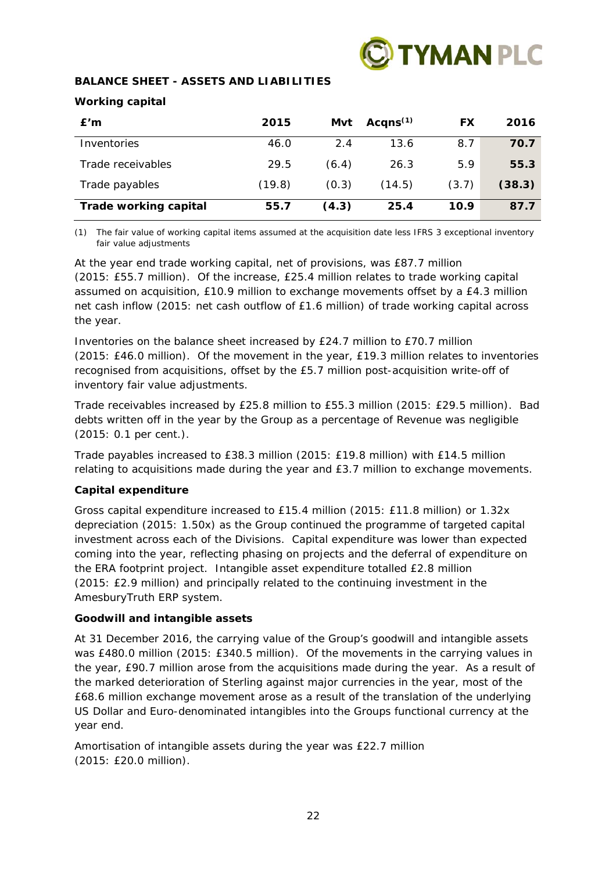

## **BALANCE SHEET - ASSETS AND LIABILITIES**

## **Working capital**

| E'm                          | 2015   | Mvt   | Acqns $(1)$ | FX    | 2016   |
|------------------------------|--------|-------|-------------|-------|--------|
| Inventories                  | 46.0   | 2.4   | 13.6        | 8.7   | 70.7   |
| Trade receivables            | 29.5   | (6.4) | 26.3        | 5.9   | 55.3   |
| Trade payables               | (19.8) | (0.3) | (14.5)      | (3.7) | (38.3) |
| <b>Trade working capital</b> | 55.7   | (4.3) | 25.4        | 10.9  | 87.7   |

*(1) The fair value of working capital items assumed at the acquisition date less IFRS 3 exceptional inventory fair value adjustments* 

At the year end trade working capital, net of provisions, was £87.7 million (2015: £55.7 million). Of the increase, £25.4 million relates to trade working capital assumed on acquisition, £10.9 million to exchange movements offset by a £4.3 million net cash inflow (2015: net cash outflow of £1.6 million) of trade working capital across the year.

Inventories on the balance sheet increased by £24.7 million to £70.7 million (2015: £46.0 million). Of the movement in the year, £19.3 million relates to inventories recognised from acquisitions, offset by the £5.7 million post-acquisition write-off of inventory fair value adjustments.

Trade receivables increased by £25.8 million to £55.3 million (2015: £29.5 million). Bad debts written off in the year by the Group as a percentage of Revenue was negligible (2015: 0.1 per cent.).

Trade payables increased to £38.3 million (2015: £19.8 million) with £14.5 million relating to acquisitions made during the year and £3.7 million to exchange movements.

## **Capital expenditure**

Gross capital expenditure increased to £15.4 million (2015: £11.8 million) or 1.32x depreciation (2015: 1.50x) as the Group continued the programme of targeted capital investment across each of the Divisions. Capital expenditure was lower than expected coming into the year, reflecting phasing on projects and the deferral of expenditure on the ERA footprint project. Intangible asset expenditure totalled £2.8 million (2015: £2.9 million) and principally related to the continuing investment in the AmesburyTruth ERP system.

## **Goodwill and intangible assets**

At 31 December 2016, the carrying value of the Group's goodwill and intangible assets was £480.0 million (2015: £340.5 million). Of the movements in the carrying values in the year, £90.7 million arose from the acquisitions made during the year. As a result of the marked deterioration of Sterling against major currencies in the year, most of the £68.6 million exchange movement arose as a result of the translation of the underlying US Dollar and Euro-denominated intangibles into the Groups functional currency at the year end.

Amortisation of intangible assets during the year was £22.7 million (2015: £20.0 million).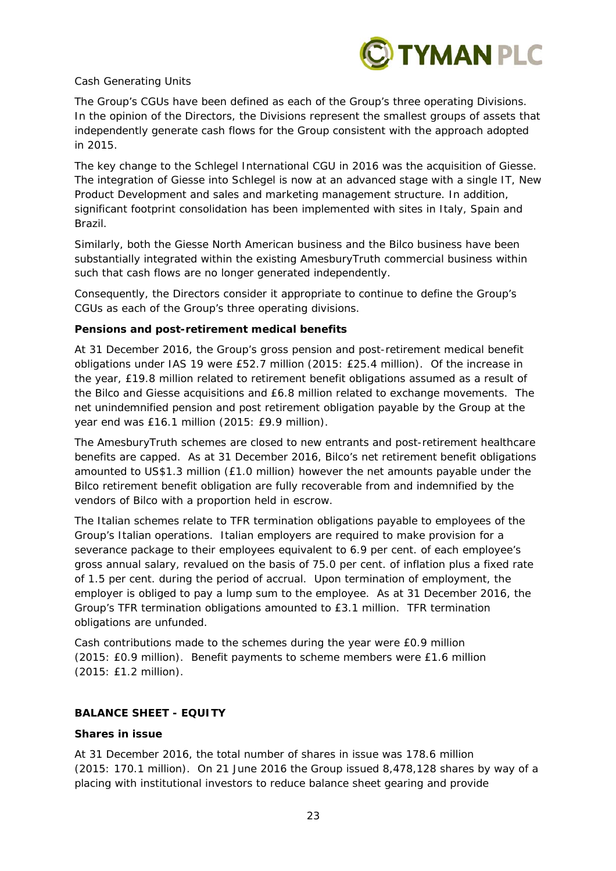

## *Cash Generating Units*

The Group's CGUs have been defined as each of the Group's three operating Divisions. In the opinion of the Directors, the Divisions represent the smallest groups of assets that independently generate cash flows for the Group consistent with the approach adopted in 2015.

The key change to the Schlegel International CGU in 2016 was the acquisition of Giesse. The integration of Giesse into Schlegel is now at an advanced stage with a single IT, New Product Development and sales and marketing management structure. In addition, significant footprint consolidation has been implemented with sites in Italy, Spain and Brazil.

Similarly, both the Giesse North American business and the Bilco business have been substantially integrated within the existing AmesburyTruth commercial business within such that cash flows are no longer generated independently.

Consequently, the Directors consider it appropriate to continue to define the Group's CGUs as each of the Group's three operating divisions.

## **Pensions and post-retirement medical benefits**

At 31 December 2016, the Group's gross pension and post-retirement medical benefit obligations under IAS 19 were £52.7 million (2015: £25.4 million). Of the increase in the year, £19.8 million related to retirement benefit obligations assumed as a result of the Bilco and Giesse acquisitions and £6.8 million related to exchange movements. The net unindemnified pension and post retirement obligation payable by the Group at the year end was £16.1 million (2015: £9.9 million).

The AmesburyTruth schemes are closed to new entrants and post-retirement healthcare benefits are capped. As at 31 December 2016, Bilco's net retirement benefit obligations amounted to US\$1.3 million (£1.0 million) however the net amounts payable under the Bilco retirement benefit obligation are fully recoverable from and indemnified by the vendors of Bilco with a proportion held in escrow.

The Italian schemes relate to TFR termination obligations payable to employees of the Group's Italian operations. Italian employers are required to make provision for a severance package to their employees equivalent to 6.9 per cent. of each employee's gross annual salary, revalued on the basis of 75.0 per cent. of inflation plus a fixed rate of 1.5 per cent. during the period of accrual. Upon termination of employment, the employer is obliged to pay a lump sum to the employee. As at 31 December 2016, the Group's TFR termination obligations amounted to £3.1 million. TFR termination obligations are unfunded.

Cash contributions made to the schemes during the year were £0.9 million (2015: £0.9 million). Benefit payments to scheme members were £1.6 million (2015: £1.2 million).

## **BALANCE SHEET - EQUITY**

## **Shares in issue**

At 31 December 2016, the total number of shares in issue was 178.6 million (2015: 170.1 million). On 21 June 2016 the Group issued 8,478,128 shares by way of a placing with institutional investors to reduce balance sheet gearing and provide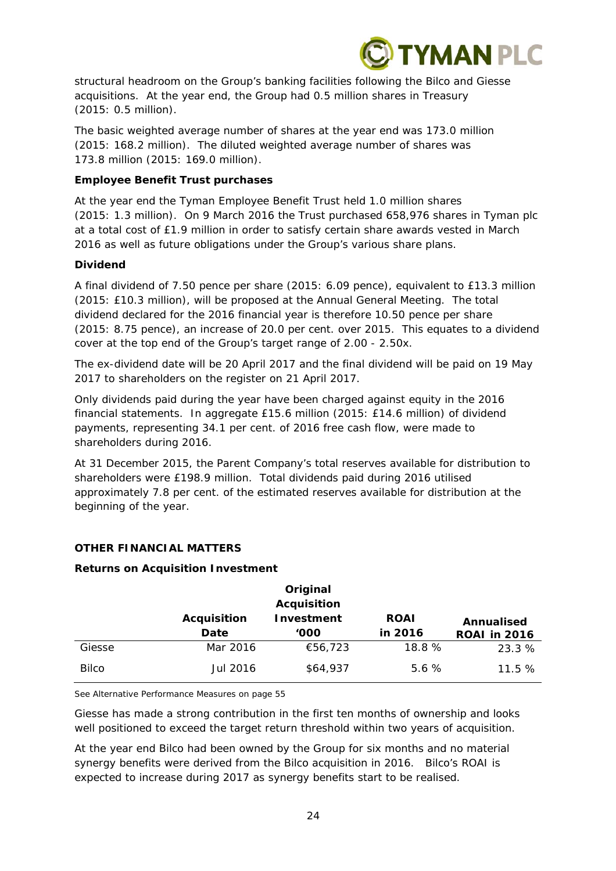

structural headroom on the Group's banking facilities following the Bilco and Giesse acquisitions. At the year end, the Group had 0.5 million shares in Treasury (2015: 0.5 million).

The basic weighted average number of shares at the year end was 173.0 million (2015: 168.2 million). The diluted weighted average number of shares was 173.8 million (2015: 169.0 million).

## **Employee Benefit Trust purchases**

At the year end the Tyman Employee Benefit Trust held 1.0 million shares (2015: 1.3 million). On 9 March 2016 the Trust purchased 658,976 shares in Tyman plc at a total cost of £1.9 million in order to satisfy certain share awards vested in March 2016 as well as future obligations under the Group's various share plans.

## **Dividend**

A final dividend of 7.50 pence per share (2015: 6.09 pence), equivalent to £13.3 million (2015: £10.3 million), will be proposed at the Annual General Meeting. The total dividend declared for the 2016 financial year is therefore 10.50 pence per share (2015: 8.75 pence), an increase of 20.0 per cent. over 2015. This equates to a dividend cover at the top end of the Group's target range of 2.00 - 2.50x.

The ex-dividend date will be 20 April 2017 and the final dividend will be paid on 19 May 2017 to shareholders on the register on 21 April 2017.

Only dividends paid during the year have been charged against equity in the 2016 financial statements. In aggregate £15.6 million (2015: £14.6 million) of dividend payments, representing 34.1 per cent. of 2016 free cash flow, were made to shareholders during 2016.

At 31 December 2015, the Parent Company's total reserves available for distribution to shareholders were £198.9 million. Total dividends paid during 2016 utilised approximately 7.8 per cent. of the estimated reserves available for distribution at the beginning of the year.

## **OTHER FINANCIAL MATTERS**

## **Returns on Acquisition Investment**

|              |                    | Original           |             |                     |
|--------------|--------------------|--------------------|-------------|---------------------|
|              |                    | <b>Acquisition</b> |             |                     |
|              | <b>Acquisition</b> | Investment         | <b>ROAI</b> | Annualised          |
|              | Date               | '000'              | in 2016     | <b>ROAI</b> in 2016 |
| Giesse       | Mar 2016           | €56,723            | 18.8 %      | 23.3 %              |
| <b>Bilco</b> | Jul 2016           | \$64,937           | 5.6%        | 11.5%               |

*See Alternative Performance Measures on page 55*

Giesse has made a strong contribution in the first ten months of ownership and looks well positioned to exceed the target return threshold within two years of acquisition.

At the year end Bilco had been owned by the Group for six months and no material synergy benefits were derived from the Bilco acquisition in 2016. Bilco's ROAI is expected to increase during 2017 as synergy benefits start to be realised.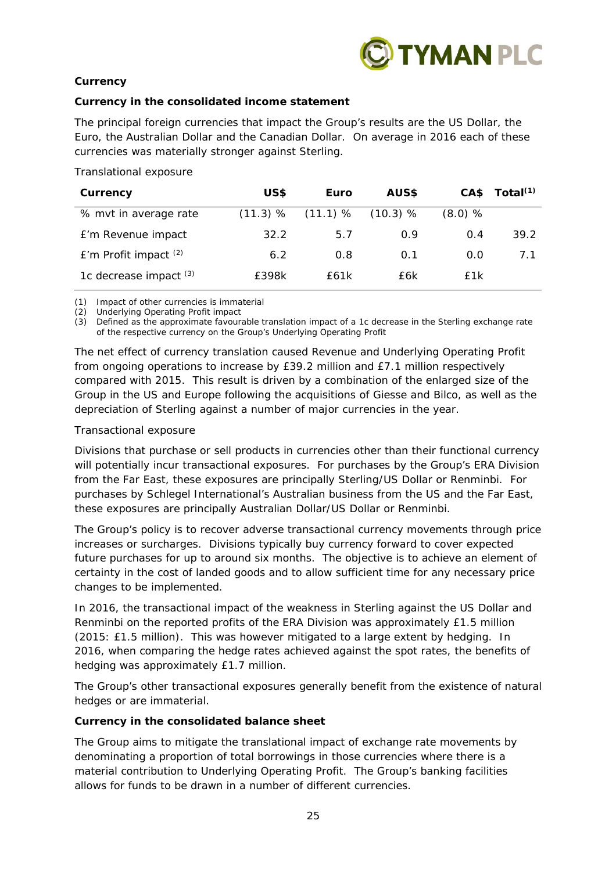

## **Currency**

## *Currency in the consolidated income statement*

The principal foreign currencies that impact the Group's results are the US Dollar, the Euro, the Australian Dollar and the Canadian Dollar. On average in 2016 each of these currencies was materially stronger against Sterling.

## *Translational exposure*

| Currency                  | US\$     | Euro       | AUS\$    |           | $CAS$ Total <sup>(1)</sup> |
|---------------------------|----------|------------|----------|-----------|----------------------------|
| % myt in average rate     | (11.3) % | $(11.1)$ % | (10.3) % | $(8.0)$ % |                            |
| £'m Revenue impact        | 32.2     | 5.7        | 0.9      | 0.4       | 39.2                       |
| $E'm$ Profit impact $(2)$ | 6.2      | 0.8        | 0.1      | 0.0       | 7.1                        |
| 1c decrease impact $(3)$  | £398k    | f61k       | £6k      | £1k       |                            |

*(1) Impact of other currencies is immaterial* 

*(2) Underlying Operating Profit impact* 

*(3) Defined as the approximate favourable translation impact of a 1c decrease in the Sterling exchange rate of the respective currency on the Group's Underlying Operating Profit* 

The net effect of currency translation caused Revenue and Underlying Operating Profit from ongoing operations to increase by £39.2 million and £7.1 million respectively compared with 2015. This result is driven by a combination of the enlarged size of the Group in the US and Europe following the acquisitions of Giesse and Bilco, as well as the depreciation of Sterling against a number of major currencies in the year.

## *Transactional exposure*

Divisions that purchase or sell products in currencies other than their functional currency will potentially incur transactional exposures. For purchases by the Group's ERA Division from the Far East, these exposures are principally Sterling/US Dollar or Renminbi. For purchases by Schlegel International's Australian business from the US and the Far East, these exposures are principally Australian Dollar/US Dollar or Renminbi.

The Group's policy is to recover adverse transactional currency movements through price increases or surcharges. Divisions typically buy currency forward to cover expected future purchases for up to around six months. The objective is to achieve an element of certainty in the cost of landed goods and to allow sufficient time for any necessary price changes to be implemented.

In 2016, the transactional impact of the weakness in Sterling against the US Dollar and Renminbi on the reported profits of the ERA Division was approximately £1.5 million (2015: £1.5 million). This was however mitigated to a large extent by hedging. In 2016, when comparing the hedge rates achieved against the spot rates, the benefits of hedging was approximately £1.7 million.

The Group's other transactional exposures generally benefit from the existence of natural hedges or are immaterial.

## *Currency in the consolidated balance sheet*

The Group aims to mitigate the translational impact of exchange rate movements by denominating a proportion of total borrowings in those currencies where there is a material contribution to Underlying Operating Profit. The Group's banking facilities allows for funds to be drawn in a number of different currencies.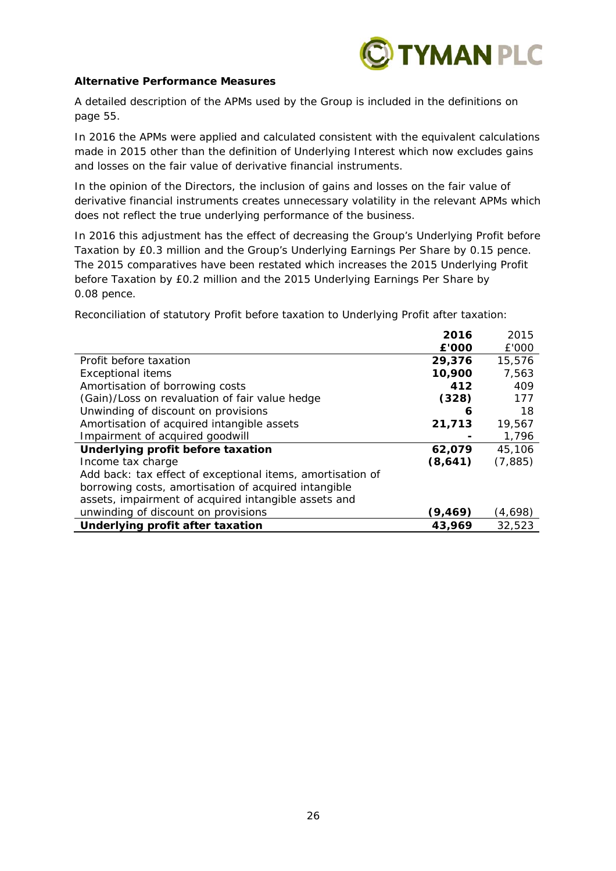

## **Alternative Performance Measures**

A detailed description of the APMs used by the Group is included in the definitions on page 55.

In 2016 the APMs were applied and calculated consistent with the equivalent calculations made in 2015 other than the definition of Underlying Interest which now excludes gains and losses on the fair value of derivative financial instruments.

In the opinion of the Directors, the inclusion of gains and losses on the fair value of derivative financial instruments creates unnecessary volatility in the relevant APMs which does not reflect the true underlying performance of the business.

In 2016 this adjustment has the effect of decreasing the Group's Underlying Profit before Taxation by £0.3 million and the Group's Underlying Earnings Per Share by 0.15 pence. The 2015 comparatives have been restated which increases the 2015 Underlying Profit before Taxation by £0.2 million and the 2015 Underlying Earnings Per Share by 0.08 pence.

Reconciliation of statutory Profit before taxation to Underlying Profit after taxation:

|                                                            | 2016    | 2015     |
|------------------------------------------------------------|---------|----------|
|                                                            | £'000   | £'000    |
| Profit before taxation                                     | 29,376  | 15,576   |
| <b>Exceptional items</b>                                   | 10,900  | 7,563    |
| Amortisation of borrowing costs                            | 412     | 409      |
| (Gain)/Loss on revaluation of fair value hedge             | (328)   | 177      |
| Unwinding of discount on provisions                        | 6       | 18       |
| Amortisation of acquired intangible assets                 | 21,713  | 19,567   |
| Impairment of acquired goodwill                            |         | 1,796    |
| Underlying profit before taxation                          | 62,079  | 45,106   |
| Income tax charge                                          | (8,641) | (7, 885) |
| Add back: tax effect of exceptional items, amortisation of |         |          |
| borrowing costs, amortisation of acquired intangible       |         |          |
| assets, impairment of acquired intangible assets and       |         |          |
| unwinding of discount on provisions                        | (9,469) | (4,698)  |
| Underlying profit after taxation                           | 43,969  | 32,523   |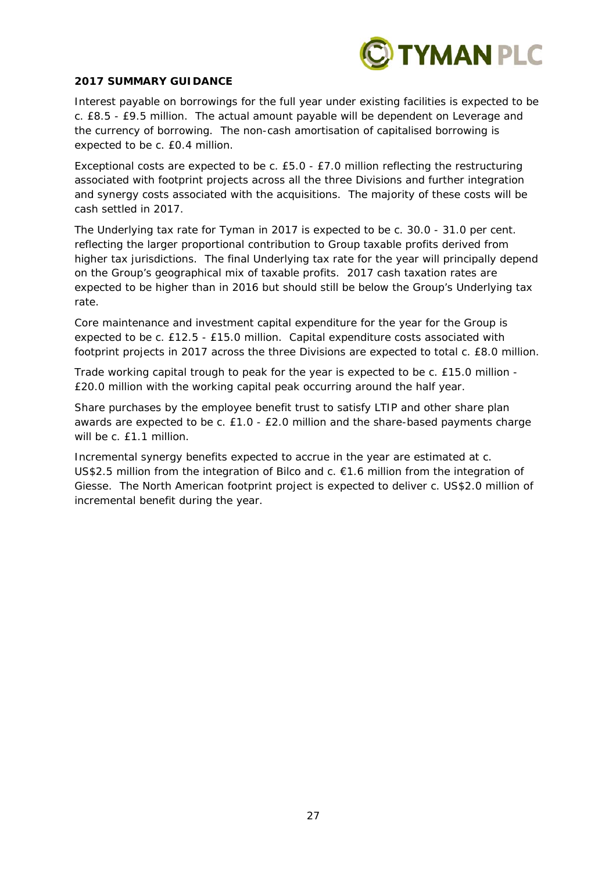

## **2017 SUMMARY GUIDANCE**

Interest payable on borrowings for the full year under existing facilities is expected to be c. £8.5 - £9.5 million. The actual amount payable will be dependent on Leverage and the currency of borrowing. The non-cash amortisation of capitalised borrowing is expected to be c. £0.4 million.

Exceptional costs are expected to be c. £5.0 - £7.0 million reflecting the restructuring associated with footprint projects across all the three Divisions and further integration and synergy costs associated with the acquisitions. The majority of these costs will be cash settled in 2017.

The Underlying tax rate for Tyman in 2017 is expected to be c. 30.0 - 31.0 per cent. reflecting the larger proportional contribution to Group taxable profits derived from higher tax jurisdictions. The final Underlying tax rate for the year will principally depend on the Group's geographical mix of taxable profits. 2017 cash taxation rates are expected to be higher than in 2016 but should still be below the Group's Underlying tax rate.

Core maintenance and investment capital expenditure for the year for the Group is expected to be c. £12.5 - £15.0 million. Capital expenditure costs associated with footprint projects in 2017 across the three Divisions are expected to total c. £8.0 million.

Trade working capital trough to peak for the year is expected to be c. £15.0 million - £20.0 million with the working capital peak occurring around the half year.

Share purchases by the employee benefit trust to satisfy LTIP and other share plan awards are expected to be c. £1.0 - £2.0 million and the share-based payments charge will be c. £1.1 million.

Incremental synergy benefits expected to accrue in the year are estimated at c. US\$2.5 million from the integration of Bilco and  $c. €1.6$  million from the integration of Giesse. The North American footprint project is expected to deliver c. US\$2.0 million of incremental benefit during the year.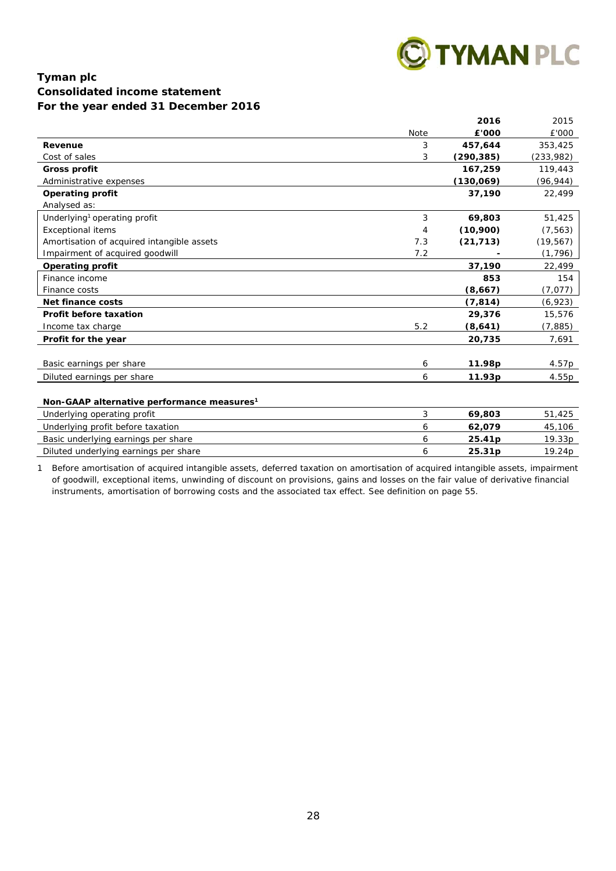

## **Tyman plc Consolidated income statement For the year ended 31 December 2016**

|                                                        |             | 2016       | 2015       |
|--------------------------------------------------------|-------------|------------|------------|
|                                                        | <b>Note</b> | £'000      | £'000      |
| Revenue                                                | 3           | 457,644    | 353,425    |
| Cost of sales                                          | 3           | (290, 385) | (233, 982) |
| <b>Gross profit</b>                                    |             | 167,259    | 119,443    |
| Administrative expenses                                |             | (130,069)  | (96, 944)  |
| <b>Operating profit</b>                                |             | 37,190     | 22,499     |
| Analysed as:                                           |             |            |            |
| Underlying <sup>1</sup> operating profit               | 3           | 69,803     | 51,425     |
| <b>Exceptional items</b>                               | 4           | (10,900)   | (7, 563)   |
| Amortisation of acquired intangible assets             | 7.3         | (21, 713)  | (19, 567)  |
| Impairment of acquired goodwill                        | 7.2         |            | (1, 796)   |
| <b>Operating profit</b>                                |             | 37,190     | 22,499     |
| Finance income                                         |             | 853        | 154        |
| Finance costs                                          |             | (8,667)    | (7,077)    |
| Net finance costs                                      |             | (7, 814)   | (6,923)    |
| Profit before taxation                                 |             | 29,376     | 15,576     |
| Income tax charge                                      | 5.2         | (8,641)    | (7, 885)   |
| Profit for the year                                    |             | 20,735     | 7,691      |
|                                                        |             |            |            |
| Basic earnings per share                               | 6           | 11.98p     | 4.57p      |
| Diluted earnings per share                             | 6           | 11.93p     | 4.55p      |
|                                                        |             |            |            |
| Non-GAAP alternative performance measures <sup>1</sup> |             |            |            |
| Underlying operating profit                            | 3           | 69,803     | 51,425     |
| Underlying profit before taxation                      | 6           | 62,079     | 45,106     |
| Basic underlying earnings per share                    | 6           | 25.41p     | 19.33p     |
| Diluted underlying earnings per share                  | 6           | 25.31p     | 19.24p     |

1 Before amortisation of acquired intangible assets, deferred taxation on amortisation of acquired intangible assets, impairment of goodwill, exceptional items, unwinding of discount on provisions, gains and losses on the fair value of derivative financial instruments, amortisation of borrowing costs and the associated tax effect. See definition on page 55.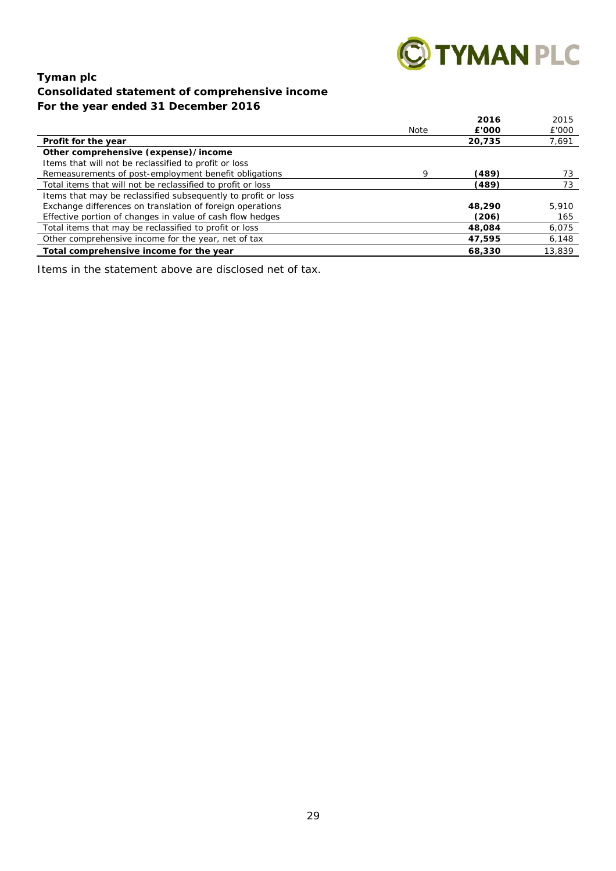

## **Tyman plc Consolidated statement of comprehensive income For the year ended 31 December 2016**

|                                                               |      | 2016   | 2015   |
|---------------------------------------------------------------|------|--------|--------|
|                                                               | Note | £'000  | £'000  |
| Profit for the year                                           |      | 20,735 | 7,691  |
| Other comprehensive (expense)/income                          |      |        |        |
| Items that will not be reclassified to profit or loss         |      |        |        |
| Remeasurements of post-employment benefit obligations         | Q    | (489)  | 73     |
| Total items that will not be reclassified to profit or loss   |      | (489)  | 73     |
| Items that may be reclassified subsequently to profit or loss |      |        |        |
| Exchange differences on translation of foreign operations     |      | 48,290 | 5,910  |
| Effective portion of changes in value of cash flow hedges     |      | (206)  | 165    |
| Total items that may be reclassified to profit or loss        |      | 48,084 | 6,075  |
| Other comprehensive income for the year, net of tax           |      | 47,595 | 6,148  |
| Total comprehensive income for the year                       |      | 68,330 | 13,839 |

Items in the statement above are disclosed net of tax.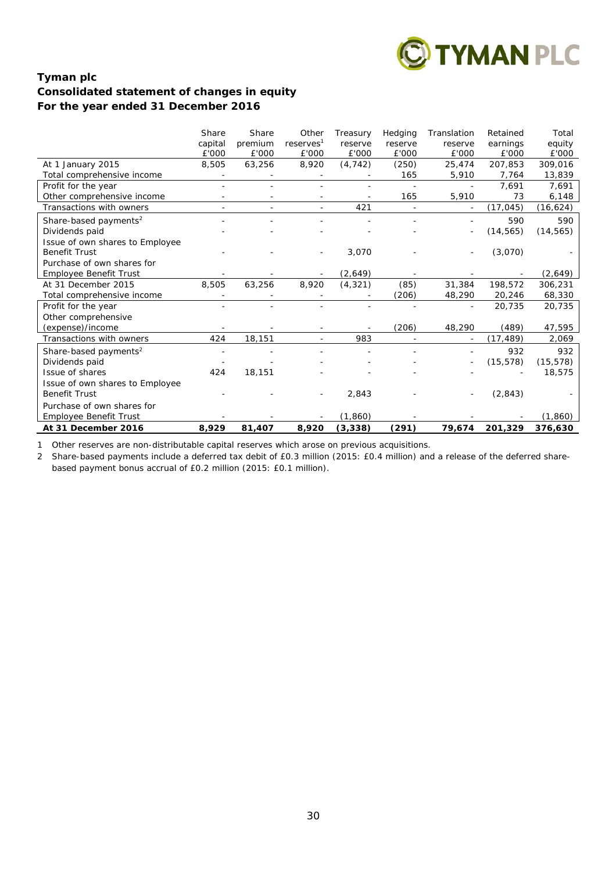

## **Tyman plc Consolidated statement of changes in equity For the year ended 31 December 2016**

|                                                         | Share<br>capital | Share<br>premium | Other<br>reserves <sup>1</sup> | Treasury<br>reserve | Hedging<br>reserve | Translation<br>reserve | Retained<br>earnings | Total<br>equity  |
|---------------------------------------------------------|------------------|------------------|--------------------------------|---------------------|--------------------|------------------------|----------------------|------------------|
|                                                         | £'000            | £'000            | £'000                          | £'000               | £'000              | £'000<br>25.474        | £'000                | £'000<br>309.016 |
| At 1 January 2015<br>Total comprehensive income         | 8,505            | 63,256           | 8,920                          | (4, 742)            | (250)<br>165       | 5,910                  | 207,853<br>7,764     | 13,839           |
| Profit for the year                                     |                  |                  |                                |                     |                    |                        | 7,691                | 7,691            |
| Other comprehensive income                              |                  |                  |                                |                     | 165                | 5,910                  | 73                   | 6,148            |
| Transactions with owners                                |                  |                  |                                | 421                 |                    |                        | (17, 045)            | (16, 624)        |
|                                                         |                  |                  |                                |                     |                    |                        |                      |                  |
| Share-based payments <sup>2</sup>                       |                  |                  |                                |                     |                    |                        | 590                  | 590              |
| Dividends paid                                          |                  |                  |                                |                     |                    |                        | (14, 565)            | (14, 565)        |
| Issue of own shares to Employee<br><b>Benefit Trust</b> |                  |                  |                                | 3,070               |                    |                        |                      |                  |
| Purchase of own shares for                              |                  |                  |                                |                     |                    |                        | (3,070)              |                  |
| Employee Benefit Trust                                  |                  |                  |                                | (2,649)             |                    |                        |                      | (2,649)          |
| At 31 December 2015                                     | 8,505            | 63,256           | 8,920                          | (4, 321)            | (85)               | 31,384                 | 198,572              | 306,231          |
| Total comprehensive income                              |                  |                  |                                |                     | (206)              | 48,290                 | 20,246               | 68,330           |
| Profit for the year                                     |                  |                  |                                |                     |                    |                        | 20,735               | 20,735           |
| Other comprehensive                                     |                  |                  |                                |                     |                    |                        |                      |                  |
| (expense)/income                                        |                  |                  |                                |                     | (206)              | 48,290                 | (489)                | 47,595           |
| Transactions with owners                                | 424              | 18,151           |                                | 983                 |                    |                        | (17, 489)            | 2,069            |
| Share-based payments <sup>2</sup>                       |                  |                  |                                |                     |                    |                        | 932                  | 932              |
| Dividends paid                                          |                  |                  |                                |                     |                    |                        | (15, 578)            | (15, 578)        |
| Issue of shares                                         | 424              | 18,151           |                                |                     |                    |                        |                      | 18,575           |
| Issue of own shares to Employee                         |                  |                  |                                |                     |                    |                        |                      |                  |
| <b>Benefit Trust</b>                                    |                  |                  |                                | 2,843               |                    |                        | (2,843)              |                  |
| Purchase of own shares for                              |                  |                  |                                |                     |                    |                        |                      |                  |
| Employee Benefit Trust                                  |                  |                  |                                | (1,860)             |                    |                        |                      | (1,860)          |
| At 31 December 2016                                     | 8,929            | 81,407           | 8,920                          | (3, 338)            | (291)              | 79,674                 | 201,329              | 376,630          |

1 Other reserves are non-distributable capital reserves which arose on previous acquisitions.

2 Share-based payments include a deferred tax debit of £0.3 million (2015: £0.4 million) and a release of the deferred sharebased payment bonus accrual of £0.2 million (2015: £0.1 million).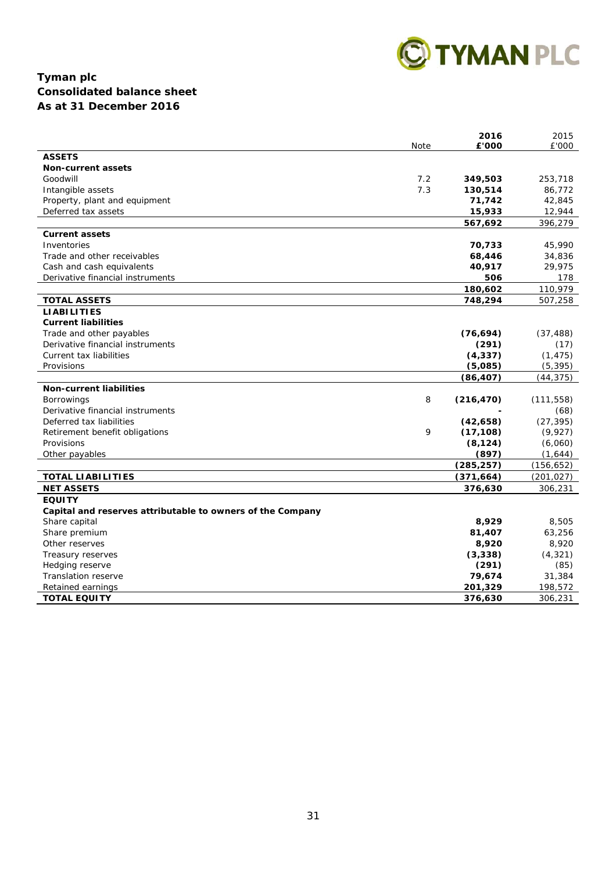

## **Tyman plc Consolidated balance sheet As at 31 December 2016**

|                                                            | Note | 2016<br>£'000 | 2015<br>£'000 |
|------------------------------------------------------------|------|---------------|---------------|
| <b>ASSETS</b>                                              |      |               |               |
| <b>Non-current assets</b>                                  |      |               |               |
| Goodwill                                                   | 7.2  | 349,503       | 253,718       |
| Intangible assets                                          | 7.3  | 130,514       | 86,772        |
| Property, plant and equipment                              |      | 71,742        | 42,845        |
| Deferred tax assets                                        |      | 15,933        | 12,944        |
|                                                            |      | 567,692       | 396,279       |
| <b>Current assets</b>                                      |      |               |               |
| Inventories                                                |      | 70,733        | 45,990        |
| Trade and other receivables                                |      | 68,446        | 34,836        |
| Cash and cash equivalents                                  |      | 40,917        | 29,975        |
| Derivative financial instruments                           |      | 506           | 178           |
|                                                            |      | 180,602       | 110,979       |
| <b>TOTAL ASSETS</b>                                        |      | 748,294       | 507,258       |
| <b>LIABILITIES</b>                                         |      |               |               |
| <b>Current liabilities</b>                                 |      |               |               |
| Trade and other payables                                   |      | (76, 694)     | (37, 488)     |
| Derivative financial instruments                           |      | (291)         | (17)          |
| Current tax liabilities                                    |      | (4, 337)      | (1, 475)      |
| Provisions                                                 |      | (5,085)       | (5, 395)      |
|                                                            |      | (86, 407)     | (44, 375)     |
| <b>Non-current liabilities</b>                             |      |               |               |
| <b>Borrowings</b>                                          | 8    | (216, 470)    | (111, 558)    |
| Derivative financial instruments                           |      |               | (68)          |
| Deferred tax liabilities                                   |      | (42, 658)     | (27, 395)     |
| Retirement benefit obligations                             | 9    | (17, 108)     | (9, 927)      |
| Provisions                                                 |      | (8, 124)      | (6,060)       |
| Other payables                                             |      | (897)         | (1,644)       |
|                                                            |      | (285, 257)    | (156, 652)    |
| <b>TOTAL LIABILITIES</b>                                   |      | (371, 664)    | (201, 027)    |
| <b>NET ASSETS</b>                                          |      | 376,630       | 306,231       |
| <b>EQUITY</b>                                              |      |               |               |
| Capital and reserves attributable to owners of the Company |      |               |               |
| Share capital                                              |      | 8,929         | 8,505         |
| Share premium                                              |      | 81,407        | 63,256        |
| Other reserves                                             |      | 8,920         | 8,920         |
| Treasury reserves                                          |      | (3, 338)      | (4, 321)      |
| Hedging reserve                                            |      | (291)         | (85)          |
| <b>Translation reserve</b>                                 |      | 79,674        | 31,384        |
| Retained earnings                                          |      | 201,329       | 198,572       |
| <b>TOTAL EQUITY</b>                                        |      | 376,630       | 306,231       |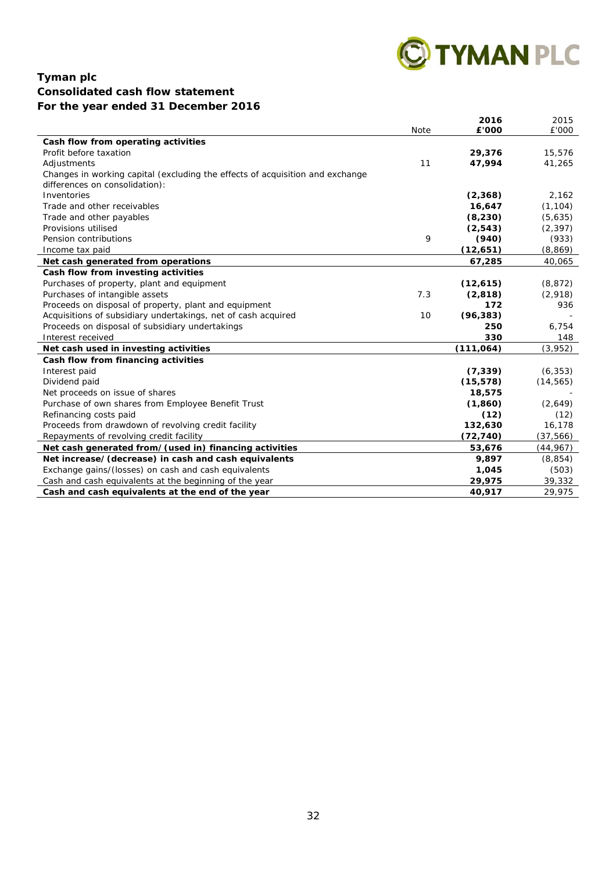

## **Tyman plc Consolidated cash flow statement For the year ended 31 December 2016**

|                                                                               | Note | 2016<br>£'000 | 2015<br>£'000 |
|-------------------------------------------------------------------------------|------|---------------|---------------|
| Cash flow from operating activities                                           |      |               |               |
| Profit before taxation                                                        |      | 29,376        | 15,576        |
| Adjustments                                                                   | 11   | 47,994        | 41,265        |
| Changes in working capital (excluding the effects of acquisition and exchange |      |               |               |
| differences on consolidation):                                                |      |               |               |
| Inventories                                                                   |      | (2,368)       | 2,162         |
| Trade and other receivables                                                   |      | 16,647        | (1, 104)      |
| Trade and other payables                                                      |      | (8, 230)      | (5,635)       |
| Provisions utilised                                                           |      | (2, 543)      | (2, 397)      |
| Pension contributions                                                         | 9    | (940)         | (933)         |
| Income tax paid                                                               |      | (12, 651)     | (8, 869)      |
| Net cash generated from operations                                            |      | 67,285        | 40,065        |
| Cash flow from investing activities                                           |      |               |               |
| Purchases of property, plant and equipment                                    |      | (12,615)      | (8, 872)      |
| Purchases of intangible assets                                                | 7.3  | (2,818)       | (2,918)       |
| Proceeds on disposal of property, plant and equipment                         |      | 172           | 936           |
| Acquisitions of subsidiary undertakings, net of cash acquired                 | 10   | (96, 383)     |               |
| Proceeds on disposal of subsidiary undertakings                               |      | 250           | 6,754         |
| Interest received                                                             |      | 330           | 148           |
| Net cash used in investing activities                                         |      | (111, 064)    | (3,952)       |
| Cash flow from financing activities                                           |      |               |               |
| Interest paid                                                                 |      | (7, 339)      | (6, 353)      |
| Dividend paid                                                                 |      | (15, 578)     | (14, 565)     |
| Net proceeds on issue of shares                                               |      | 18,575        |               |
| Purchase of own shares from Employee Benefit Trust                            |      | (1, 860)      | (2,649)       |
| Refinancing costs paid                                                        |      | (12)          | (12)          |
| Proceeds from drawdown of revolving credit facility                           |      | 132,630       | 16,178        |
| Repayments of revolving credit facility                                       |      | (72, 740)     | (37, 566)     |
| Net cash generated from/(used in) financing activities                        |      | 53,676        | (44, 967)     |
| Net increase/(decrease) in cash and cash equivalents                          |      | 9,897         | (8, 854)      |
| Exchange gains/(losses) on cash and cash equivalents                          |      | 1,045         | (503)         |
| Cash and cash equivalents at the beginning of the year                        |      | 29,975        | 39,332        |
| Cash and cash equivalents at the end of the year                              |      | 40,917        | 29.975        |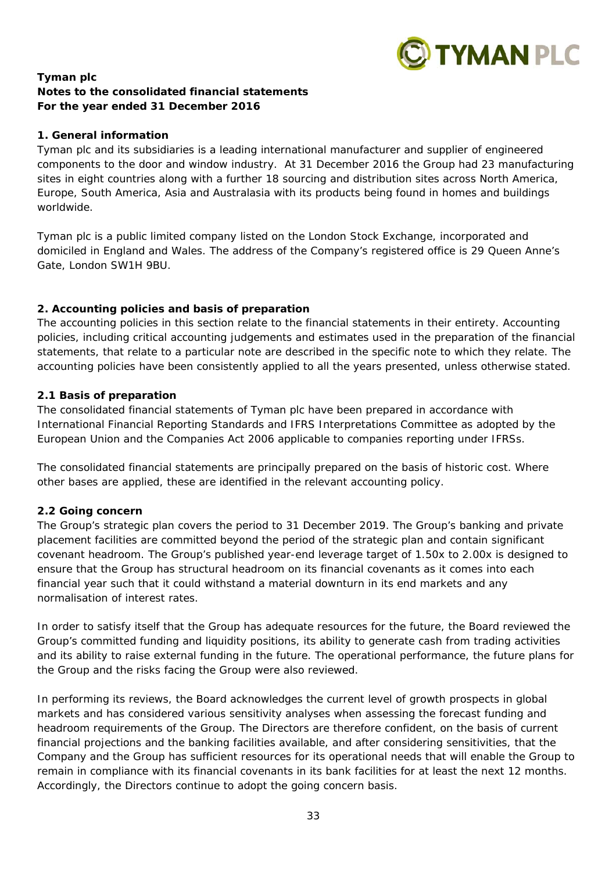

## **Tyman plc Notes to the consolidated financial statements For the year ended 31 December 2016**

## **1. General information**

Tyman plc and its subsidiaries is a leading international manufacturer and supplier of engineered components to the door and window industry. At 31 December 2016 the Group had 23 manufacturing sites in eight countries along with a further 18 sourcing and distribution sites across North America, Europe, South America, Asia and Australasia with its products being found in homes and buildings worldwide.

Tyman plc is a public limited company listed on the London Stock Exchange, incorporated and domiciled in England and Wales. The address of the Company's registered office is 29 Queen Anne's Gate, London SW1H 9BU.

## **2. Accounting policies and basis of preparation**

The accounting policies in this section relate to the financial statements in their entirety. Accounting policies, including critical accounting judgements and estimates used in the preparation of the financial statements, that relate to a particular note are described in the specific note to which they relate. The accounting policies have been consistently applied to all the years presented, unless otherwise stated.

## *2.1 Basis of preparation*

The consolidated financial statements of Tyman plc have been prepared in accordance with International Financial Reporting Standards and IFRS Interpretations Committee as adopted by the European Union and the Companies Act 2006 applicable to companies reporting under IFRSs.

The consolidated financial statements are principally prepared on the basis of historic cost. Where other bases are applied, these are identified in the relevant accounting policy.

## *2.2 Going concern*

The Group's strategic plan covers the period to 31 December 2019. The Group's banking and private placement facilities are committed beyond the period of the strategic plan and contain significant covenant headroom. The Group's published year-end leverage target of 1.50x to 2.00x is designed to ensure that the Group has structural headroom on its financial covenants as it comes into each financial year such that it could withstand a material downturn in its end markets and any normalisation of interest rates.

In order to satisfy itself that the Group has adequate resources for the future, the Board reviewed the Group's committed funding and liquidity positions, its ability to generate cash from trading activities and its ability to raise external funding in the future. The operational performance, the future plans for the Group and the risks facing the Group were also reviewed.

In performing its reviews, the Board acknowledges the current level of growth prospects in global markets and has considered various sensitivity analyses when assessing the forecast funding and headroom requirements of the Group. The Directors are therefore confident, on the basis of current financial projections and the banking facilities available, and after considering sensitivities, that the Company and the Group has sufficient resources for its operational needs that will enable the Group to remain in compliance with its financial covenants in its bank facilities for at least the next 12 months. Accordingly, the Directors continue to adopt the going concern basis.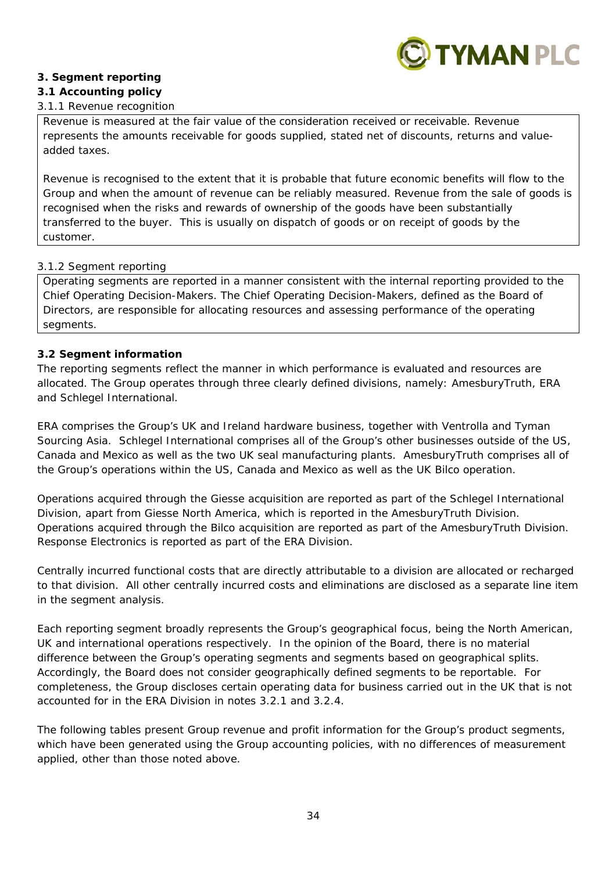

## **3. Segment reporting**

## *3.1 Accounting policy*

## *3.1.1 Revenue recognition*

Revenue is measured at the fair value of the consideration received or receivable. Revenue represents the amounts receivable for goods supplied, stated net of discounts, returns and valueadded taxes.

Revenue is recognised to the extent that it is probable that future economic benefits will flow to the Group and when the amount of revenue can be reliably measured. Revenue from the sale of goods is recognised when the risks and rewards of ownership of the goods have been substantially transferred to the buyer. This is usually on dispatch of goods or on receipt of goods by the customer.

## *3.1.2 Segment reporting*

Operating segments are reported in a manner consistent with the internal reporting provided to the Chief Operating Decision-Makers. The Chief Operating Decision-Makers, defined as the Board of Directors, are responsible for allocating resources and assessing performance of the operating segments.

## *3.2 Segment information*

The reporting segments reflect the manner in which performance is evaluated and resources are allocated. The Group operates through three clearly defined divisions, namely: AmesburyTruth, ERA and Schlegel International.

ERA comprises the Group's UK and Ireland hardware business, together with Ventrolla and Tyman Sourcing Asia. Schlegel International comprises all of the Group's other businesses outside of the US, Canada and Mexico as well as the two UK seal manufacturing plants. AmesburyTruth comprises all of the Group's operations within the US, Canada and Mexico as well as the UK Bilco operation.

Operations acquired through the Giesse acquisition are reported as part of the Schlegel International Division, apart from Giesse North America, which is reported in the AmesburyTruth Division. Operations acquired through the Bilco acquisition are reported as part of the AmesburyTruth Division. Response Electronics is reported as part of the ERA Division.

Centrally incurred functional costs that are directly attributable to a division are allocated or recharged to that division. All other centrally incurred costs and eliminations are disclosed as a separate line item in the segment analysis.

Each reporting segment broadly represents the Group's geographical focus, being the North American, UK and international operations respectively. In the opinion of the Board, there is no material difference between the Group's operating segments and segments based on geographical splits. Accordingly, the Board does not consider geographically defined segments to be reportable. For completeness, the Group discloses certain operating data for business carried out in the UK that is not accounted for in the ERA Division in notes 3.2.1 and 3.2.4.

The following tables present Group revenue and profit information for the Group's product segments, which have been generated using the Group accounting policies, with no differences of measurement applied, other than those noted above.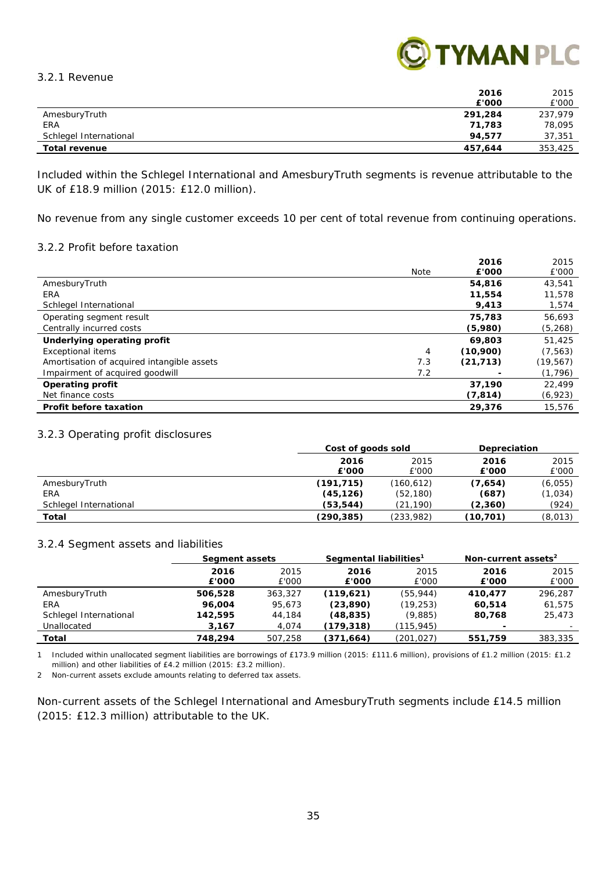*3.2.1 Revenue* 



|                        | 2016    | 2015    |
|------------------------|---------|---------|
|                        | £'000   | £'000   |
| AmesburyTruth          | 291,284 | 237.979 |
| ERA                    | 71,783  | 78,095  |
| Schlegel International | 94.577  | 37,351  |
| <b>Total revenue</b>   | 457,644 | 353,425 |

Included within the Schlegel International and AmesburyTruth segments is revenue attributable to the UK of £18.9 million (2015: £12.0 million).

No revenue from any single customer exceeds 10 per cent of total revenue from continuing operations.

## *3.2.2 Profit before taxation*

|                                            |      | 2016      | 2015      |
|--------------------------------------------|------|-----------|-----------|
|                                            | Note | £'000     | £'000     |
| AmesburyTruth                              |      | 54,816    | 43,541    |
| ERA                                        |      | 11,554    | 11,578    |
| Schlegel International                     |      | 9,413     | 1,574     |
| Operating segment result                   |      | 75,783    | 56,693    |
| Centrally incurred costs                   |      | (5,980)   | (5, 268)  |
| Underlying operating profit                |      | 69,803    | 51,425    |
| <b>Exceptional items</b>                   | 4    | (10,900)  | (7, 563)  |
| Amortisation of acquired intangible assets | 7.3  | (21, 713) | (19, 567) |
| Impairment of acquired goodwill            | 7.2  |           | (1, 796)  |
| Operating profit                           |      | 37.190    | 22,499    |
| Net finance costs                          |      | (7, 814)  | (6,923)   |
| Profit before taxation                     |      | 29,376    | 15,576    |

#### *3.2.3 Operating profit disclosures*

|                        | Cost of goods sold |            | Depreciation |         |
|------------------------|--------------------|------------|--------------|---------|
|                        | 2016               | 2015       | 2016         | 2015    |
|                        | £'000              | £'000      | £'000        | £'000   |
| AmesburyTruth          | (191, 715)         | (160, 612) | (7,654)      | (6,055) |
| ERA                    | (45, 126)          | (52, 180)  | (687)        | (1,034) |
| Schlegel International | (53,544)           | (21, 190)  | (2,360)      | (924)   |
| Total                  | (290, 385)         | (233,982)  | (10,701)     | (8,013) |

#### *3.2.4 Segment assets and liabilities*

|                        | Segment assets |         | Segmental liabilities <sup>1</sup> |           | Non-current assets <sup>2</sup> |         |
|------------------------|----------------|---------|------------------------------------|-----------|---------------------------------|---------|
|                        | 2016           | 2015    | 2016                               | 2015      | 2016                            | 2015    |
|                        | £'000          | £'000   | £'000                              | £'000     | £'000                           | £'000   |
| AmesburyTruth          | 506,528        | 363,327 | (119,621)                          | (55, 944) | 410.477                         | 296.287 |
| ERA                    | 96.004         | 95.673  | (23, 890)                          | (19, 253) | 60.514                          | 61,575  |
| Schlegel International | 142,595        | 44,184  | (48,835)                           | (9,885)   | 80.768                          | 25,473  |
| Unallocated            | 3,167          | 4,074   | (179, 318)                         | (115,945) | $\overline{\phantom{a}}$        | -       |
| Total                  | 748,294        | 507.258 | (371, 664)                         | (201,027) | 551,759                         | 383,335 |

1 Included within unallocated segment liabilities are borrowings of £173.9 million (2015: £111.6 million), provisions of £1.2 million (2015: £1.2 million) and other liabilities of £4.2 million (2015: £3.2 million).

2 Non-current assets exclude amounts relating to deferred tax assets.

Non-current assets of the Schlegel International and AmesburyTruth segments include £14.5 million (2015: £12.3 million) attributable to the UK.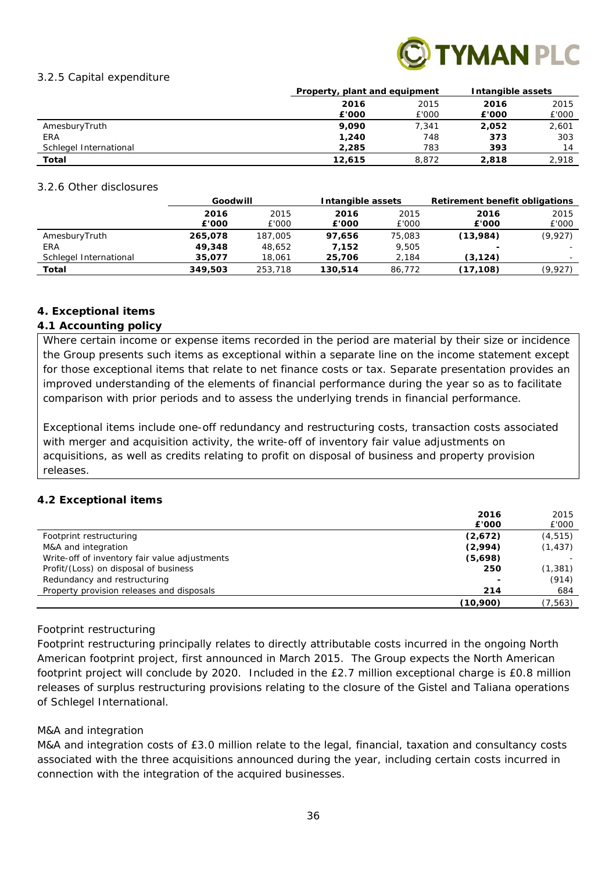

#### *3.2.5 Capital expenditure*

|                        | Property, plant and equipment |       | Intangible assets |       |
|------------------------|-------------------------------|-------|-------------------|-------|
|                        | 2016                          | 2015  |                   | 2015  |
|                        | £'000                         | £'000 | £'000             | £'000 |
| AmesburyTruth          | 9,090                         | 7,341 | 2,052             | 2,601 |
| <b>ERA</b>             | 1,240                         | 748   | 373               | 303   |
| Schlegel International | 2,285                         | 783   | 393               | 14    |
| Total                  | 12,615                        | 8.872 | 2,818             | 2,918 |

#### *3.2.6 Other disclosures*

|                        | Goodwill |         | Intangible assets |        | Retirement benefit obligations |          |
|------------------------|----------|---------|-------------------|--------|--------------------------------|----------|
|                        | 2016     | 2015    | 2016              | 2015   | 2016                           | 2015     |
|                        | £'000    | £'000   | £'000             | £'000  | £'000                          | £'000    |
| AmesburyTruth          | 265,078  | 187,005 | 97.656            | 75,083 | (13,984)                       | (9, 927) |
| ERA                    | 49,348   | 48,652  | 7.152             | 9.505  | $\overline{\phantom{a}}$       |          |
| Schlegel International | 35.077   | 18.061  | 25,706            | 2,184  | (3, 124)                       |          |
| Total                  | 349,503  | 253,718 | 130.514           | 86,772 | (17, 108)                      | (9,927)  |

## **4. Exceptional items**

## *4.1 Accounting policy*

Where certain income or expense items recorded in the period are material by their size or incidence the Group presents such items as exceptional within a separate line on the income statement except for those exceptional items that relate to net finance costs or tax. Separate presentation provides an improved understanding of the elements of financial performance during the year so as to facilitate comparison with prior periods and to assess the underlying trends in financial performance.

Exceptional items include one-off redundancy and restructuring costs, transaction costs associated with merger and acquisition activity, the write-off of inventory fair value adjustments on acquisitions, as well as credits relating to profit on disposal of business and property provision releases.

## *4.2 Exceptional items*

| 2016                                                     | 2015     |
|----------------------------------------------------------|----------|
| £'000                                                    | £'000    |
| (2,672)<br>Footprint restructuring                       | (4, 515) |
| (2,994)<br>M&A and integration                           | (1, 437) |
| (5,698)<br>Write-off of inventory fair value adjustments |          |
| Profit/(Loss) on disposal of business<br>250             | (1,381)  |
| Redundancy and restructuring                             | (914)    |
| Property provision releases and disposals<br>214         | 684      |
| (10,900)                                                 | (7, 563) |

## *Footprint restructuring*

Footprint restructuring principally relates to directly attributable costs incurred in the ongoing North American footprint project, first announced in March 2015. The Group expects the North American footprint project will conclude by 2020. Included in the £2.7 million exceptional charge is £0.8 million releases of surplus restructuring provisions relating to the closure of the Gistel and Taliana operations of Schlegel International.

## *M&A and integration*

M&A and integration costs of £3.0 million relate to the legal, financial, taxation and consultancy costs associated with the three acquisitions announced during the year, including certain costs incurred in connection with the integration of the acquired businesses.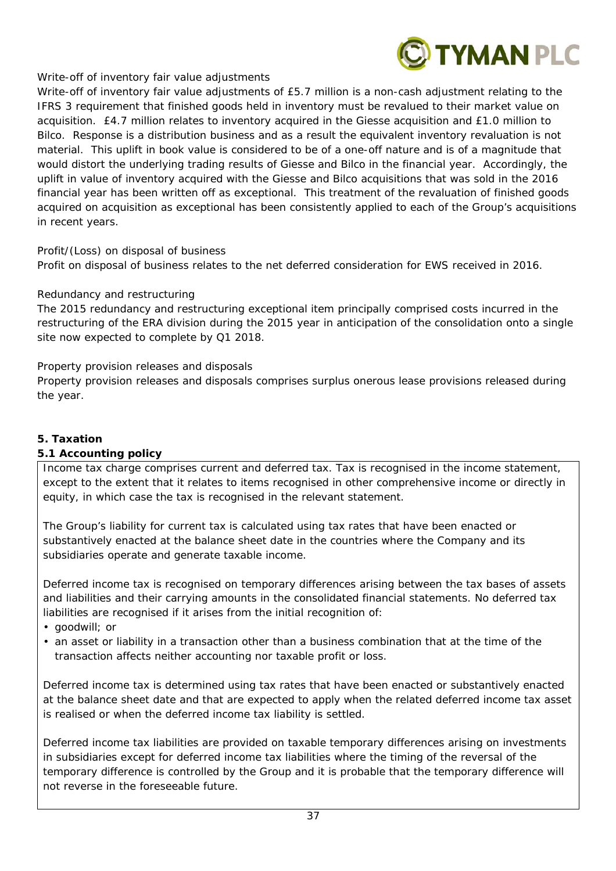

## *Write-off of inventory fair value adjustments*

Write-off of inventory fair value adjustments of £5.7 million is a non-cash adjustment relating to the IFRS 3 requirement that finished goods held in inventory must be revalued to their market value on acquisition. £4.7 million relates to inventory acquired in the Giesse acquisition and £1.0 million to Bilco. Response is a distribution business and as a result the equivalent inventory revaluation is not material. This uplift in book value is considered to be of a one-off nature and is of a magnitude that would distort the underlying trading results of Giesse and Bilco in the financial year. Accordingly, the uplift in value of inventory acquired with the Giesse and Bilco acquisitions that was sold in the 2016 financial year has been written off as exceptional. This treatment of the revaluation of finished goods acquired on acquisition as exceptional has been consistently applied to each of the Group's acquisitions in recent years.

## *Profit/(Loss) on disposal of business*

Profit on disposal of business relates to the net deferred consideration for EWS received in 2016.

## *Redundancy and restructuring*

The 2015 redundancy and restructuring exceptional item principally comprised costs incurred in the restructuring of the ERA division during the 2015 year in anticipation of the consolidation onto a single site now expected to complete by Q1 2018.

## *Property provision releases and disposals*

Property provision releases and disposals comprises surplus onerous lease provisions released during the year.

## **5. Taxation**

## *5.1 Accounting policy*

Income tax charge comprises current and deferred tax. Tax is recognised in the income statement, except to the extent that it relates to items recognised in other comprehensive income or directly in equity, in which case the tax is recognised in the relevant statement.

The Group's liability for current tax is calculated using tax rates that have been enacted or substantively enacted at the balance sheet date in the countries where the Company and its subsidiaries operate and generate taxable income.

Deferred income tax is recognised on temporary differences arising between the tax bases of assets and liabilities and their carrying amounts in the consolidated financial statements. No deferred tax liabilities are recognised if it arises from the initial recognition of:

- goodwill; or
- an asset or liability in a transaction other than a business combination that at the time of the transaction affects neither accounting nor taxable profit or loss.

Deferred income tax is determined using tax rates that have been enacted or substantively enacted at the balance sheet date and that are expected to apply when the related deferred income tax asset is realised or when the deferred income tax liability is settled.

Deferred income tax liabilities are provided on taxable temporary differences arising on investments in subsidiaries except for deferred income tax liabilities where the timing of the reversal of the temporary difference is controlled by the Group and it is probable that the temporary difference will not reverse in the foreseeable future.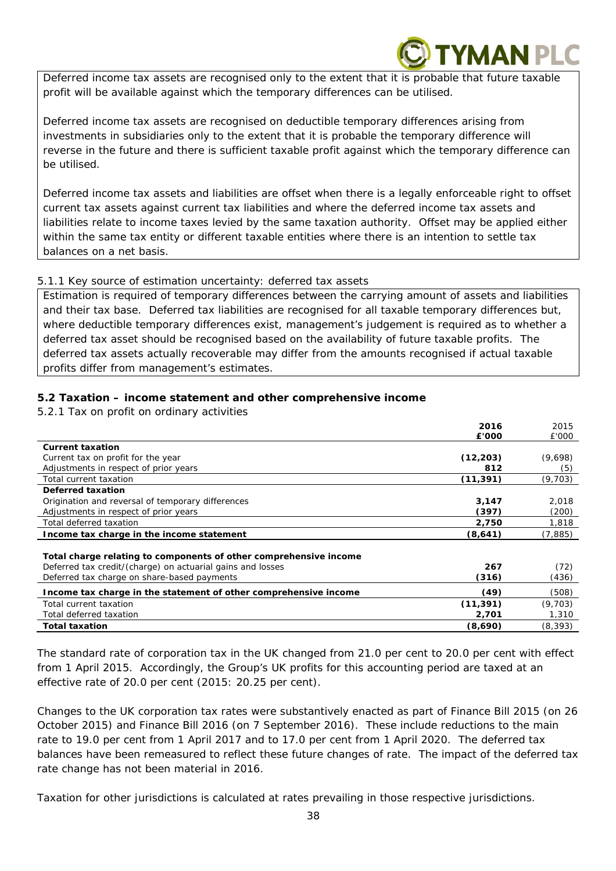Deferred income tax assets are recognised only to the extent that it is probable that future taxable profit will be available against which the temporary differences can be utilised.

YMAN PLO

Deferred income tax assets are recognised on deductible temporary differences arising from investments in subsidiaries only to the extent that it is probable the temporary difference will reverse in the future and there is sufficient taxable profit against which the temporary difference can be utilised.

Deferred income tax assets and liabilities are offset when there is a legally enforceable right to offset current tax assets against current tax liabilities and where the deferred income tax assets and liabilities relate to income taxes levied by the same taxation authority. Offset may be applied either within the same tax entity or different taxable entities where there is an intention to settle tax balances on a net basis.

## *5.1.1 Key source of estimation uncertainty: deferred tax assets*

Estimation is required of temporary differences between the carrying amount of assets and liabilities and their tax base. Deferred tax liabilities are recognised for all taxable temporary differences but, where deductible temporary differences exist, management's judgement is required as to whether a deferred tax asset should be recognised based on the availability of future taxable profits. The deferred tax assets actually recoverable may differ from the amounts recognised if actual taxable profits differ from management's estimates.

## *5.2 Taxation – income statement and other comprehensive income*

*5.2.1 Tax on profit on ordinary activities* 

|                                                                   | 2016      | 2015     |
|-------------------------------------------------------------------|-----------|----------|
|                                                                   | £'000     | £'000    |
| <b>Current taxation</b>                                           |           |          |
| Current tax on profit for the year                                | (12, 203) | (9,698)  |
| Adjustments in respect of prior years                             | 812       | (5)      |
| Total current taxation                                            | (11,391)  | (9,703)  |
| Deferred taxation                                                 |           |          |
| Origination and reversal of temporary differences                 | 3,147     | 2,018    |
| Adjustments in respect of prior years                             | (397)     | (200)    |
| Total deferred taxation                                           | 2,750     | 1,818    |
| Income tax charge in the income statement                         | (8,641)   | (7, 885) |
| Total charge relating to components of other comprehensive income |           |          |
| Deferred tax credit/(charge) on actuarial gains and losses        | 267       | (72)     |
| Deferred tax charge on share-based payments                       | (316)     | (436)    |
| Income tax charge in the statement of other comprehensive income  | (49)      | (508)    |
| Total current taxation                                            | (11, 391) | (9,703)  |
| Total deferred taxation                                           | 2,701     | 1,310    |
| <b>Total taxation</b>                                             | (8,690)   | (8,393)  |

The standard rate of corporation tax in the UK changed from 21.0 per cent to 20.0 per cent with effect from 1 April 2015. Accordingly, the Group's UK profits for this accounting period are taxed at an effective rate of 20.0 per cent (2015: 20.25 per cent).

Changes to the UK corporation tax rates were substantively enacted as part of Finance Bill 2015 (on 26 October 2015) and Finance Bill 2016 (on 7 September 2016). These include reductions to the main rate to 19.0 per cent from 1 April 2017 and to 17.0 per cent from 1 April 2020. The deferred tax balances have been remeasured to reflect these future changes of rate. The impact of the deferred tax rate change has not been material in 2016.

Taxation for other jurisdictions is calculated at rates prevailing in those respective jurisdictions.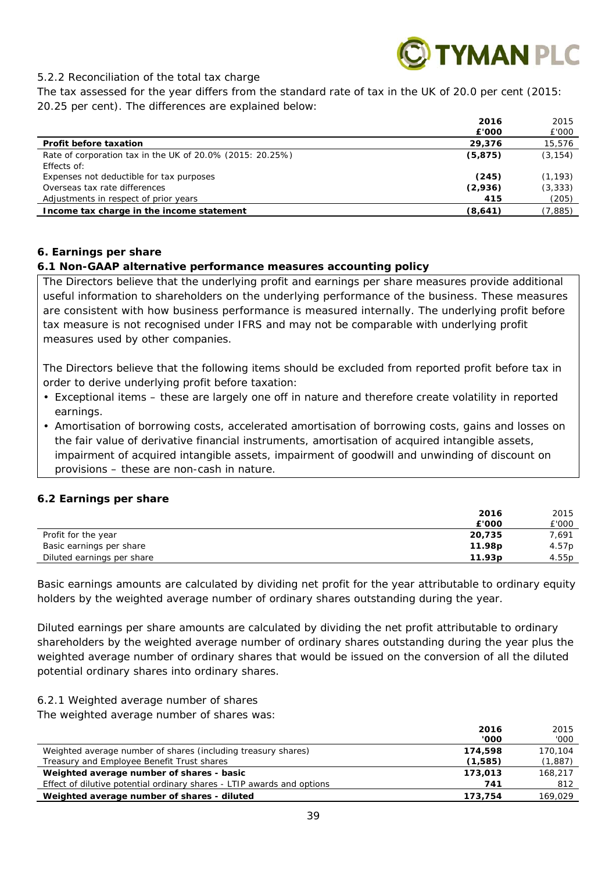

## *5.2.2 Reconciliation of the total tax charge*

The tax assessed for the year differs from the standard rate of tax in the UK of 20.0 per cent (2015: 20.25 per cent). The differences are explained below:

|                                                           | 2016     | 2015     |
|-----------------------------------------------------------|----------|----------|
|                                                           | £'000    | £'000    |
| <b>Profit before taxation</b>                             | 29,376   | 15,576   |
| Rate of corporation tax in the UK of 20.0% (2015: 20.25%) | (5, 875) | (3, 154) |
| Effects of:                                               |          |          |
| Expenses not deductible for tax purposes                  | (245)    | (1, 193) |
| Overseas tax rate differences                             | (2,936)  | (3, 333) |
| Adjustments in respect of prior years                     | 415      | (205)    |
| Income tax charge in the income statement                 | (8,641)  | (7,885)  |

## **6. Earnings per share**

## *6.1 Non-GAAP alternative performance measures accounting policy*

The Directors believe that the underlying profit and earnings per share measures provide additional useful information to shareholders on the underlying performance of the business. These measures are consistent with how business performance is measured internally. The underlying profit before tax measure is not recognised under IFRS and may not be comparable with underlying profit measures used by other companies.

The Directors believe that the following items should be excluded from reported profit before tax in order to derive underlying profit before taxation:

- Exceptional items these are largely one off in nature and therefore create volatility in reported earnings.
- Amortisation of borrowing costs, accelerated amortisation of borrowing costs, gains and losses on the fair value of derivative financial instruments, amortisation of acquired intangible assets, impairment of acquired intangible assets, impairment of goodwill and unwinding of discount on provisions – these are non-cash in nature.

## *6.2 Earnings per share*

|                            | 2016               | 2015  |
|----------------------------|--------------------|-------|
|                            | £'000              | £'000 |
| Profit for the year        | 20,735             | 7,691 |
| Basic earnings per share   | 11.98 <sub>p</sub> | 4.57p |
| Diluted earnings per share | 11.93 <sub>p</sub> | 4.55p |

Basic earnings amounts are calculated by dividing net profit for the year attributable to ordinary equity holders by the weighted average number of ordinary shares outstanding during the year.

Diluted earnings per share amounts are calculated by dividing the net profit attributable to ordinary shareholders by the weighted average number of ordinary shares outstanding during the year plus the weighted average number of ordinary shares that would be issued on the conversion of all the diluted potential ordinary shares into ordinary shares.

## *6.2.1 Weighted average number of shares*

The weighted average number of shares was:

|                                                                        | 2016    | 2015    |
|------------------------------------------------------------------------|---------|---------|
|                                                                        | '000    | '000    |
| Weighted average number of shares (including treasury shares)          | 174,598 | 170.104 |
| Treasury and Employee Benefit Trust shares                             | (1,585) | (1,887) |
| Weighted average number of shares - basic                              | 173,013 | 168,217 |
| Effect of dilutive potential ordinary shares - LTIP awards and options | 741     | -812    |
| Weighted average number of shares - diluted                            | 173.754 | 169.029 |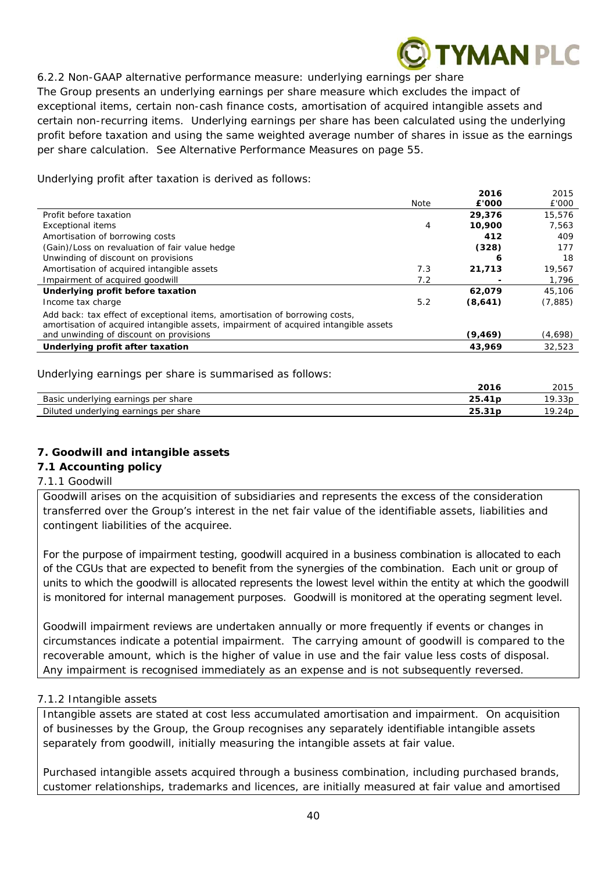## **YMAN PLC**

## *6.2.2 Non-GAAP alternative performance measure: underlying earnings per share*

The Group presents an underlying earnings per share measure which excludes the impact of exceptional items, certain non-cash finance costs, amortisation of acquired intangible assets and certain non-recurring items. Underlying earnings per share has been calculated using the underlying profit before taxation and using the same weighted average number of shares in issue as the earnings per share calculation. See Alternative Performance Measures on page 55.

Underlying profit after taxation is derived as follows:

|                                                                                                                                                                     |             | 2016     | 2015    |
|---------------------------------------------------------------------------------------------------------------------------------------------------------------------|-------------|----------|---------|
|                                                                                                                                                                     | <b>Note</b> | £'000    | £'000   |
| Profit before taxation                                                                                                                                              |             | 29,376   | 15,576  |
| <b>Exceptional items</b>                                                                                                                                            | 4           | 10,900   | 7,563   |
| Amortisation of borrowing costs                                                                                                                                     |             | 412      | 409     |
| (Gain)/Loss on revaluation of fair value hedge                                                                                                                      |             | (328)    | 177     |
| Unwinding of discount on provisions                                                                                                                                 |             | 6        | 18      |
| Amortisation of acquired intangible assets                                                                                                                          | 7.3         | 21,713   | 19,567  |
| Impairment of acquired goodwill                                                                                                                                     | 7.2         |          | 1,796   |
| Underlying profit before taxation                                                                                                                                   |             | 62,079   | 45,106  |
| Income tax charge                                                                                                                                                   | 5.2         | (8,641)  | (7,885) |
| Add back: tax effect of exceptional items, amortisation of borrowing costs,<br>amortisation of acquired intangible assets, impairment of acquired intangible assets |             |          |         |
| and unwinding of discount on provisions                                                                                                                             |             | (9, 469) | (4,698) |
| Underlying profit after taxation                                                                                                                                    |             | 43,969   | 32,523  |
|                                                                                                                                                                     |             |          |         |

Underlying earnings per share is summarised as follows:

|                                                   | 201<br>2010            | 2015                |
|---------------------------------------------------|------------------------|---------------------|
| Basic<br>share<br>earnings<br>underlving<br>, per | ، 25<br>$\overline{A}$ | 10<br>つつい<br>. 331. |
| Diluted underlying<br>earnings<br>per share       | 25.31p                 | 10<br>/24p          |

## **7. Goodwill and intangible assets**

## *7.1 Accounting policy*

## *7.1.1 Goodwill*

Goodwill arises on the acquisition of subsidiaries and represents the excess of the consideration transferred over the Group's interest in the net fair value of the identifiable assets, liabilities and contingent liabilities of the acquiree.

For the purpose of impairment testing, goodwill acquired in a business combination is allocated to each of the CGUs that are expected to benefit from the synergies of the combination. Each unit or group of units to which the goodwill is allocated represents the lowest level within the entity at which the goodwill is monitored for internal management purposes. Goodwill is monitored at the operating segment level.

Goodwill impairment reviews are undertaken annually or more frequently if events or changes in circumstances indicate a potential impairment. The carrying amount of goodwill is compared to the recoverable amount, which is the higher of value in use and the fair value less costs of disposal. Any impairment is recognised immediately as an expense and is not subsequently reversed.

## *7.1.2 Intangible assets*

Intangible assets are stated at cost less accumulated amortisation and impairment. On acquisition of businesses by the Group, the Group recognises any separately identifiable intangible assets separately from goodwill, initially measuring the intangible assets at fair value.

Purchased intangible assets acquired through a business combination, including purchased brands, customer relationships, trademarks and licences, are initially measured at fair value and amortised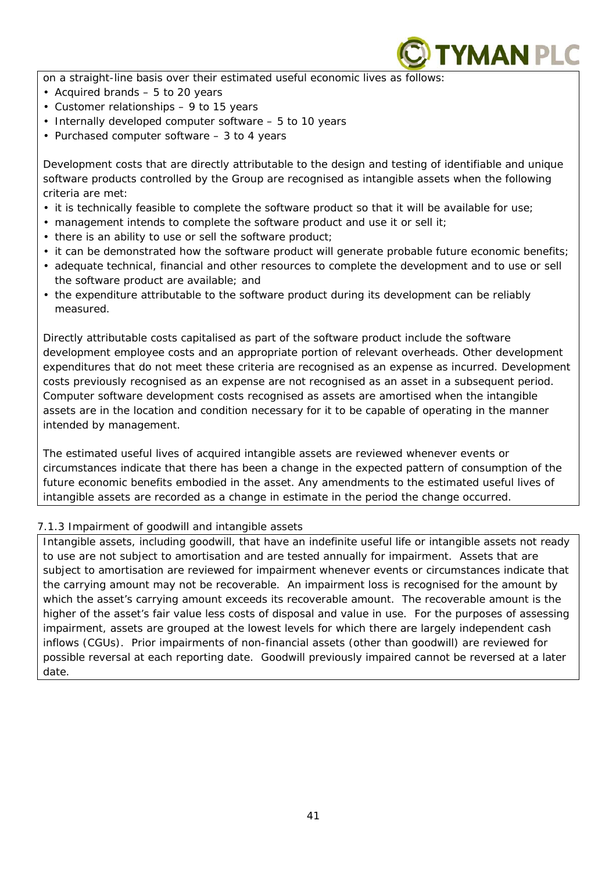

on a straight-line basis over their estimated useful economic lives as follows:

- Acquired brands 5 to 20 years
- Customer relationships 9 to 15 years
- Internally developed computer software 5 to 10 years
- Purchased computer software 3 to 4 years

Development costs that are directly attributable to the design and testing of identifiable and unique software products controlled by the Group are recognised as intangible assets when the following criteria are met:

- it is technically feasible to complete the software product so that it will be available for use;
- management intends to complete the software product and use it or sell it;
- there is an ability to use or sell the software product;
- it can be demonstrated how the software product will generate probable future economic benefits;
- adequate technical, financial and other resources to complete the development and to use or sell the software product are available; and
- the expenditure attributable to the software product during its development can be reliably measured.

Directly attributable costs capitalised as part of the software product include the software development employee costs and an appropriate portion of relevant overheads. Other development expenditures that do not meet these criteria are recognised as an expense as incurred. Development costs previously recognised as an expense are not recognised as an asset in a subsequent period. Computer software development costs recognised as assets are amortised when the intangible assets are in the location and condition necessary for it to be capable of operating in the manner intended by management.

The estimated useful lives of acquired intangible assets are reviewed whenever events or circumstances indicate that there has been a change in the expected pattern of consumption of the future economic benefits embodied in the asset. Any amendments to the estimated useful lives of intangible assets are recorded as a change in estimate in the period the change occurred.

## *7.1.3 Impairment of goodwill and intangible assets*

Intangible assets, including goodwill, that have an indefinite useful life or intangible assets not ready to use are not subject to amortisation and are tested annually for impairment. Assets that are subject to amortisation are reviewed for impairment whenever events or circumstances indicate that the carrying amount may not be recoverable. An impairment loss is recognised for the amount by which the asset's carrying amount exceeds its recoverable amount. The recoverable amount is the higher of the asset's fair value less costs of disposal and value in use. For the purposes of assessing impairment, assets are grouped at the lowest levels for which there are largely independent cash inflows (CGUs). Prior impairments of non-financial assets (other than goodwill) are reviewed for possible reversal at each reporting date. Goodwill previously impaired cannot be reversed at a later date.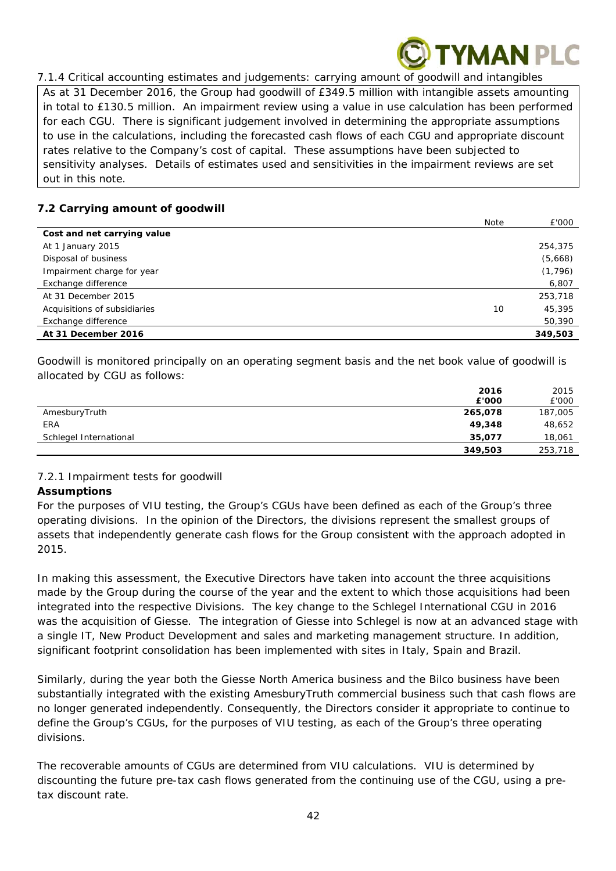

*7.1.4 Critical accounting estimates and judgements: carrying amount of goodwill and intangibles* 

As at 31 December 2016, the Group had goodwill of £349.5 million with intangible assets amounting in total to £130.5 million. An impairment review using a value in use calculation has been performed for each CGU. There is significant judgement involved in determining the appropriate assumptions to use in the calculations, including the forecasted cash flows of each CGU and appropriate discount rates relative to the Company's cost of capital. These assumptions have been subjected to sensitivity analyses. Details of estimates used and sensitivities in the impairment reviews are set out in this note.

## *7.2 Carrying amount of goodwill*

|                              | Note | £'000    |
|------------------------------|------|----------|
| Cost and net carrying value  |      |          |
| At 1 January 2015            |      | 254,375  |
| Disposal of business         |      | (5,668)  |
| Impairment charge for year   |      | (1, 796) |
| Exchange difference          |      | 6,807    |
| At 31 December 2015          |      | 253,718  |
| Acquisitions of subsidiaries | 10   | 45,395   |
| Exchange difference          |      | 50,390   |
| At 31 December 2016          |      | 349,503  |

Goodwill is monitored principally on an operating segment basis and the net book value of goodwill is allocated by CGU as follows:

|                        | 2016    | 2015    |
|------------------------|---------|---------|
|                        | £'000   | £'000   |
| AmesburyTruth          | 265,078 | 187,005 |
| <b>ERA</b>             | 49,348  | 48,652  |
| Schlegel International | 35,077  | 18,061  |
|                        | 349,503 | 253,718 |

## *7.2.1 Impairment tests for goodwill*

## **Assumptions**

For the purposes of VIU testing, the Group's CGUs have been defined as each of the Group's three operating divisions. In the opinion of the Directors, the divisions represent the smallest groups of assets that independently generate cash flows for the Group consistent with the approach adopted in 2015.

In making this assessment, the Executive Directors have taken into account the three acquisitions made by the Group during the course of the year and the extent to which those acquisitions had been integrated into the respective Divisions. The key change to the Schlegel International CGU in 2016 was the acquisition of Giesse. The integration of Giesse into Schlegel is now at an advanced stage with a single IT, New Product Development and sales and marketing management structure. In addition, significant footprint consolidation has been implemented with sites in Italy, Spain and Brazil.

Similarly, during the year both the Giesse North America business and the Bilco business have been substantially integrated with the existing AmesburyTruth commercial business such that cash flows are no longer generated independently. Consequently, the Directors consider it appropriate to continue to define the Group's CGUs, for the purposes of VIU testing, as each of the Group's three operating divisions.

The recoverable amounts of CGUs are determined from VIU calculations. VIU is determined by discounting the future pre-tax cash flows generated from the continuing use of the CGU, using a pretax discount rate.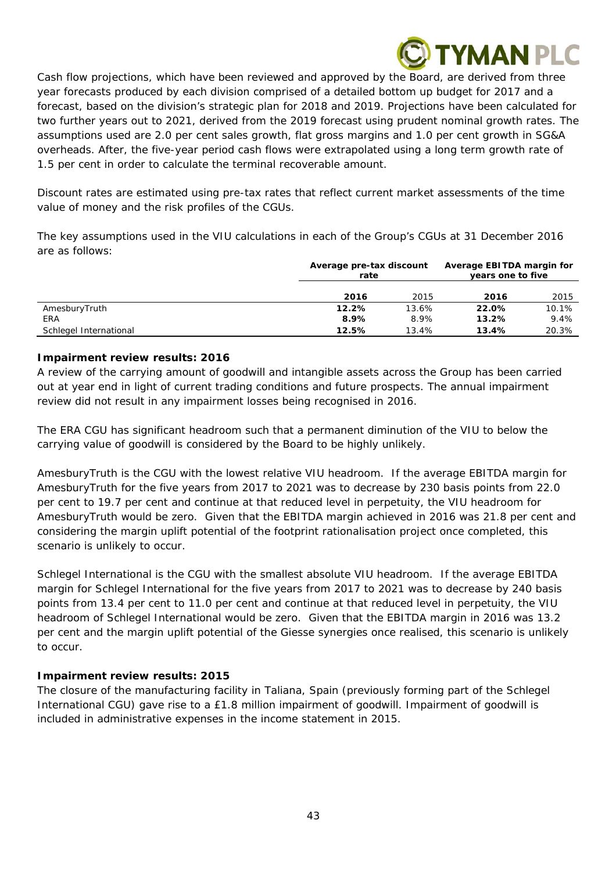## **YMAN PLC**

Cash flow projections, which have been reviewed and approved by the Board, are derived from three year forecasts produced by each division comprised of a detailed bottom up budget for 2017 and a forecast, based on the division's strategic plan for 2018 and 2019. Projections have been calculated for two further years out to 2021, derived from the 2019 forecast using prudent nominal growth rates. The assumptions used are 2.0 per cent sales growth, flat gross margins and 1.0 per cent growth in SG&A overheads. After, the five-year period cash flows were extrapolated using a long term growth rate of 1.5 per cent in order to calculate the terminal recoverable amount.

Discount rates are estimated using pre-tax rates that reflect current market assessments of the time value of money and the risk profiles of the CGUs.

The key assumptions used in the VIU calculations in each of the Group's CGUs at 31 December 2016 are as follows:

|                        | Average pre-tax discount<br>rate |       | Average EBITDA margin for<br>years one to five |       |
|------------------------|----------------------------------|-------|------------------------------------------------|-------|
|                        | 2016                             | 2015  | 2016                                           | 2015  |
| AmesburyTruth          | 12.2%                            | 13.6% | 22.0%                                          | 10.1% |
| ERA                    | 8.9%                             | 8.9%  | 13.2%                                          | 9.4%  |
| Schlegel International | 12.5%                            | 13.4% | 13.4%                                          | 20.3% |

## **Impairment review results: 2016**

A review of the carrying amount of goodwill and intangible assets across the Group has been carried out at year end in light of current trading conditions and future prospects. The annual impairment review did not result in any impairment losses being recognised in 2016.

The ERA CGU has significant headroom such that a permanent diminution of the VIU to below the carrying value of goodwill is considered by the Board to be highly unlikely.

AmesburyTruth is the CGU with the lowest relative VIU headroom. If the average EBITDA margin for AmesburyTruth for the five years from 2017 to 2021 was to decrease by 230 basis points from 22.0 per cent to 19.7 per cent and continue at that reduced level in perpetuity, the VIU headroom for AmesburyTruth would be zero. Given that the EBITDA margin achieved in 2016 was 21.8 per cent and considering the margin uplift potential of the footprint rationalisation project once completed, this scenario is unlikely to occur.

Schlegel International is the CGU with the smallest absolute VIU headroom. If the average EBITDA margin for Schlegel International for the five years from 2017 to 2021 was to decrease by 240 basis points from 13.4 per cent to 11.0 per cent and continue at that reduced level in perpetuity, the VIU headroom of Schlegel International would be zero. Given that the EBITDA margin in 2016 was 13.2 per cent and the margin uplift potential of the Giesse synergies once realised, this scenario is unlikely to occur.

## **Impairment review results: 2015**

The closure of the manufacturing facility in Taliana, Spain (previously forming part of the Schlegel International CGU) gave rise to a £1.8 million impairment of goodwill. Impairment of goodwill is included in administrative expenses in the income statement in 2015.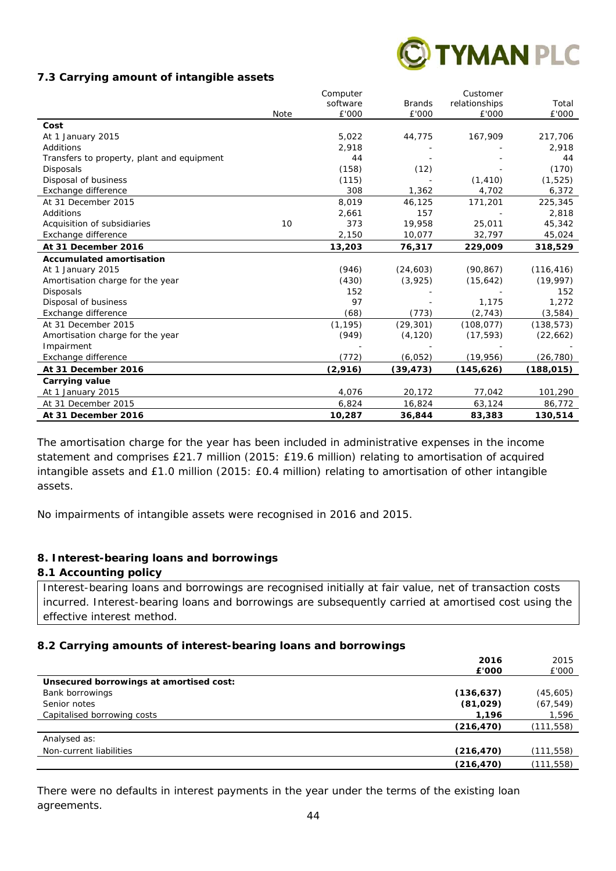

#### *7.3 Carrying amount of intangible assets*

|                                            |      | Computer |               | Customer      |            |
|--------------------------------------------|------|----------|---------------|---------------|------------|
|                                            |      | software | <b>Brands</b> | relationships | Total      |
|                                            | Note | £'000    | £'000         | £'000         | £'000      |
| Cost                                       |      |          |               |               |            |
| At 1 January 2015                          |      | 5,022    | 44,775        | 167,909       | 217,706    |
| Additions                                  |      | 2,918    |               |               | 2,918      |
| Transfers to property, plant and equipment |      | 44       |               |               | 44         |
| <b>Disposals</b>                           |      | (158)    | (12)          |               | (170)      |
| Disposal of business                       |      | (115)    |               | (1, 410)      | (1, 525)   |
| Exchange difference                        |      | 308      | 1,362         | 4,702         | 6,372      |
| At 31 December 2015                        |      | 8,019    | 46,125        | 171,201       | 225,345    |
| Additions                                  |      | 2,661    | 157           |               | 2,818      |
| Acquisition of subsidiaries                | 10   | 373      | 19,958        | 25,011        | 45,342     |
| Exchange difference                        |      | 2,150    | 10,077        | 32,797        | 45,024     |
| At 31 December 2016                        |      | 13,203   | 76,317        | 229,009       | 318,529    |
| <b>Accumulated amortisation</b>            |      |          |               |               |            |
| At 1 January 2015                          |      | (946)    | (24, 603)     | (90, 867)     | (116, 416) |
| Amortisation charge for the year           |      | (430)    | (3,925)       | (15,642)      | (19, 997)  |
| <b>Disposals</b>                           |      | 152      |               |               | 152        |
| Disposal of business                       |      | 97       |               | 1,175         | 1,272      |
| Exchange difference                        |      | (68)     | (773)         | (2, 743)      | (3,584)    |
| At 31 December 2015                        |      | (1, 195) | (29, 301)     | (108, 077)    | (138, 573) |
| Amortisation charge for the year           |      | (949)    | (4, 120)      | (17, 593)     | (22, 662)  |
| Impairment                                 |      |          |               |               |            |
| Exchange difference                        |      | (772)    | (6,052)       | (19, 956)     | (26, 780)  |
| At 31 December 2016                        |      | (2,916)  | (39, 473)     | (145, 626)    | (188,015)  |
| <b>Carrying value</b>                      |      |          |               |               |            |
| At 1 January 2015                          |      | 4,076    | 20,172        | 77,042        | 101,290    |
| At 31 December 2015                        |      | 6,824    | 16,824        | 63,124        | 86,772     |
| At 31 December 2016                        |      | 10,287   | 36,844        | 83,383        | 130,514    |

The amortisation charge for the year has been included in administrative expenses in the income statement and comprises £21.7 million (2015: £19.6 million) relating to amortisation of acquired intangible assets and £1.0 million (2015: £0.4 million) relating to amortisation of other intangible assets.

No impairments of intangible assets were recognised in 2016 and 2015.

## **8. Interest-bearing loans and borrowings**

#### *8.1 Accounting policy*

Interest-bearing loans and borrowings are recognised initially at fair value, net of transaction costs incurred. Interest-bearing loans and borrowings are subsequently carried at amortised cost using the effective interest method.

## *8.2 Carrying amounts of interest-bearing loans and borrowings*

|                                         | 2016       | 2015       |
|-----------------------------------------|------------|------------|
|                                         | £'000      | £'000      |
| Unsecured borrowings at amortised cost: |            |            |
| Bank borrowings                         | (136, 637) | (45,605)   |
| Senior notes                            | (81, 029)  | (67, 549)  |
| Capitalised borrowing costs             | 1,196      | 1,596      |
|                                         | (216, 470) | (111, 558) |
| Analysed as:                            |            |            |
| Non-current liabilities                 | (216, 470) | (111,558)  |
|                                         | (216, 470) | (111, 558) |

There were no defaults in interest payments in the year under the terms of the existing loan agreements.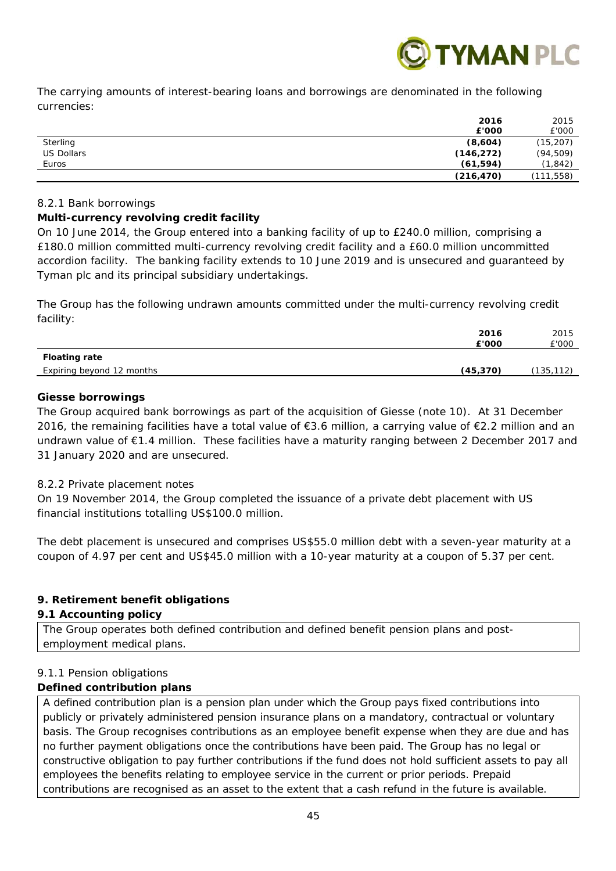

The carrying amounts of interest-bearing loans and borrowings are denominated in the following currencies:

|                   | 2016       | 2015       |
|-------------------|------------|------------|
|                   | £'000      | £'000      |
| Sterling          | (8,604)    | (15, 207)  |
| <b>US Dollars</b> | (146, 272) | (94, 509)  |
| Euros             | (61, 594)  | (1, 842)   |
|                   | (216, 470) | (111, 558) |

## *8.2.1 Bank borrowings*

## **Multi-currency revolving credit facility**

On 10 June 2014, the Group entered into a banking facility of up to £240.0 million, comprising a £180.0 million committed multi-currency revolving credit facility and a £60.0 million uncommitted accordion facility. The banking facility extends to 10 June 2019 and is unsecured and guaranteed by Tyman plc and its principal subsidiary undertakings.

The Group has the following undrawn amounts committed under the multi-currency revolving credit facility:

|                           | 2016      | 2015      |
|---------------------------|-----------|-----------|
|                           | £'000     | £'000     |
| <b>Floating rate</b>      |           |           |
| Expiring beyond 12 months | (45, 370) | (135,112) |
|                           |           |           |

## **Giesse borrowings**

The Group acquired bank borrowings as part of the acquisition of Giesse (note 10). At 31 December 2016, the remaining facilities have a total value of €3.6 million, a carrying value of €2.2 million and an undrawn value of €1.4 million. These facilities have a maturity ranging between 2 December 2017 and 31 January 2020 and are unsecured.

## *8.2.2 Private placement notes*

On 19 November 2014, the Group completed the issuance of a private debt placement with US financial institutions totalling US\$100.0 million.

The debt placement is unsecured and comprises US\$55.0 million debt with a seven-year maturity at a coupon of 4.97 per cent and US\$45.0 million with a 10-year maturity at a coupon of 5.37 per cent.

## **9. Retirement benefit obligations**

## *9.1 Accounting policy*

The Group operates both defined contribution and defined benefit pension plans and postemployment medical plans.

## *9.1.1 Pension obligations*

## **Defined contribution plans**

A defined contribution plan is a pension plan under which the Group pays fixed contributions into publicly or privately administered pension insurance plans on a mandatory, contractual or voluntary basis. The Group recognises contributions as an employee benefit expense when they are due and has no further payment obligations once the contributions have been paid. The Group has no legal or constructive obligation to pay further contributions if the fund does not hold sufficient assets to pay all employees the benefits relating to employee service in the current or prior periods. Prepaid contributions are recognised as an asset to the extent that a cash refund in the future is available.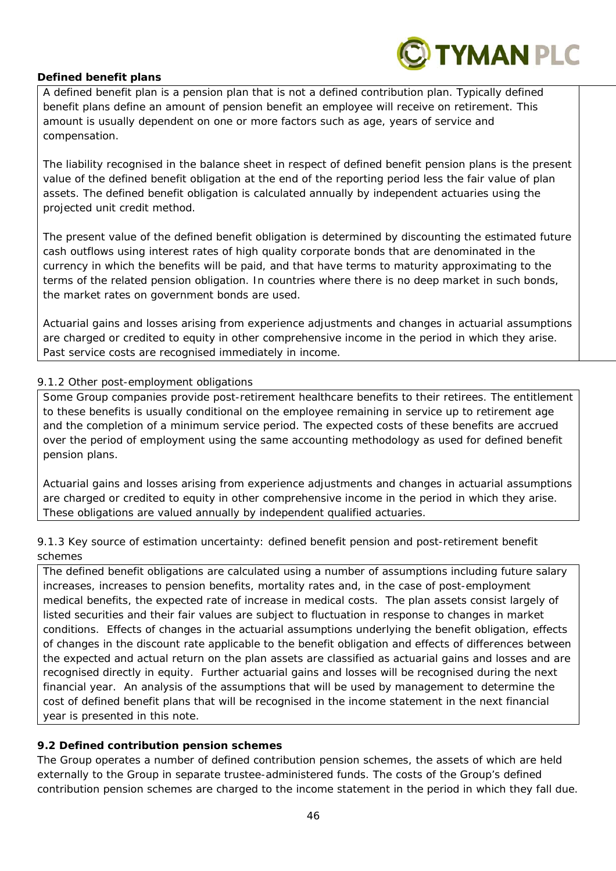

## **Defined benefit plans**

A defined benefit plan is a pension plan that is not a defined contribution plan. Typically defined benefit plans define an amount of pension benefit an employee will receive on retirement. This amount is usually dependent on one or more factors such as age, years of service and compensation.

The liability recognised in the balance sheet in respect of defined benefit pension plans is the present value of the defined benefit obligation at the end of the reporting period less the fair value of plan assets. The defined benefit obligation is calculated annually by independent actuaries using the projected unit credit method.

The present value of the defined benefit obligation is determined by discounting the estimated future cash outflows using interest rates of high quality corporate bonds that are denominated in the currency in which the benefits will be paid, and that have terms to maturity approximating to the terms of the related pension obligation. In countries where there is no deep market in such bonds, the market rates on government bonds are used.

Actuarial gains and losses arising from experience adjustments and changes in actuarial assumptions are charged or credited to equity in other comprehensive income in the period in which they arise. Past service costs are recognised immediately in income.

## *9.1.2 Other post-employment obligations*

Some Group companies provide post-retirement healthcare benefits to their retirees. The entitlement to these benefits is usually conditional on the employee remaining in service up to retirement age and the completion of a minimum service period. The expected costs of these benefits are accrued over the period of employment using the same accounting methodology as used for defined benefit pension plans.

Actuarial gains and losses arising from experience adjustments and changes in actuarial assumptions are charged or credited to equity in other comprehensive income in the period in which they arise. These obligations are valued annually by independent qualified actuaries.

## *9.1.3 Key source of estimation uncertainty: defined benefit pension and post-retirement benefit schemes*

The defined benefit obligations are calculated using a number of assumptions including future salary increases, increases to pension benefits, mortality rates and, in the case of post-employment medical benefits, the expected rate of increase in medical costs. The plan assets consist largely of listed securities and their fair values are subject to fluctuation in response to changes in market conditions. Effects of changes in the actuarial assumptions underlying the benefit obligation, effects of changes in the discount rate applicable to the benefit obligation and effects of differences between the expected and actual return on the plan assets are classified as actuarial gains and losses and are recognised directly in equity. Further actuarial gains and losses will be recognised during the next financial year. An analysis of the assumptions that will be used by management to determine the cost of defined benefit plans that will be recognised in the income statement in the next financial year is presented in this note.

## *9.2 Defined contribution pension schemes*

The Group operates a number of defined contribution pension schemes, the assets of which are held externally to the Group in separate trustee-administered funds. The costs of the Group's defined contribution pension schemes are charged to the income statement in the period in which they fall due.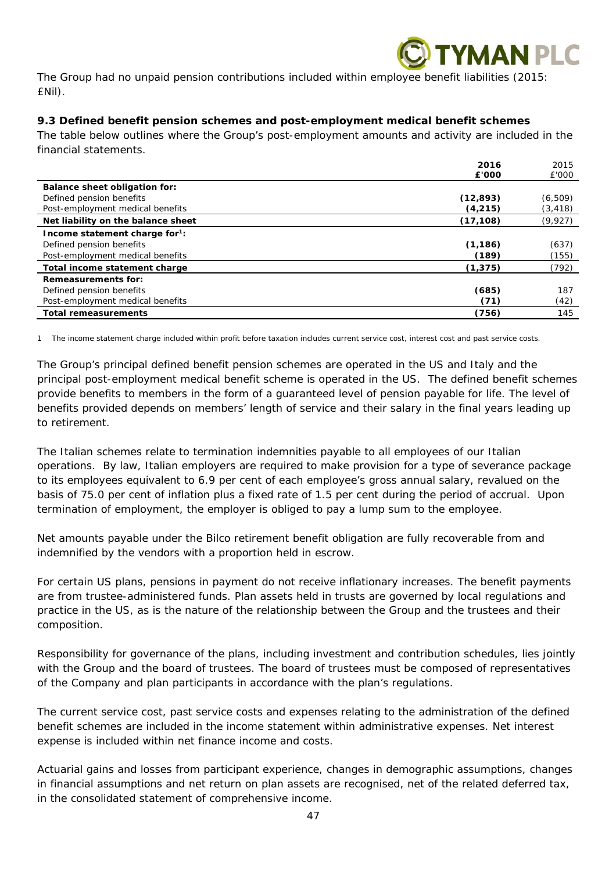

The Group had no unpaid pension contributions included within employee benefit liabilities (2015: £Nil).

## *9.3 Defined benefit pension schemes and post-employment medical benefit schemes*

The table below outlines where the Group's post-employment amounts and activity are included in the financial statements.

|                                            | 2016      | 2015     |
|--------------------------------------------|-----------|----------|
|                                            | £'000     | £'000    |
| Balance sheet obligation for:              |           |          |
| Defined pension benefits                   | (12, 893) | (6, 509) |
| Post-employment medical benefits           | (4, 215)  | (3, 418) |
| Net liability on the balance sheet         | (17, 108) | (9,927)  |
| Income statement charge for <sup>1</sup> : |           |          |
| Defined pension benefits                   | (1, 186)  | (637)    |
| Post-employment medical benefits           | (189)     | (155)    |
| Total income statement charge              | (1, 375)  | (792)    |
| <b>Remeasurements for:</b>                 |           |          |
| Defined pension benefits                   | (685)     | 187      |
| Post-employment medical benefits           | (71)      | (42)     |
| <b>Total remeasurements</b>                | (756)     | 145      |

1 The income statement charge included within profit before taxation includes current service cost, interest cost and past service costs.

The Group's principal defined benefit pension schemes are operated in the US and Italy and the principal post-employment medical benefit scheme is operated in the US. The defined benefit schemes provide benefits to members in the form of a guaranteed level of pension payable for life. The level of benefits provided depends on members' length of service and their salary in the final years leading up to retirement.

The Italian schemes relate to termination indemnities payable to all employees of our Italian operations. By law, Italian employers are required to make provision for a type of severance package to its employees equivalent to 6.9 per cent of each employee's gross annual salary, revalued on the basis of 75.0 per cent of inflation plus a fixed rate of 1.5 per cent during the period of accrual. Upon termination of employment, the employer is obliged to pay a lump sum to the employee.

Net amounts payable under the Bilco retirement benefit obligation are fully recoverable from and indemnified by the vendors with a proportion held in escrow.

For certain US plans, pensions in payment do not receive inflationary increases. The benefit payments are from trustee-administered funds. Plan assets held in trusts are governed by local regulations and practice in the US, as is the nature of the relationship between the Group and the trustees and their composition.

Responsibility for governance of the plans, including investment and contribution schedules, lies jointly with the Group and the board of trustees. The board of trustees must be composed of representatives of the Company and plan participants in accordance with the plan's regulations.

The current service cost, past service costs and expenses relating to the administration of the defined benefit schemes are included in the income statement within administrative expenses. Net interest expense is included within net finance income and costs.

Actuarial gains and losses from participant experience, changes in demographic assumptions, changes in financial assumptions and net return on plan assets are recognised, net of the related deferred tax, in the consolidated statement of comprehensive income.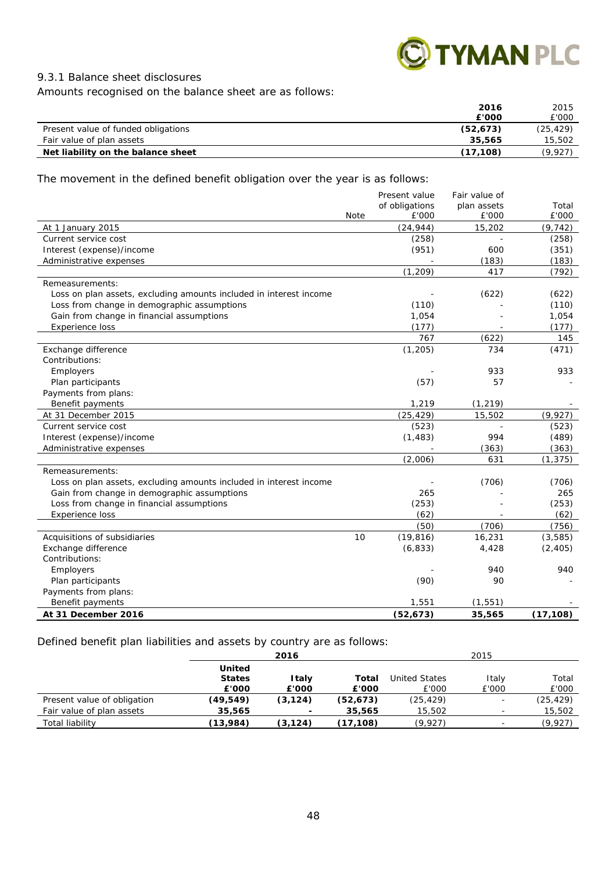

## *9.3.1 Balance sheet disclosures*

Amounts recognised on the balance sheet are as follows:

|                                     | 2016      | 2015      |
|-------------------------------------|-----------|-----------|
|                                     | £'000     | £'000     |
| Present value of funded obligations | (52, 673) | (25, 429) |
| Fair value of plan assets           | 35,565    | 15,502    |
| Net liability on the balance sheet  | (17.108)  | (9.927`   |

The movement in the defined benefit obligation over the year is as follows:

|                                                                    |      | Present value  | Fair value of |           |
|--------------------------------------------------------------------|------|----------------|---------------|-----------|
|                                                                    |      | of obligations | plan assets   | Total     |
|                                                                    | Note | £'000          | £'000         | £'000     |
| At 1 January 2015                                                  |      | (24, 944)      | 15,202        | (9, 742)  |
| Current service cost                                               |      | (258)          |               | (258)     |
| Interest (expense)/income                                          |      | (951)          | 600           | (351)     |
| Administrative expenses                                            |      |                | (183)         | (183)     |
|                                                                    |      | (1, 209)       | 417           | (792)     |
| Remeasurements:                                                    |      |                |               |           |
| Loss on plan assets, excluding amounts included in interest income |      |                | (622)         | (622)     |
| Loss from change in demographic assumptions                        |      | (110)          |               | (110)     |
| Gain from change in financial assumptions                          |      | 1,054          |               | 1,054     |
| <b>Experience loss</b>                                             |      | (177)          |               | (177)     |
|                                                                    |      | 767            | (622)         | 145       |
| Exchange difference                                                |      | (1, 205)       | 734           | (471)     |
| Contributions:                                                     |      |                |               |           |
| Employers                                                          |      |                | 933           | 933       |
| Plan participants                                                  |      | (57)           | 57            |           |
| Payments from plans:                                               |      |                |               |           |
| Benefit payments                                                   |      | 1,219          | (1, 219)      |           |
| At 31 December 2015                                                |      | (25, 429)      | 15,502        | (9, 927)  |
| Current service cost                                               |      | (523)          |               | (523)     |
| Interest (expense)/income                                          |      | (1, 483)       | 994           | (489)     |
| Administrative expenses                                            |      |                | (363)         | (363)     |
|                                                                    |      | (2,006)        | 631           | (1, 375)  |
| Remeasurements:                                                    |      |                |               |           |
| Loss on plan assets, excluding amounts included in interest income |      |                | (706)         | (706)     |
| Gain from change in demographic assumptions                        |      | 265            |               | 265       |
| Loss from change in financial assumptions                          |      | (253)          |               | (253)     |
| Experience loss                                                    |      | (62)           |               | (62)      |
|                                                                    |      | (50)           | (706)         | (756)     |
| Acquisitions of subsidiaries                                       | 10   | (19, 816)      | 16,231        | (3,585)   |
| Exchange difference                                                |      | (6, 833)       | 4,428         | (2, 405)  |
| Contributions:                                                     |      |                |               |           |
| Employers                                                          |      |                | 940           | 940       |
| Plan participants                                                  |      | (90)           | 90            |           |
| Payments from plans:                                               |      |                |               |           |
| Benefit payments                                                   |      | 1,551          | (1, 551)      |           |
| At 31 December 2016                                                |      | (52, 673)      | 35,565        | (17, 108) |

Defined benefit plan liabilities and assets by country are as follows:

|                             |               | 2016                     |           |                      | 2015                     |           |
|-----------------------------|---------------|--------------------------|-----------|----------------------|--------------------------|-----------|
|                             | <b>United</b> |                          |           |                      |                          |           |
|                             | <b>States</b> | <b>Italy</b>             | Total     | <b>United States</b> | Italy                    | Total     |
|                             | £'000         | £'000                    | £'000     | £'000                | £'000                    | £'000     |
| Present value of obligation | (49, 549)     | (3, 124)                 | (52, 673) | (25, 429)            | $\overline{\phantom{a}}$ | (25, 429) |
| Fair value of plan assets   | 35,565        | $\overline{\phantom{a}}$ | 35,565    | 15,502               | $\overline{\phantom{0}}$ | 15,502    |
| Total liability             | (13,984)      | (3, 124)                 | (17,108)  | (9,927)              |                          | (9,927)   |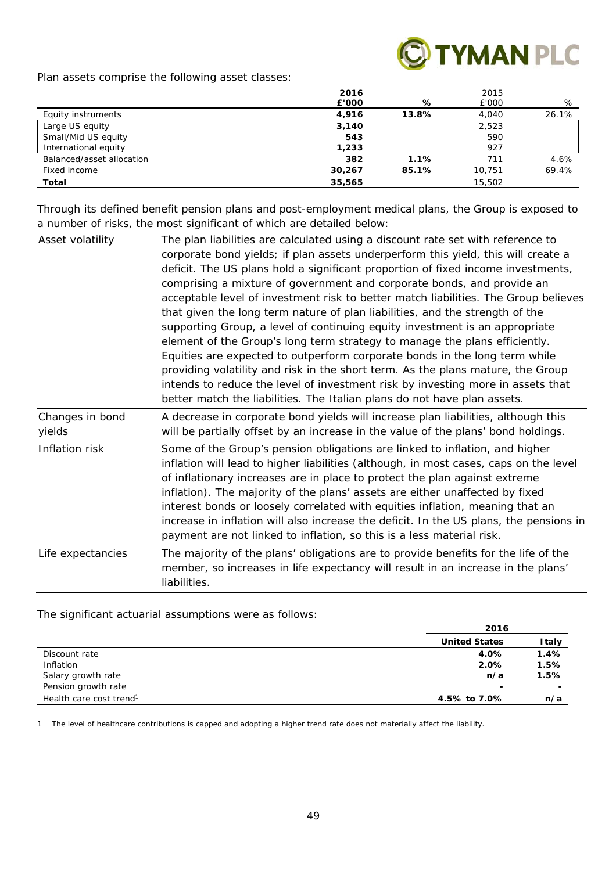

Plan assets comprise the following asset classes:

|                           | 2016   |       | 2015   |       |
|---------------------------|--------|-------|--------|-------|
|                           | £'000  | %     | £'000  | %     |
| Equity instruments        | 4,916  | 13.8% | 4,040  | 26.1% |
| Large US equity           | 3,140  |       | 2,523  |       |
| Small/Mid US equity       | 543    |       | 590    |       |
| International equity      | 1,233  |       | 927    |       |
| Balanced/asset allocation | 382    | 1.1%  | 711    | 4.6%  |
| Fixed income              | 30,267 | 85.1% | 10,751 | 69.4% |
| Total                     | 35,565 |       | 15,502 |       |

Through its defined benefit pension plans and post-employment medical plans, the Group is exposed to a number of risks, the most significant of which are detailed below:

| Asset volatility          | The plan liabilities are calculated using a discount rate set with reference to<br>corporate bond yields; if plan assets underperform this yield, this will create a<br>deficit. The US plans hold a significant proportion of fixed income investments,<br>comprising a mixture of government and corporate bonds, and provide an<br>acceptable level of investment risk to better match liabilities. The Group believes<br>that given the long term nature of plan liabilities, and the strength of the<br>supporting Group, a level of continuing equity investment is an appropriate<br>element of the Group's long term strategy to manage the plans efficiently.<br>Equities are expected to outperform corporate bonds in the long term while<br>providing volatility and risk in the short term. As the plans mature, the Group<br>intends to reduce the level of investment risk by investing more in assets that<br>better match the liabilities. The Italian plans do not have plan assets. |
|---------------------------|--------------------------------------------------------------------------------------------------------------------------------------------------------------------------------------------------------------------------------------------------------------------------------------------------------------------------------------------------------------------------------------------------------------------------------------------------------------------------------------------------------------------------------------------------------------------------------------------------------------------------------------------------------------------------------------------------------------------------------------------------------------------------------------------------------------------------------------------------------------------------------------------------------------------------------------------------------------------------------------------------------|
| Changes in bond<br>yields | A decrease in corporate bond yields will increase plan liabilities, although this<br>will be partially offset by an increase in the value of the plans' bond holdings.                                                                                                                                                                                                                                                                                                                                                                                                                                                                                                                                                                                                                                                                                                                                                                                                                                 |
| Inflation risk            | Some of the Group's pension obligations are linked to inflation, and higher<br>inflation will lead to higher liabilities (although, in most cases, caps on the level<br>of inflationary increases are in place to protect the plan against extreme<br>inflation). The majority of the plans' assets are either unaffected by fixed<br>interest bonds or loosely correlated with equities inflation, meaning that an<br>increase in inflation will also increase the deficit. In the US plans, the pensions in<br>payment are not linked to inflation, so this is a less material risk.                                                                                                                                                                                                                                                                                                                                                                                                                 |
| Life expectancies         | The majority of the plans' obligations are to provide benefits for the life of the<br>member, so increases in life expectancy will result in an increase in the plans'<br>liabilities.                                                                                                                                                                                                                                                                                                                                                                                                                                                                                                                                                                                                                                                                                                                                                                                                                 |

#### The significant actuarial assumptions were as follows:

|                                     | 2016                 |              |  |
|-------------------------------------|----------------------|--------------|--|
|                                     | <b>United States</b> | <b>Italy</b> |  |
| Discount rate                       | 4.0%                 | 1.4%         |  |
| Inflation                           | 2.0%                 | 1.5%         |  |
| Salary growth rate                  | n/a                  | 1.5%         |  |
| Pension growth rate                 | -                    | -            |  |
| Health care cost trend <sup>1</sup> | 4.5% to 7.0%         | n/a          |  |

1 The level of healthcare contributions is capped and adopting a higher trend rate does not materially affect the liability.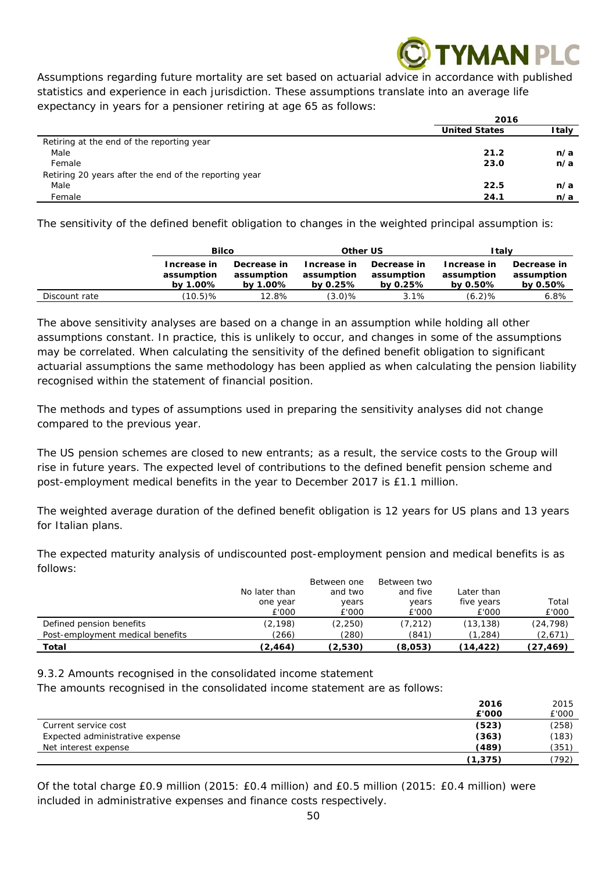# **MANPLC**

Assumptions regarding future mortality are set based on actuarial advice in accordance with published statistics and experience in each jurisdiction. These assumptions translate into an average life expectancy in years for a pensioner retiring at age 65 as follows:

|                                                       | 2016                 |       |
|-------------------------------------------------------|----------------------|-------|
|                                                       | <b>United States</b> | Italy |
| Retiring at the end of the reporting year             |                      |       |
| Male                                                  | 21.2                 | n/a   |
| Female                                                | 23.0                 | n/a   |
| Retiring 20 years after the end of the reporting year |                      |       |
| Male                                                  | 22.5                 | n/a   |
| Female                                                | 24.1                 | n/a   |

The sensitivity of the defined benefit obligation to changes in the weighted principal assumption is:

|               | <b>Bilco</b>                          |                                       | Other US                                  |                                           | Italv                                 |                                       |
|---------------|---------------------------------------|---------------------------------------|-------------------------------------------|-------------------------------------------|---------------------------------------|---------------------------------------|
|               | Increase in<br>assumption<br>by 1.00% | Decrease in<br>assumption<br>by 1.00% | Increase in<br>assumption<br>by 0.25 $\%$ | Decrease in<br>assumption<br>by 0.25 $\%$ | Increase in<br>assumption<br>by 0.50% | Decrease in<br>assumption<br>by 0.50% |
| Discount rate | $(10.5)\%$                            | 12.8%                                 | $(3.0)\%$                                 | 3.1%                                      | (6.2)%                                | 6.8%                                  |

The above sensitivity analyses are based on a change in an assumption while holding all other assumptions constant. In practice, this is unlikely to occur, and changes in some of the assumptions may be correlated. When calculating the sensitivity of the defined benefit obligation to significant actuarial assumptions the same methodology has been applied as when calculating the pension liability recognised within the statement of financial position.

The methods and types of assumptions used in preparing the sensitivity analyses did not change compared to the previous year.

The US pension schemes are closed to new entrants; as a result, the service costs to the Group will rise in future years. The expected level of contributions to the defined benefit pension scheme and post-employment medical benefits in the year to December 2017 is £1.1 million.

The weighted average duration of the defined benefit obligation is 12 years for US plans and 13 years for Italian plans.

The expected maturity analysis of undiscounted post-employment pension and medical benefits is as follows:

|                                                              | No later than<br>one year<br>£'000 | Between one<br>and two<br>years<br>£'000 | Between two<br>and five<br>years<br>£'000 | Later than<br>five years<br>£'000 | Total<br>£'000       |
|--------------------------------------------------------------|------------------------------------|------------------------------------------|-------------------------------------------|-----------------------------------|----------------------|
| Defined pension benefits<br>Post-employment medical benefits | (2,198)<br>(266)                   | (2, 250)<br>(280)                        | (7, 212)<br>(841)                         | (13,138)<br>(1, 284)              | (24, 798)<br>(2,671) |
| Total                                                        | (2, 464)                           | (2,530)                                  | (8,053)                                   | (14,422)                          | (27,469)             |

*9.3.2 Amounts recognised in the consolidated income statement* 

The amounts recognised in the consolidated income statement are as follows:

|                                 | 2016     | 2015  |
|---------------------------------|----------|-------|
|                                 | £'000    | £'000 |
| Current service cost            | (523)    | (258) |
| Expected administrative expense | (363)    | (183) |
| Net interest expense            | (489)    | (351) |
|                                 | (1, 375) | (792) |

Of the total charge £0.9 million (2015: £0.4 million) and £0.5 million (2015: £0.4 million) were included in administrative expenses and finance costs respectively.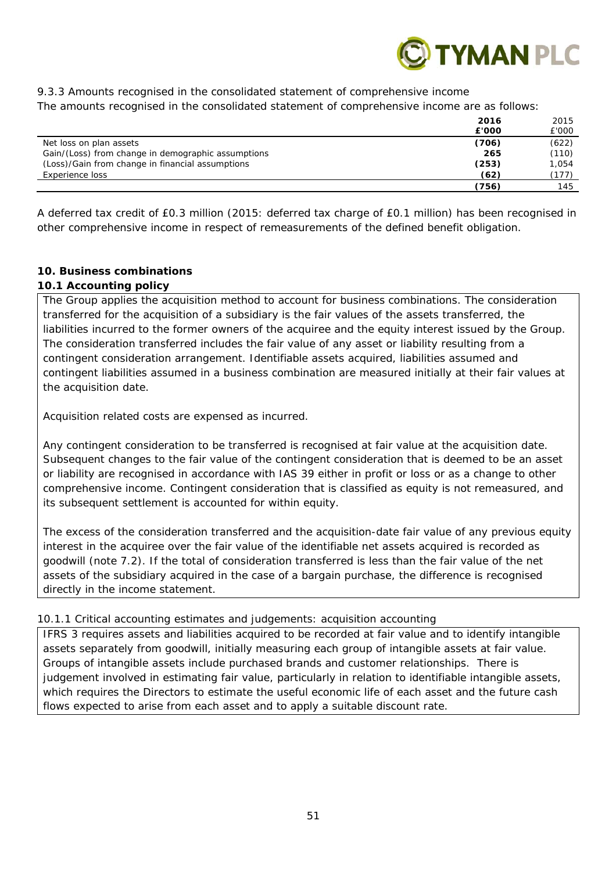

## *9.3.3 Amounts recognised in the consolidated statement of comprehensive income*

The amounts recognised in the consolidated statement of comprehensive income are as follows:

|                                                    | 2016  | 2015  |
|----------------------------------------------------|-------|-------|
|                                                    | £'000 | £'000 |
| Net loss on plan assets                            | (706) | (622) |
| Gain/(Loss) from change in demographic assumptions | 265   | (110) |
| (Loss)/Gain from change in financial assumptions   | (253) | 1.054 |
| Experience loss                                    | (62)  | (177) |
|                                                    | (756) | 145   |

A deferred tax credit of £0.3 million (2015: deferred tax charge of £0.1 million) has been recognised in other comprehensive income in respect of remeasurements of the defined benefit obligation.

## **10. Business combinations**

## *10.1 Accounting policy*

The Group applies the acquisition method to account for business combinations. The consideration transferred for the acquisition of a subsidiary is the fair values of the assets transferred, the liabilities incurred to the former owners of the acquiree and the equity interest issued by the Group. The consideration transferred includes the fair value of any asset or liability resulting from a contingent consideration arrangement. Identifiable assets acquired, liabilities assumed and contingent liabilities assumed in a business combination are measured initially at their fair values at the acquisition date.

Acquisition related costs are expensed as incurred.

Any contingent consideration to be transferred is recognised at fair value at the acquisition date. Subsequent changes to the fair value of the contingent consideration that is deemed to be an asset or liability are recognised in accordance with IAS 39 either in profit or loss or as a change to other comprehensive income. Contingent consideration that is classified as equity is not remeasured, and its subsequent settlement is accounted for within equity.

The excess of the consideration transferred and the acquisition-date fair value of any previous equity interest in the acquiree over the fair value of the identifiable net assets acquired is recorded as goodwill (note 7.2). If the total of consideration transferred is less than the fair value of the net assets of the subsidiary acquired in the case of a bargain purchase, the difference is recognised directly in the income statement.

## *10.1.1 Critical accounting estimates and judgements: acquisition accounting*

IFRS 3 requires assets and liabilities acquired to be recorded at fair value and to identify intangible assets separately from goodwill, initially measuring each group of intangible assets at fair value. Groups of intangible assets include purchased brands and customer relationships. There is judgement involved in estimating fair value, particularly in relation to identifiable intangible assets, which requires the Directors to estimate the useful economic life of each asset and the future cash flows expected to arise from each asset and to apply a suitable discount rate.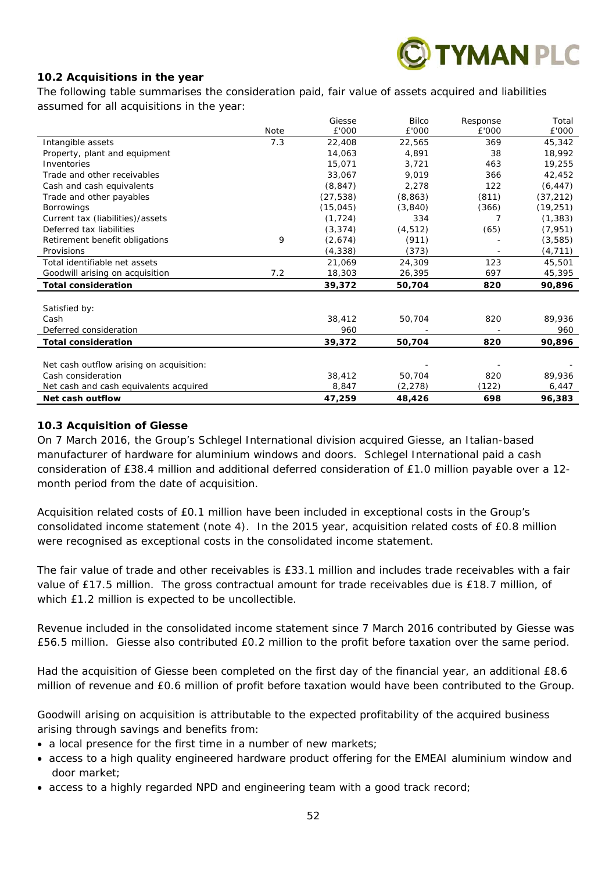

## *10.2 Acquisitions in the year*

The following table summarises the consideration paid, fair value of assets acquired and liabilities assumed for all acquisitions in the year:

|                                          |      | Giesse    | <b>Bilco</b> | Response | Total     |
|------------------------------------------|------|-----------|--------------|----------|-----------|
|                                          | Note | £'000     | £'000        | £'000    | £'000     |
| Intangible assets                        | 7.3  | 22,408    | 22,565       | 369      | 45,342    |
| Property, plant and equipment            |      | 14,063    | 4,891        | 38       | 18,992    |
| Inventories                              |      | 15,071    | 3.721        | 463      | 19,255    |
| Trade and other receivables              |      | 33,067    | 9.019        | 366      | 42,452    |
| Cash and cash equivalents                |      | (8, 847)  | 2,278        | 122      | (6, 447)  |
| Trade and other payables                 |      | (27, 538) | (8,863)      | (811)    | (37, 212) |
| <b>Borrowings</b>                        |      | (15, 045) | (3,840)      | (366)    | (19, 251) |
| Current tax (liabilities)/assets         |      | (1, 724)  | 334          |          | (1, 383)  |
| Deferred tax liabilities                 |      | (3, 374)  | (4, 512)     | (65)     | (7, 951)  |
| Retirement benefit obligations           | 9    | (2,674)   | (911)        |          | (3,585)   |
| Provisions                               |      | (4, 338)  | (373)        |          | (4, 711)  |
| Total identifiable net assets            |      | 21,069    | 24,309       | 123      | 45,501    |
| Goodwill arising on acquisition          | 7.2  | 18,303    | 26,395       | 697      | 45,395    |
| <b>Total consideration</b>               |      | 39.372    | 50,704       | 820      | 90,896    |
|                                          |      |           |              |          |           |
| Satisfied by:                            |      |           |              |          |           |
| Cash                                     |      | 38,412    | 50,704       | 820      | 89,936    |
| Deferred consideration                   |      | 960       |              |          | 960       |
| <b>Total consideration</b>               |      | 39,372    | 50,704       | 820      | 90,896    |
|                                          |      |           |              |          |           |
| Net cash outflow arising on acquisition: |      |           |              |          |           |
| Cash consideration                       |      | 38,412    | 50.704       | 820      | 89,936    |
| Net cash and cash equivalents acquired   |      | 8,847     | (2, 278)     | (122)    | 6,447     |
| Net cash outflow                         |      | 47,259    | 48,426       | 698      | 96,383    |

## *10.3 Acquisition of Giesse*

On 7 March 2016, the Group's Schlegel International division acquired Giesse, an Italian-based manufacturer of hardware for aluminium windows and doors. Schlegel International paid a cash consideration of £38.4 million and additional deferred consideration of £1.0 million payable over a 12 month period from the date of acquisition.

Acquisition related costs of £0.1 million have been included in exceptional costs in the Group's consolidated income statement (note 4). In the 2015 year, acquisition related costs of £0.8 million were recognised as exceptional costs in the consolidated income statement.

The fair value of trade and other receivables is £33.1 million and includes trade receivables with a fair value of £17.5 million. The gross contractual amount for trade receivables due is £18.7 million, of which £1.2 million is expected to be uncollectible.

Revenue included in the consolidated income statement since 7 March 2016 contributed by Giesse was £56.5 million. Giesse also contributed £0.2 million to the profit before taxation over the same period.

Had the acquisition of Giesse been completed on the first day of the financial year, an additional £8.6 million of revenue and £0.6 million of profit before taxation would have been contributed to the Group.

Goodwill arising on acquisition is attributable to the expected profitability of the acquired business arising through savings and benefits from:

- a local presence for the first time in a number of new markets;
- access to a high quality engineered hardware product offering for the EMEAI aluminium window and door market;
- access to a highly regarded NPD and engineering team with a good track record;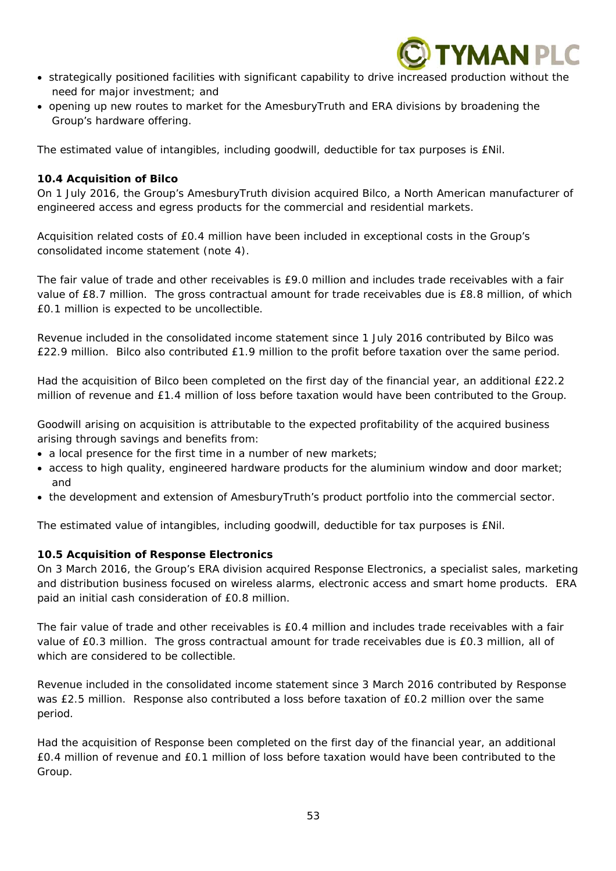

- strategically positioned facilities with significant capability to drive increased production without the need for major investment; and
- opening up new routes to market for the AmesburyTruth and ERA divisions by broadening the Group's hardware offering.

The estimated value of intangibles, including goodwill, deductible for tax purposes is £Nil.

## *10.4 Acquisition of Bilco*

On 1 July 2016, the Group's AmesburyTruth division acquired Bilco, a North American manufacturer of engineered access and egress products for the commercial and residential markets.

Acquisition related costs of £0.4 million have been included in exceptional costs in the Group's consolidated income statement (note 4).

The fair value of trade and other receivables is £9.0 million and includes trade receivables with a fair value of £8.7 million. The gross contractual amount for trade receivables due is £8.8 million, of which £0.1 million is expected to be uncollectible.

Revenue included in the consolidated income statement since 1 July 2016 contributed by Bilco was £22.9 million. Bilco also contributed £1.9 million to the profit before taxation over the same period.

Had the acquisition of Bilco been completed on the first day of the financial year, an additional £22.2 million of revenue and £1.4 million of loss before taxation would have been contributed to the Group.

Goodwill arising on acquisition is attributable to the expected profitability of the acquired business arising through savings and benefits from:

- a local presence for the first time in a number of new markets;
- access to high quality, engineered hardware products for the aluminium window and door market; and
- the development and extension of AmesburyTruth's product portfolio into the commercial sector.

The estimated value of intangibles, including goodwill, deductible for tax purposes is £Nil.

## *10.5 Acquisition of Response Electronics*

On 3 March 2016, the Group's ERA division acquired Response Electronics, a specialist sales, marketing and distribution business focused on wireless alarms, electronic access and smart home products. ERA paid an initial cash consideration of £0.8 million.

The fair value of trade and other receivables is £0.4 million and includes trade receivables with a fair value of £0.3 million. The gross contractual amount for trade receivables due is £0.3 million, all of which are considered to be collectible.

Revenue included in the consolidated income statement since 3 March 2016 contributed by Response was £2.5 million. Response also contributed a loss before taxation of £0.2 million over the same period.

Had the acquisition of Response been completed on the first day of the financial year, an additional £0.4 million of revenue and £0.1 million of loss before taxation would have been contributed to the Group.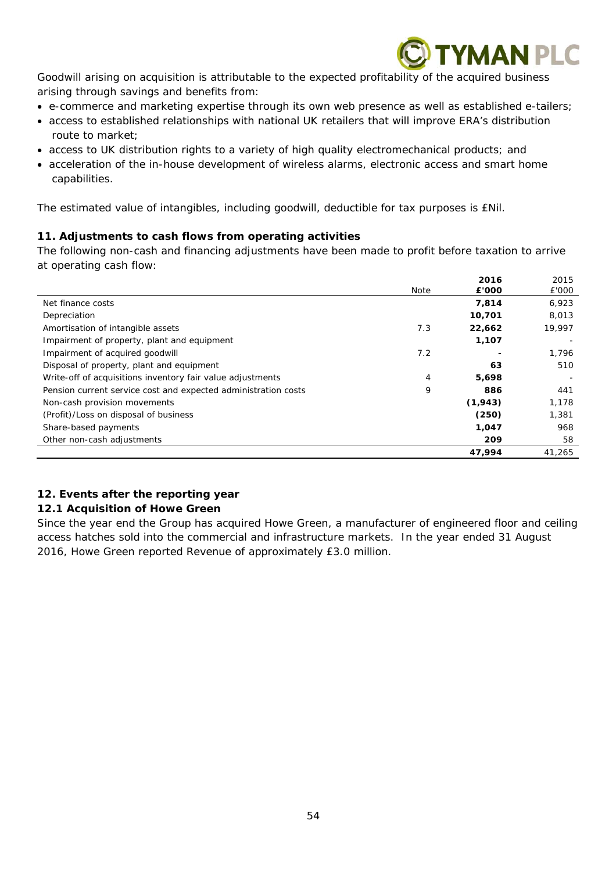

Goodwill arising on acquisition is attributable to the expected profitability of the acquired business arising through savings and benefits from:

- e-commerce and marketing expertise through its own web presence as well as established e-tailers;
- access to established relationships with national UK retailers that will improve ERA's distribution route to market;
- access to UK distribution rights to a variety of high quality electromechanical products; and
- acceleration of the in-house development of wireless alarms, electronic access and smart home capabilities.

The estimated value of intangibles, including goodwill, deductible for tax purposes is £Nil.

## **11. Adjustments to cash flows from operating activities**

The following non-cash and financing adjustments have been made to profit before taxation to arrive at operating cash flow:

|                                                                | Note | 2016<br>£'000 | 2015<br>£'000 |
|----------------------------------------------------------------|------|---------------|---------------|
| Net finance costs                                              |      | 7,814         | 6,923         |
| Depreciation                                                   |      | 10,701        | 8,013         |
| Amortisation of intangible assets                              | 7.3  | 22,662        | 19,997        |
| Impairment of property, plant and equipment                    |      | 1,107         |               |
| Impairment of acquired goodwill                                | 7.2  |               | 1,796         |
| Disposal of property, plant and equipment                      |      | 63            | 510           |
| Write-off of acquisitions inventory fair value adjustments     | 4    | 5,698         |               |
| Pension current service cost and expected administration costs | 9    | 886           | 441           |
| Non-cash provision movements                                   |      | (1,943)       | 1,178         |
| (Profit)/Loss on disposal of business                          |      | (250)         | 1,381         |
| Share-based payments                                           |      | 1,047         | 968           |
| Other non-cash adjustments                                     |      | 209           | 58            |
|                                                                |      | 47.994        | 41,265        |

## **12. Events after the reporting year**

## *12.1 Acquisition of Howe Green*

Since the year end the Group has acquired Howe Green, a manufacturer of engineered floor and ceiling access hatches sold into the commercial and infrastructure markets. In the year ended 31 August 2016, Howe Green reported Revenue of approximately £3.0 million.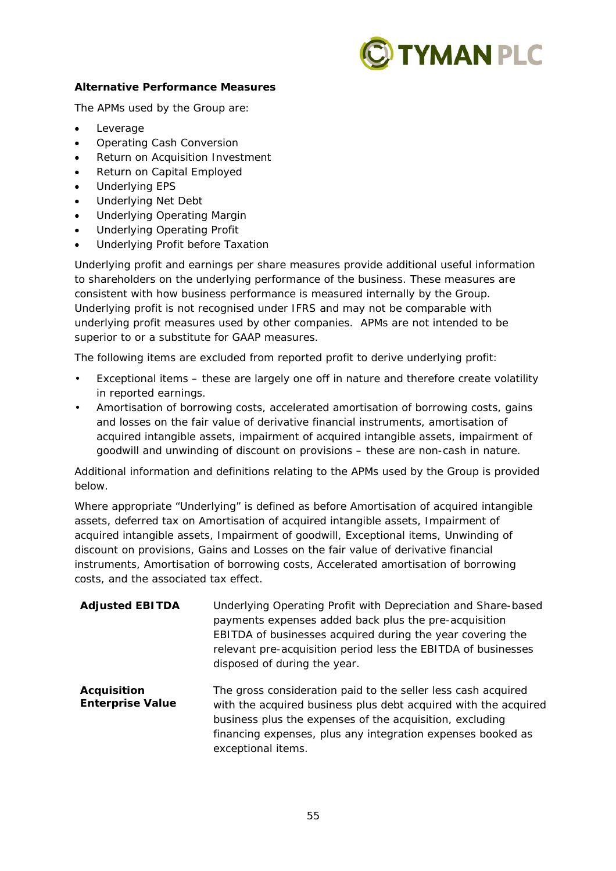

## **Alternative Performance Measures**

The APMs used by the Group are:

- Leverage
- Operating Cash Conversion
- Return on Acquisition Investment
- Return on Capital Employed
- Underlying EPS
- Underlying Net Debt
- Underlying Operating Margin
- Underlying Operating Profit
- Underlying Profit before Taxation

Underlying profit and earnings per share measures provide additional useful information to shareholders on the underlying performance of the business. These measures are consistent with how business performance is measured internally by the Group. Underlying profit is not recognised under IFRS and may not be comparable with underlying profit measures used by other companies. APMs are not intended to be superior to or a substitute for GAAP measures.

The following items are excluded from reported profit to derive underlying profit:

- Exceptional items these are largely one off in nature and therefore create volatility in reported earnings.
- Amortisation of borrowing costs, accelerated amortisation of borrowing costs, gains and losses on the fair value of derivative financial instruments, amortisation of acquired intangible assets, impairment of acquired intangible assets, impairment of goodwill and unwinding of discount on provisions – these are non-cash in nature.

Additional information and definitions relating to the APMs used by the Group is provided below.

Where appropriate "Underlying" is defined as before Amortisation of acquired intangible assets, deferred tax on Amortisation of acquired intangible assets, Impairment of acquired intangible assets, Impairment of goodwill, Exceptional items, Unwinding of discount on provisions, Gains and Losses on the fair value of derivative financial instruments, Amortisation of borrowing costs, Accelerated amortisation of borrowing costs, and the associated tax effect.

| <b>Adjusted EBITDA</b>                        | Underlying Operating Profit with Depreciation and Share-based<br>payments expenses added back plus the pre-acquisition<br>EBITDA of businesses acquired during the year covering the<br>relevant pre-acquisition period less the EBITDA of businesses<br>disposed of during the year. |
|-----------------------------------------------|---------------------------------------------------------------------------------------------------------------------------------------------------------------------------------------------------------------------------------------------------------------------------------------|
| <b>Acquisition</b><br><b>Enterprise Value</b> | The gross consideration paid to the seller less cash acquired<br>with the acquired business plus debt acquired with the acquired<br>business plus the expenses of the acquisition, excluding<br>financing expenses, plus any integration expenses booked as<br>exceptional items.     |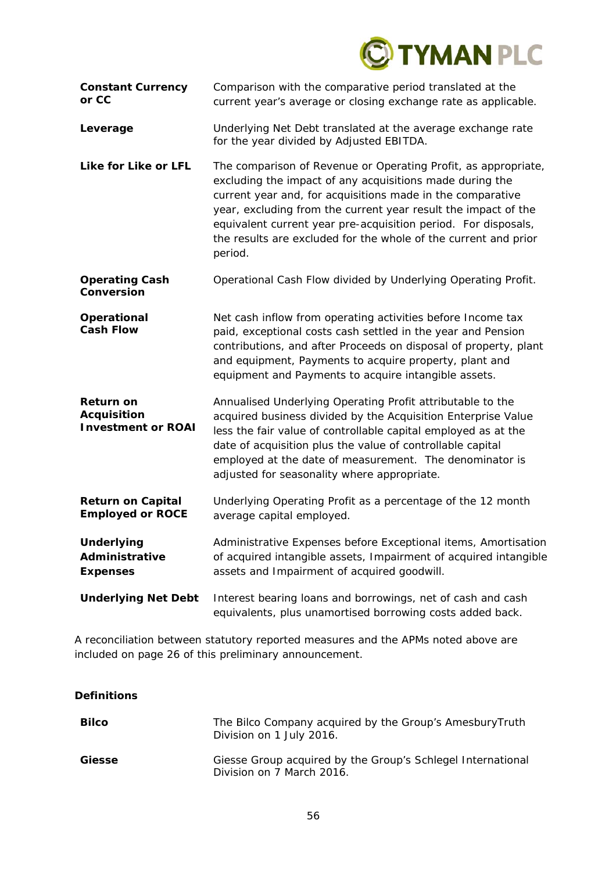

| <b>Constant Currency</b><br>or CC                                   | Comparison with the comparative period translated at the<br>current year's average or closing exchange rate as applicable.                                                                                                                                                                                                                                                                                 |
|---------------------------------------------------------------------|------------------------------------------------------------------------------------------------------------------------------------------------------------------------------------------------------------------------------------------------------------------------------------------------------------------------------------------------------------------------------------------------------------|
| Leverage                                                            | Underlying Net Debt translated at the average exchange rate<br>for the year divided by Adjusted EBITDA.                                                                                                                                                                                                                                                                                                    |
| Like for Like or LFL                                                | The comparison of Revenue or Operating Profit, as appropriate,<br>excluding the impact of any acquisitions made during the<br>current year and, for acquisitions made in the comparative<br>year, excluding from the current year result the impact of the<br>equivalent current year pre-acquisition period. For disposals,<br>the results are excluded for the whole of the current and prior<br>period. |
| <b>Operating Cash</b><br>Conversion                                 | Operational Cash Flow divided by Underlying Operating Profit.                                                                                                                                                                                                                                                                                                                                              |
| Operational<br><b>Cash Flow</b>                                     | Net cash inflow from operating activities before Income tax<br>paid, exceptional costs cash settled in the year and Pension<br>contributions, and after Proceeds on disposal of property, plant<br>and equipment, Payments to acquire property, plant and<br>equipment and Payments to acquire intangible assets.                                                                                          |
| <b>Return on</b><br><b>Acquisition</b><br><b>Investment or ROAI</b> | Annualised Underlying Operating Profit attributable to the<br>acquired business divided by the Acquisition Enterprise Value<br>less the fair value of controllable capital employed as at the<br>date of acquisition plus the value of controllable capital<br>employed at the date of measurement. The denominator is<br>adjusted for seasonality where appropriate.                                      |
| <b>Return on Capital</b><br><b>Employed or ROCE</b>                 | Underlying Operating Profit as a percentage of the 12 month<br>average capital employed.                                                                                                                                                                                                                                                                                                                   |
| <b>Underlying</b><br>Administrative<br><b>Expenses</b>              | Administrative Expenses before Exceptional items, Amortisation<br>of acquired intangible assets, Impairment of acquired intangible<br>assets and Impairment of acquired goodwill.                                                                                                                                                                                                                          |
| <b>Underlying Net Debt</b>                                          | Interest bearing loans and borrowings, net of cash and cash<br>equivalents, plus unamortised borrowing costs added back.                                                                                                                                                                                                                                                                                   |

A reconciliation between statutory reported measures and the APMs noted above are included on page 26 of this preliminary announcement.

**Definitions** 

| <b>Bilco</b>  | The Bilco Company acquired by the Group's Amesbury Truth<br>Division on 1 July 2016.     |
|---------------|------------------------------------------------------------------------------------------|
| <b>Giesse</b> | Giesse Group acquired by the Group's Schlegel International<br>Division on 7 March 2016. |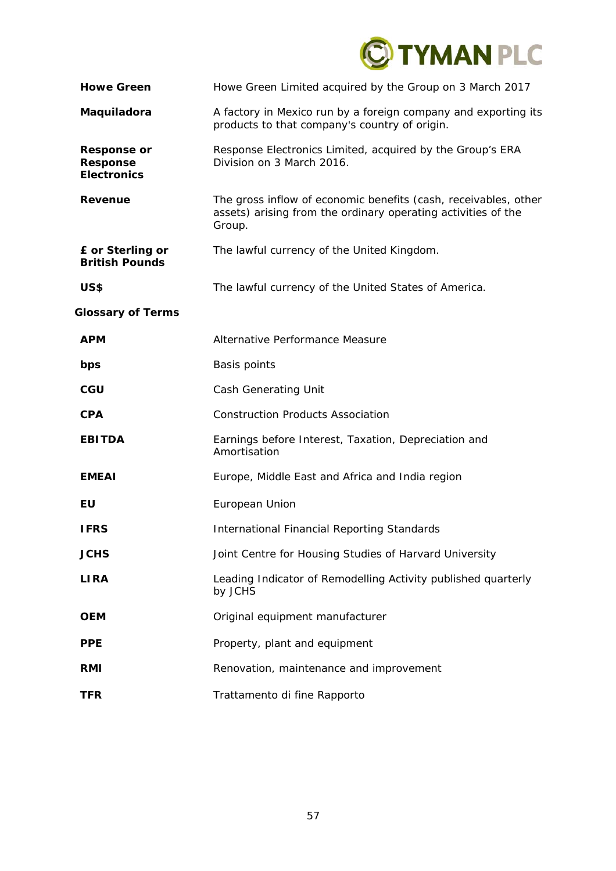

| <b>Howe Green</b>                                           | Howe Green Limited acquired by the Group on 3 March 2017                                                                                   |
|-------------------------------------------------------------|--------------------------------------------------------------------------------------------------------------------------------------------|
| Maquiladora                                                 | A factory in Mexico run by a foreign company and exporting its<br>products to that company's country of origin.                            |
| <b>Response or</b><br><b>Response</b><br><b>Electronics</b> | Response Electronics Limited, acquired by the Group's ERA<br>Division on 3 March 2016.                                                     |
| <b>Revenue</b>                                              | The gross inflow of economic benefits (cash, receivables, other<br>assets) arising from the ordinary operating activities of the<br>Group. |
| £ or Sterling or<br><b>British Pounds</b>                   | The lawful currency of the United Kingdom.                                                                                                 |
| US\$                                                        | The lawful currency of the United States of America.                                                                                       |
| <b>Glossary of Terms</b>                                    |                                                                                                                                            |
| <b>APM</b>                                                  | Alternative Performance Measure                                                                                                            |
| bps                                                         | Basis points                                                                                                                               |
| CGU                                                         | Cash Generating Unit                                                                                                                       |
| <b>CPA</b>                                                  | <b>Construction Products Association</b>                                                                                                   |
| <b>EBITDA</b>                                               | Earnings before Interest, Taxation, Depreciation and<br>Amortisation                                                                       |
| <b>EMEAI</b>                                                | Europe, Middle East and Africa and India region                                                                                            |
| EU                                                          | European Union                                                                                                                             |
| <b>IFRS</b>                                                 | <b>International Financial Reporting Standards</b>                                                                                         |
| <b>JCHS</b>                                                 | Joint Centre for Housing Studies of Harvard University                                                                                     |
| <b>LIRA</b>                                                 | Leading Indicator of Remodelling Activity published quarterly<br>by JCHS                                                                   |
| <b>OEM</b>                                                  | Original equipment manufacturer                                                                                                            |
| <b>PPE</b>                                                  | Property, plant and equipment                                                                                                              |
| <b>RMI</b>                                                  | Renovation, maintenance and improvement                                                                                                    |
| <b>TFR</b>                                                  | Trattamento di fine Rapporto                                                                                                               |